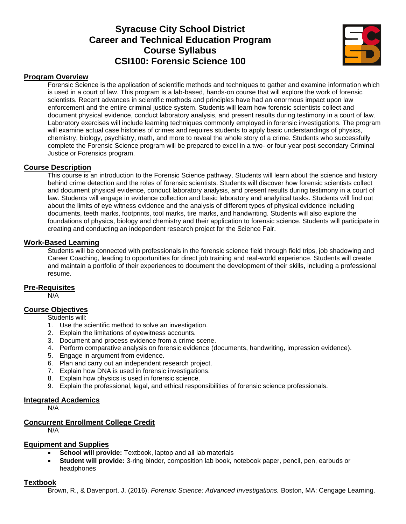# **Syracuse City School District Career and Technical Education Program Course Syllabus CSI100: Forensic Science 100**



#### **Program Overview**

Forensic Science is the application of scientific methods and techniques to gather and examine information which is used in a court of law. This program is a lab-based, hands-on course that will explore the work of forensic scientists. Recent advances in scientific methods and principles have had an enormous impact upon law enforcement and the entire criminal justice system. Students will learn how forensic scientists collect and document physical evidence, conduct laboratory analysis, and present results during testimony in a court of law. Laboratory exercises will include learning techniques commonly employed in forensic investigations. The program will examine actual case histories of crimes and requires students to apply basic understandings of physics, chemistry, biology, psychiatry, math, and more to reveal the whole story of a crime. Students who successfully complete the Forensic Science program will be prepared to excel in a two- or four-year post-secondary Criminal Justice or Forensics program.

#### **Course Description**

This course is an introduction to the Forensic Science pathway. Students will learn about the science and history behind crime detection and the roles of forensic scientists. Students will discover how forensic scientists collect and document physical evidence, conduct laboratory analysis, and present results during testimony in a court of law. Students will engage in evidence collection and basic laboratory and analytical tasks. Students will find out about the limits of eye witness evidence and the analysis of different types of physical evidence including documents, teeth marks, footprints, tool marks, tire marks, and handwriting. Students will also explore the foundations of physics, biology and chemistry and their application to forensic science. Students will participate in creating and conducting an independent research project for the Science Fair.

#### **Work-Based Learning**

Students will be connected with professionals in the forensic science field through field trips, job shadowing and Career Coaching, leading to opportunities for direct job training and real-world experience. Students will create and maintain a portfolio of their experiences to document the development of their skills, including a professional resume.

#### **Pre-Requisites**

N/A

### **Course Objectives**

Students will:

- 1. Use the scientific method to solve an investigation.
- 2. Explain the limitations of eyewitness accounts.
- 3. Document and process evidence from a crime scene.
- 4. Perform comparative analysis on forensic evidence (documents, handwriting, impression evidence).
- 5. Engage in argument from evidence.
- 6. Plan and carry out an independent research project.
- 7. Explain how DNA is used in forensic investigations.
- 8. Explain how physics is used in forensic science.
- 9. Explain the professional, legal, and ethical responsibilities of forensic science professionals.

#### **Integrated Academics**

N/A

#### **Concurrent Enrollment College Credit**

N/A

#### **Equipment and Supplies**

- **School will provide:** Textbook, laptop and all lab materials
- **Student will provide:** 3-ring binder, composition lab book, notebook paper, pencil, pen, earbuds or headphones

#### **Textbook**

Brown, R., & Davenport, J. (2016). *Forensic Science: Advanced Investigations.* Boston, MA: Cengage Learning.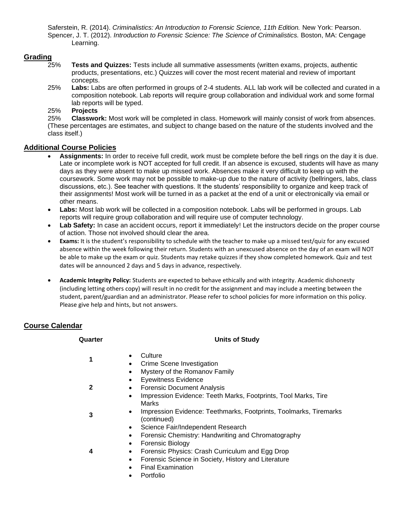Saferstein, R. (2014). *Criminalistics: An Introduction to Forensic Science, 11th Edition.* New York: Pearson. Spencer, J. T. (2012). *Introduction to Forensic Science: The Science of Criminalistics.* Boston, MA: Cengage Learning.

## **Grading**

- 25% **Tests and Quizzes:** Tests include all summative assessments (written exams, projects, authentic products, presentations, etc.) Quizzes will cover the most recent material and review of important concepts.
- 25% **Labs:** Labs are often performed in groups of 2-4 students. ALL lab work will be collected and curated in a composition notebook. Lab reports will require group collaboration and individual work and some formal lab reports will be typed.

25% **Projects**

25% **Classwork:** Most work will be completed in class. Homework will mainly consist of work from absences. (These percentages are estimates, and subject to change based on the nature of the students involved and the class itself.)

## **Additional Course Policies**

- **Assignments:** In order to receive full credit, work must be complete before the bell rings on the day it is due. Late or incomplete work is NOT accepted for full credit. If an absence is excused, students will have as many days as they were absent to make up missed work. Absences make it very difficult to keep up with the coursework. Some work may not be possible to make-up due to the nature of activity (bellringers, labs, class discussions, etc.). See teacher with questions. It the students' responsibility to organize and keep track of their assignments! Most work will be turned in as a packet at the end of a unit or electronically via email or other means.
- **Labs:** Most lab work will be collected in a composition notebook. Labs will be performed in groups. Lab reports will require group collaboration and will require use of computer technology.
- **Lab Safety:** In case an accident occurs, report it immediately! Let the instructors decide on the proper course of action. Those not involved should clear the area.
- **Exams:** It is the student's responsibility to schedule with the teacher to make up a missed test/quiz for any excused absence within the week following their return. Students with an unexcused absence on the day of an exam will NOT be able to make up the exam or quiz. Students may retake quizzes if they show completed homework. Quiz and test dates will be announced 2 days and 5 days in advance, respectively.
- **Academic Integrity Policy:** Students are expected to behave ethically and with integrity. Academic dishonesty (including letting others copy) will result in no credit for the assignment and may include a meeting between the student, parent/guardian and an administrator. Please refer to school policies for more information on this policy. Please give help and hints, but not answers.

## **Course Calendar**

| Quarter | <b>Units of Study</b>                                                                                                                                                                                                                                                      |
|---------|----------------------------------------------------------------------------------------------------------------------------------------------------------------------------------------------------------------------------------------------------------------------------|
| 1       | Culture<br>Crime Scene Investigation<br>Mystery of the Romanov Family                                                                                                                                                                                                      |
| 2       | <b>Eyewitness Evidence</b><br><b>Forensic Document Analysis</b><br>$\bullet$<br>Impression Evidence: Teeth Marks, Footprints, Tool Marks, Tire                                                                                                                             |
| 3       | Marks<br>Impression Evidence: Teethmarks, Footprints, Toolmarks, Tiremarks<br>(continued)                                                                                                                                                                                  |
| 4       | Science Fair/Independent Research<br>$\bullet$<br>Forensic Chemistry: Handwriting and Chromatography<br><b>Forensic Biology</b><br>Forensic Physics: Crash Curriculum and Egg Drop<br>٠<br>Forensic Science in Society, History and Literature<br><b>Final Examination</b> |
|         |                                                                                                                                                                                                                                                                            |

• Portfolio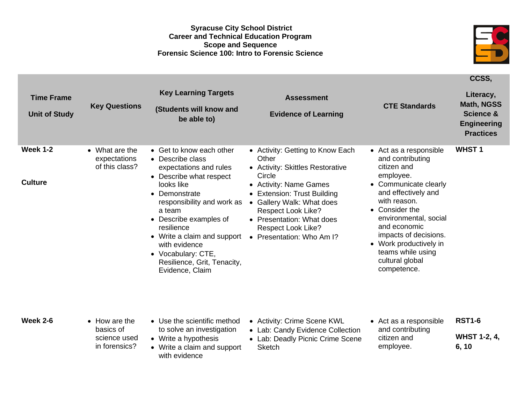#### **Syracuse City School District Career and Technical Education Program Scope and Sequence Forensic Science 100: Intro to Forensic Science**



**CCSS,**

**Time Frame Unit of Study Key Questions Key Learning Targets (Students will know and be able to) Assessment Evidence of Learning CTE Standards Literacy, Math, NGSS Science & Engineering Practices Week 1-2 Culture** • What are the expectations of this class? • Get to know each other • Describe class expectations and rules • Describe what respect looks like • Demonstrate responsibility and work as a team • Describe examples of resilience • Write a claim and support • Presentation: Who Am I? with evidence • Vocabulary: CTE, Resilience, Grit, Tenacity, Evidence, Claim • Activity: Getting to Know Each **Other** • Activity: Skittles Restorative **Circle** • Activity: Name Games • Extension: Trust Building • Gallery Walk: What does Respect Look Like? • Presentation: What does Respect Look Like? • Act as a responsible and contributing citizen and employee. • Communicate clearly and effectively and with reason. • Consider the environmental, social and economic impacts of decisions. • Work productively in teams while using cultural global competence. **WHST 1 Week 2-6** • How are the basics of science used in forensics? • Use the scientific method to solve an investigation • Write a hypothesis • Write a claim and support with evidence • Activity: Crime Scene KWL • Lab: Candy Evidence Collection • Lab: Deadly Picnic Crime Scene Sketch • Act as a responsible and contributing citizen and employee. **RST1-6 WHST 1-2, 4, 6, 10**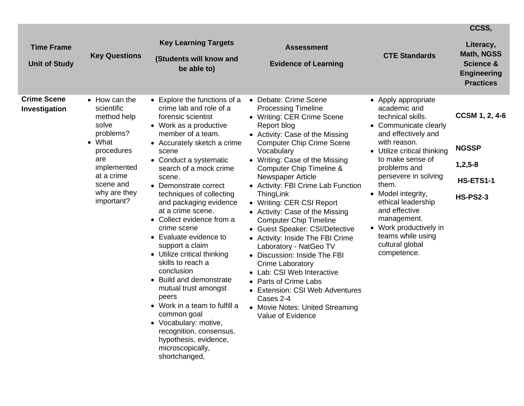| <b>Time Frame</b><br><b>Unit of Study</b> | <b>Key Questions</b>                                                                                                                                                    | <b>Key Learning Targets</b><br>(Students will know and<br>be able to)                                                                                                                                                                                                                                                                                                                                                                                                                                                                                                                                                                                                                                                           | <b>Assessment</b><br><b>Evidence of Learning</b>                                                                                                                                                                                                                                                                                                                                                                                                                                                                                                                                                                                                                                                                                                       | <b>CTE Standards</b>                                                                                                                                                                                                                                                                                                                                                                      | CCSS,<br>Literacy,<br><b>Math, NGSS</b><br><b>Science &amp;</b><br><b>Engineering</b><br><b>Practices</b> |
|-------------------------------------------|-------------------------------------------------------------------------------------------------------------------------------------------------------------------------|---------------------------------------------------------------------------------------------------------------------------------------------------------------------------------------------------------------------------------------------------------------------------------------------------------------------------------------------------------------------------------------------------------------------------------------------------------------------------------------------------------------------------------------------------------------------------------------------------------------------------------------------------------------------------------------------------------------------------------|--------------------------------------------------------------------------------------------------------------------------------------------------------------------------------------------------------------------------------------------------------------------------------------------------------------------------------------------------------------------------------------------------------------------------------------------------------------------------------------------------------------------------------------------------------------------------------------------------------------------------------------------------------------------------------------------------------------------------------------------------------|-------------------------------------------------------------------------------------------------------------------------------------------------------------------------------------------------------------------------------------------------------------------------------------------------------------------------------------------------------------------------------------------|-----------------------------------------------------------------------------------------------------------|
| <b>Crime Scene</b><br>Investigation       | • How can the<br>scientific<br>method help<br>solve<br>problems?<br>• What<br>procedures<br>are<br>implemented<br>at a crime<br>scene and<br>why are they<br>important? | • Explore the functions of a<br>crime lab and role of a<br>forensic scientist<br>• Work as a productive<br>member of a team.<br>• Accurately sketch a crime<br>scene<br>• Conduct a systematic<br>search of a mock crime<br>scene.<br>• Demonstrate correct<br>techniques of collecting<br>and packaging evidence<br>at a crime scene.<br>• Collect evidence from a<br>crime scene<br>• Evaluate evidence to<br>support a claim<br>• Utilize critical thinking<br>skills to reach a<br>conclusion<br>• Build and demonstrate<br>mutual trust amongst<br>peers<br>• Work in a team to fulfill a<br>common goal<br>• Vocabulary: motive,<br>recognition, consensus,<br>hypothesis, evidence,<br>microscopically,<br>shortchanged, | • Debate: Crime Scene<br><b>Processing Timeline</b><br>• Writing: CER Crime Scene<br>Report blog<br>• Activity: Case of the Missing<br><b>Computer Chip Crime Scene</b><br>Vocabulary<br>• Writing: Case of the Missing<br>Computer Chip Timeline &<br>Newspaper Article<br>• Activity: FBI Crime Lab Function<br>ThingLink<br>• Writing: CER CSI Report<br>• Activity: Case of the Missing<br><b>Computer Chip Timeline</b><br>• Guest Speaker: CSI/Detective<br>• Activity: Inside The FBI Crime<br>Laboratory - NatGeo TV<br>• Discussion: Inside The FBI<br><b>Crime Laboratory</b><br>• Lab: CSI Web Interactive<br>• Parts of Crime Labs<br>• Extension: CSI Web Adventures<br>Cases 2-4<br>• Movie Notes: United Streaming<br>Value of Evidence | • Apply appropriate<br>academic and<br>technical skills.<br>• Communicate clearly<br>and effectively and<br>with reason.<br>• Utilize critical thinking<br>to make sense of<br>problems and<br>persevere in solving<br>them.<br>• Model integrity,<br>ethical leadership<br>and effective<br>management.<br>• Work productively in<br>teams while using<br>cultural global<br>competence. | <b>CCSM 1, 2, 4-6</b><br><b>NGSSP</b><br>$1, 2, 5 - 8$<br>HS-ETS1-1<br><b>HS-PS2-3</b>                    |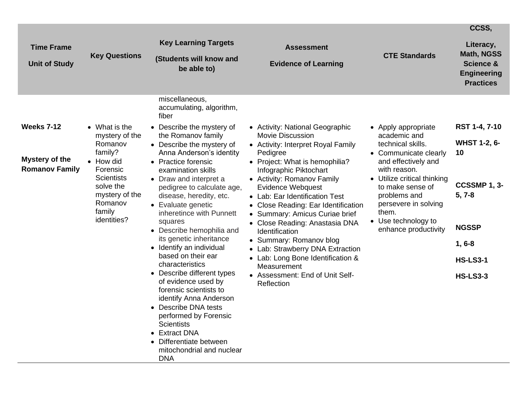|                                           |                                                                                   |                                                                                                                                                                                                                                                                    |                                                                                                                                                                                                                                                                     |                                                                                                                                                                 | CCSS,                                                                                     |
|-------------------------------------------|-----------------------------------------------------------------------------------|--------------------------------------------------------------------------------------------------------------------------------------------------------------------------------------------------------------------------------------------------------------------|---------------------------------------------------------------------------------------------------------------------------------------------------------------------------------------------------------------------------------------------------------------------|-----------------------------------------------------------------------------------------------------------------------------------------------------------------|-------------------------------------------------------------------------------------------|
| <b>Time Frame</b><br><b>Unit of Study</b> | <b>Key Questions</b>                                                              | <b>Key Learning Targets</b><br>(Students will know and<br>be able to)                                                                                                                                                                                              | <b>Assessment</b><br><b>Evidence of Learning</b>                                                                                                                                                                                                                    | <b>CTE Standards</b>                                                                                                                                            | Literacy,<br>Math, NGSS<br><b>Science &amp;</b><br><b>Engineering</b><br><b>Practices</b> |
| <b>Weeks 7-12</b>                         | • What is the                                                                     | miscellaneous,<br>accumulating, algorithm,<br>fiber<br>• Describe the mystery of                                                                                                                                                                                   | • Activity: National Geographic                                                                                                                                                                                                                                     | • Apply appropriate                                                                                                                                             | RST 1-4, 7-10                                                                             |
| <b>Mystery of the</b>                     | mystery of the<br>Romanov<br>family?<br>• How did                                 | the Romanov family<br>• Describe the mystery of<br>Anna Anderson's identity<br>• Practice forensic                                                                                                                                                                 | <b>Movie Discussion</b><br>• Activity: Interpret Royal Family<br>Pedigree<br>• Project: What is hemophilia?                                                                                                                                                         | academic and<br>technical skills.<br>• Communicate clearly<br>and effectively and                                                                               | <b>WHST 1-2, 6-</b><br>10                                                                 |
| <b>Romanov Family</b>                     | Forensic<br><b>Scientists</b><br>solve the<br>mystery of the<br>Romanov<br>family | examination skills<br>• Draw and interpret a<br>pedigree to calculate age,<br>disease, heredity, etc.<br>• Evaluate genetic<br>inheretince with Punnett<br>squares<br>• Describe hemophilia and<br>its genetic inheritance<br>• Identify an individual             | Infographic Piktochart<br>• Activity: Romanov Family<br>Evidence Webquest<br>• Lab: Ear Identification Test<br>• Close Reading: Ear Identification<br>• Summary: Amicus Curiae brief<br>• Close Reading: Anastasia DNA<br>Identification<br>• Summary: Romanov blog | with reason.<br>• Utilize critical thinking<br>to make sense of<br>problems and<br>persevere in solving<br>them.<br>• Use technology to<br>enhance productivity | CCSSMP 1, 3-<br>$5, 7-8$                                                                  |
|                                           | identities?                                                                       |                                                                                                                                                                                                                                                                    |                                                                                                                                                                                                                                                                     |                                                                                                                                                                 | <b>NGSSP</b><br>$1, 6-8$                                                                  |
|                                           |                                                                                   | based on their ear<br>characteristics                                                                                                                                                                                                                              | • Lab: Strawberry DNA Extraction<br>• Lab: Long Bone Identification &<br>Measurement                                                                                                                                                                                |                                                                                                                                                                 | <b>HS-LS3-1</b>                                                                           |
|                                           |                                                                                   | • Describe different types<br>of evidence used by<br>forensic scientists to<br>identify Anna Anderson<br>• Describe DNA tests<br>performed by Forensic<br><b>Scientists</b><br>• Extract DNA<br>• Differentiate between<br>mitochondrial and nuclear<br><b>DNA</b> | • Assessment: End of Unit Self-<br>Reflection                                                                                                                                                                                                                       |                                                                                                                                                                 | <b>HS-LS3-3</b>                                                                           |

 $\overline{\phantom{0}}$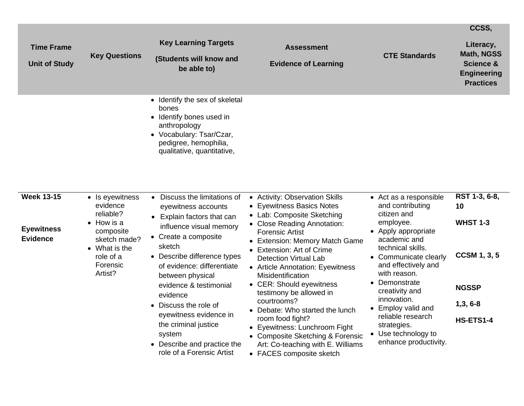| <b>Time Frame</b><br><b>Unit of Study</b>                 | <b>Key Questions</b>                                                                                                                             | <b>Key Learning Targets</b><br>(Students will know and<br>be able to)                                                                                                                                                                                                                                                                                                                                                | <b>Assessment</b><br><b>Evidence of Learning</b>                                                                                                                                                                                                                                                                                                                                                                                                                                                                                                                     | <b>CTE Standards</b>                                                                                                                                                                                                                                                                                                                                           | CCSS,<br>Literacy,<br><b>Math, NGSS</b><br><b>Science &amp;</b><br><b>Engineering</b><br><b>Practices</b>      |
|-----------------------------------------------------------|--------------------------------------------------------------------------------------------------------------------------------------------------|----------------------------------------------------------------------------------------------------------------------------------------------------------------------------------------------------------------------------------------------------------------------------------------------------------------------------------------------------------------------------------------------------------------------|----------------------------------------------------------------------------------------------------------------------------------------------------------------------------------------------------------------------------------------------------------------------------------------------------------------------------------------------------------------------------------------------------------------------------------------------------------------------------------------------------------------------------------------------------------------------|----------------------------------------------------------------------------------------------------------------------------------------------------------------------------------------------------------------------------------------------------------------------------------------------------------------------------------------------------------------|----------------------------------------------------------------------------------------------------------------|
|                                                           |                                                                                                                                                  | • Identify the sex of skeletal<br>bones<br>• Identify bones used in<br>anthropology<br>• Vocabulary: Tsar/Czar,<br>pedigree, hemophilia,<br>qualitative, quantitative,                                                                                                                                                                                                                                               |                                                                                                                                                                                                                                                                                                                                                                                                                                                                                                                                                                      |                                                                                                                                                                                                                                                                                                                                                                |                                                                                                                |
| <b>Week 13-15</b><br><b>Eyewitness</b><br><b>Evidence</b> | • Is eyewitness<br>evidence<br>reliable?<br>$\bullet$ How is a<br>composite<br>sketch made?<br>• What is the<br>role of a<br>Forensic<br>Artist? | • Discuss the limitations of<br>eyewitness accounts<br>Explain factors that can<br>influence visual memory<br>• Create a composite<br>sketch<br>• Describe difference types<br>of evidence: differentiate<br>between physical<br>evidence & testimonial<br>evidence<br>• Discuss the role of<br>eyewitness evidence in<br>the criminal justice<br>system<br>• Describe and practice the<br>role of a Forensic Artist | • Activity: Observation Skills<br>• Eyewitness Basics Notes<br>• Lab: Composite Sketching<br>• Close Reading Annotation:<br>Forensic Artist<br>• Extension: Memory Match Game<br>Extension: Art of Crime<br><b>Detection Virtual Lab</b><br>• Article Annotation: Eyewitness<br>Misidentification<br>• CER: Should eyewitness<br>testimony be allowed in<br>courtrooms?<br>• Debate: Who started the lunch<br>room food fight?<br>• Eyewitness: Lunchroom Fight<br>• Composite Sketching & Forensic<br>Art: Co-teaching with E. Williams<br>• FACES composite sketch | • Act as a responsible<br>and contributing<br>citizen and<br>employee.<br>• Apply appropriate<br>academic and<br>technical skills.<br>• Communicate clearly<br>and effectively and<br>with reason.<br>• Demonstrate<br>creativity and<br>innovation.<br>• Employ valid and<br>reliable research<br>strategies.<br>• Use technology to<br>enhance productivity. | RST 1-3, 6-8,<br>10<br><b>WHST 1-3</b><br><b>CCSM 1, 3, 5</b><br><b>NGSSP</b><br>$1,3,6-8$<br><b>HS-ETS1-4</b> |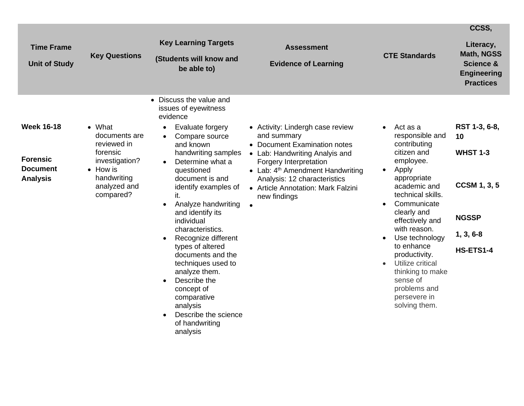|                                                                            |                                                                                                                                      |                                                                                                                                                                                                                                                                                                                                                                                                                                                                                                                                                                                  |                                                                                                                                                                                                                                                                         |                                                                                                                                                                                                                                                                                                                                                                                                                              | CCSS,                                                                                                     |
|----------------------------------------------------------------------------|--------------------------------------------------------------------------------------------------------------------------------------|----------------------------------------------------------------------------------------------------------------------------------------------------------------------------------------------------------------------------------------------------------------------------------------------------------------------------------------------------------------------------------------------------------------------------------------------------------------------------------------------------------------------------------------------------------------------------------|-------------------------------------------------------------------------------------------------------------------------------------------------------------------------------------------------------------------------------------------------------------------------|------------------------------------------------------------------------------------------------------------------------------------------------------------------------------------------------------------------------------------------------------------------------------------------------------------------------------------------------------------------------------------------------------------------------------|-----------------------------------------------------------------------------------------------------------|
| <b>Time Frame</b><br><b>Unit of Study</b>                                  | <b>Key Questions</b>                                                                                                                 | <b>Key Learning Targets</b><br>(Students will know and<br>be able to)                                                                                                                                                                                                                                                                                                                                                                                                                                                                                                            | <b>Assessment</b><br><b>Evidence of Learning</b>                                                                                                                                                                                                                        | <b>CTE Standards</b>                                                                                                                                                                                                                                                                                                                                                                                                         | Literacy,<br><b>Math, NGSS</b><br><b>Science &amp;</b><br><b>Engineering</b><br><b>Practices</b>          |
| <b>Week 16-18</b><br><b>Forensic</b><br><b>Document</b><br><b>Analysis</b> | $\bullet$ What<br>documents are<br>reviewed in<br>forensic<br>investigation?<br>• How is<br>handwriting<br>analyzed and<br>compared? | • Discuss the value and<br>issues of eyewitness<br>evidence<br>Evaluate forgery<br>$\bullet$<br>Compare source<br>and known<br>handwriting samples<br>Determine what a<br>questioned<br>document is and<br>identify examples of<br>it.<br>Analyze handwriting<br>$\bullet$<br>and identify its<br>individual<br>characteristics.<br>Recognize different<br>$\bullet$<br>types of altered<br>documents and the<br>techniques used to<br>analyze them.<br>Describe the<br>$\bullet$<br>concept of<br>comparative<br>analysis<br>Describe the science<br>of handwriting<br>analysis | • Activity: Lindergh case review<br>and summary<br>• Document Examination notes<br>• Lab: Handwriting Analyis and<br>Forgery Interpretation<br>• Lab: $4th$ Amendment Handwriting<br>Analysis: 12 characteristics<br>• Article Annotation: Mark Falzini<br>new findings | Act as a<br>$\bullet$<br>responsible and<br>contributing<br>citizen and<br>employee.<br>Apply<br>$\bullet$<br>appropriate<br>academic and<br>technical skills.<br>Communicate<br>$\bullet$<br>clearly and<br>effectively and<br>with reason.<br>Use technology<br>$\bullet$<br>to enhance<br>productivity.<br>Utilize critical<br>$\bullet$<br>thinking to make<br>sense of<br>problems and<br>persevere in<br>solving them. | RST 1-3, 6-8,<br>10<br><b>WHST 1-3</b><br><b>CCSM 1, 3, 5</b><br><b>NGSSP</b><br>$1, 3, 6-8$<br>HS-ETS1-4 |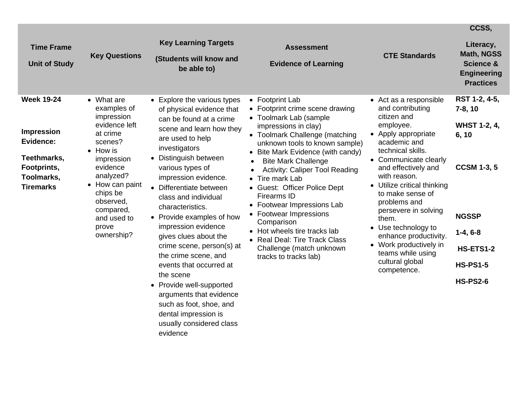|                                                                                                                     |                                                                                                                                                                                                                                           |                                                                                                                                                                                                                                                                                                                                                                                                                                                                                                                                                                                                                              |                                                                                                                                                                                                                                                                                                                                                                                                                                                                                                                                                              |                                                                                                                                                                                                                                                                                                                                                                                                                                         | CCSS,                                                                                                                                                                    |
|---------------------------------------------------------------------------------------------------------------------|-------------------------------------------------------------------------------------------------------------------------------------------------------------------------------------------------------------------------------------------|------------------------------------------------------------------------------------------------------------------------------------------------------------------------------------------------------------------------------------------------------------------------------------------------------------------------------------------------------------------------------------------------------------------------------------------------------------------------------------------------------------------------------------------------------------------------------------------------------------------------------|--------------------------------------------------------------------------------------------------------------------------------------------------------------------------------------------------------------------------------------------------------------------------------------------------------------------------------------------------------------------------------------------------------------------------------------------------------------------------------------------------------------------------------------------------------------|-----------------------------------------------------------------------------------------------------------------------------------------------------------------------------------------------------------------------------------------------------------------------------------------------------------------------------------------------------------------------------------------------------------------------------------------|--------------------------------------------------------------------------------------------------------------------------------------------------------------------------|
| <b>Time Frame</b><br><b>Unit of Study</b>                                                                           | <b>Key Questions</b>                                                                                                                                                                                                                      | <b>Key Learning Targets</b><br>(Students will know and<br>be able to)                                                                                                                                                                                                                                                                                                                                                                                                                                                                                                                                                        | <b>Assessment</b><br><b>Evidence of Learning</b>                                                                                                                                                                                                                                                                                                                                                                                                                                                                                                             | <b>CTE Standards</b>                                                                                                                                                                                                                                                                                                                                                                                                                    | Literacy,<br><b>Math, NGSS</b><br><b>Science &amp;</b><br><b>Engineering</b><br><b>Practices</b>                                                                         |
| <b>Week 19-24</b><br><b>Impression</b><br>Evidence:<br>Teethmarks,<br>Footprints,<br>Toolmarks,<br><b>Tiremarks</b> | • What are<br>examples of<br>impression<br>evidence left<br>at crime<br>scenes?<br>$\bullet$ How is<br>impression<br>evidence<br>analyzed?<br>• How can paint<br>chips be<br>observed,<br>compared,<br>and used to<br>prove<br>ownership? | • Explore the various types<br>of physical evidence that<br>can be found at a crime<br>scene and learn how they<br>are used to help<br>investigators<br>• Distinguish between<br>various types of<br>impression evidence.<br>• Differentiate between<br>class and individual<br>characteristics.<br>• Provide examples of how<br>impression evidence<br>gives clues about the<br>crime scene, person(s) at<br>the crime scene, and<br>events that occurred at<br>the scene<br>• Provide well-supported<br>arguments that evidence<br>such as foot, shoe, and<br>dental impression is<br>usually considered class<br>evidence | • Footprint Lab<br>• Footprint crime scene drawing<br>• Toolmark Lab (sample<br>impressions in clay)<br>• Toolmark Challenge (matching<br>unknown tools to known sample)<br>• Bite Mark Evidence (with candy)<br><b>Bite Mark Challenge</b><br><b>Activity: Caliper Tool Reading</b><br>Tire mark Lab<br>• Guest: Officer Police Dept<br><b>Firearms ID</b><br>• Footwear Impressions Lab<br>• Footwear Impressions<br>Comparison<br>• Hot wheels tire tracks lab<br><b>Real Deal: Tire Track Class</b><br>Challenge (match unknown<br>tracks to tracks lab) | • Act as a responsible<br>and contributing<br>citizen and<br>employee.<br>• Apply appropriate<br>academic and<br>technical skills.<br>• Communicate clearly<br>and effectively and<br>with reason.<br>• Utilize critical thinking<br>to make sense of<br>problems and<br>persevere in solving<br>them.<br>• Use technology to<br>enhance productivity.<br>• Work productively in<br>teams while using<br>cultural global<br>competence. | RST 1-2, 4-5,<br>$7-8, 10$<br><b>WHST 1-2, 4,</b><br>6, 10<br><b>CCSM 1-3, 5</b><br><b>NGSSP</b><br>$1-4, 6-8$<br><b>HS-ETS1-2</b><br><b>HS-PS1-5</b><br><b>HS-PS2-6</b> |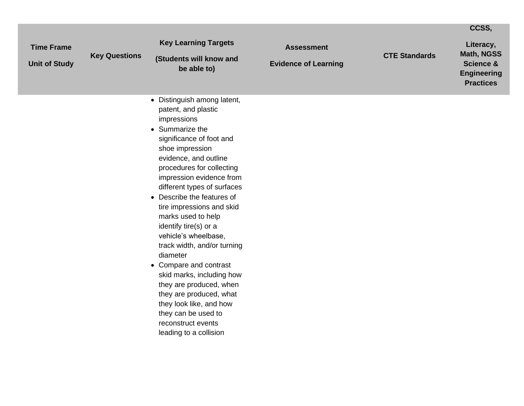|                                           |                      |                                                                                                                                                                                                                                                                                                                                                                                                                                                                                                                                                                                                                                                  |                                                  |                      | CCSS,                                                                          |
|-------------------------------------------|----------------------|--------------------------------------------------------------------------------------------------------------------------------------------------------------------------------------------------------------------------------------------------------------------------------------------------------------------------------------------------------------------------------------------------------------------------------------------------------------------------------------------------------------------------------------------------------------------------------------------------------------------------------------------------|--------------------------------------------------|----------------------|--------------------------------------------------------------------------------|
| <b>Time Frame</b><br><b>Unit of Study</b> | <b>Key Questions</b> | <b>Key Learning Targets</b><br>(Students will know and<br>be able to)                                                                                                                                                                                                                                                                                                                                                                                                                                                                                                                                                                            | <b>Assessment</b><br><b>Evidence of Learning</b> | <b>CTE Standards</b> | Literacy,<br>Math, NGSS<br>Science &<br><b>Engineering</b><br><b>Practices</b> |
|                                           |                      | • Distinguish among latent,<br>patent, and plastic<br>impressions<br>• Summarize the<br>significance of foot and<br>shoe impression<br>evidence, and outline<br>procedures for collecting<br>impression evidence from<br>different types of surfaces<br>• Describe the features of<br>tire impressions and skid<br>marks used to help<br>identify tire(s) or a<br>vehicle's wheelbase,<br>track width, and/or turning<br>diameter<br>• Compare and contrast<br>skid marks, including how<br>they are produced, when<br>they are produced, what<br>they look like, and how<br>they can be used to<br>reconstruct events<br>leading to a collision |                                                  |                      |                                                                                |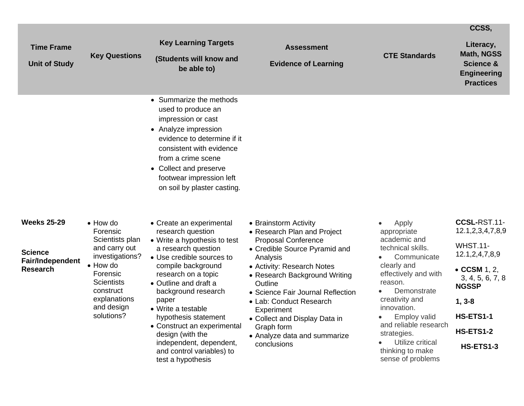|                                                                             |                                                                                                                                                                                                   |                                                                                                                                                                                                                                                                                                                                                                                                                       |                                                                                                                                                                                                                                                                                                                                                                                |                                                                                                                                                                                                                                                                                                        | CCSS,                                                                                                                                                                                               |
|-----------------------------------------------------------------------------|---------------------------------------------------------------------------------------------------------------------------------------------------------------------------------------------------|-----------------------------------------------------------------------------------------------------------------------------------------------------------------------------------------------------------------------------------------------------------------------------------------------------------------------------------------------------------------------------------------------------------------------|--------------------------------------------------------------------------------------------------------------------------------------------------------------------------------------------------------------------------------------------------------------------------------------------------------------------------------------------------------------------------------|--------------------------------------------------------------------------------------------------------------------------------------------------------------------------------------------------------------------------------------------------------------------------------------------------------|-----------------------------------------------------------------------------------------------------------------------------------------------------------------------------------------------------|
| <b>Time Frame</b><br><b>Unit of Study</b>                                   | <b>Key Questions</b>                                                                                                                                                                              | <b>Key Learning Targets</b><br>(Students will know and<br>be able to)                                                                                                                                                                                                                                                                                                                                                 | <b>Assessment</b><br><b>Evidence of Learning</b>                                                                                                                                                                                                                                                                                                                               | <b>CTE Standards</b>                                                                                                                                                                                                                                                                                   | Literacy,<br><b>Math, NGSS</b><br><b>Science &amp;</b><br><b>Engineering</b><br><b>Practices</b>                                                                                                    |
|                                                                             |                                                                                                                                                                                                   | • Summarize the methods<br>used to produce an<br>impression or cast<br>• Analyze impression<br>evidence to determine if it<br>consistent with evidence<br>from a crime scene<br>• Collect and preserve<br>footwear impression left<br>on soil by plaster casting.                                                                                                                                                     |                                                                                                                                                                                                                                                                                                                                                                                |                                                                                                                                                                                                                                                                                                        |                                                                                                                                                                                                     |
| <b>Weeks 25-29</b><br><b>Science</b><br>Fair/Independent<br><b>Research</b> | $\bullet$ How do<br>Forensic<br>Scientists plan<br>and carry out<br>investigations?<br>$\bullet$ How do<br>Forensic<br><b>Scientists</b><br>construct<br>explanations<br>and design<br>solutions? | • Create an experimental<br>research question<br>• Write a hypothesis to test<br>a research question<br>• Use credible sources to<br>compile background<br>research on a topic<br>• Outline and draft a<br>background research<br>paper<br>• Write a testable<br>hypothesis statement<br>• Construct an experimental<br>design (with the<br>independent, dependent,<br>and control variables) to<br>test a hypothesis | • Brainstorm Activity<br>• Research Plan and Project<br>Proposal Conference<br>• Credible Source Pyramid and<br>Analysis<br>• Activity: Research Notes<br>• Research Background Writing<br>Outline<br>• Science Fair Journal Reflection<br>• Lab: Conduct Research<br>Experiment<br>• Collect and Display Data in<br>Graph form<br>• Analyze data and summarize<br>conclusions | Apply<br>appropriate<br>academic and<br>technical skills.<br>Communicate<br>clearly and<br>effectively and with<br>reason.<br>Demonstrate<br>creativity and<br>innovation.<br><b>Employ valid</b><br>and reliable research<br>strategies.<br>Utilize critical<br>thinking to make<br>sense of problems | CCSL-RST.11-<br>12.1, 2, 3, 4, 7, 8, 9<br><b>WHST.11-</b><br>12.1,2,4,7,8,9<br>$\bullet$ CCSM 1, 2,<br>3, 4, 5, 6, 7, 8<br><b>NGSSP</b><br>$1, 3 - 8$<br>HS-ETS1-1<br><b>HS-ETS1-2</b><br>HS-ETS1-3 |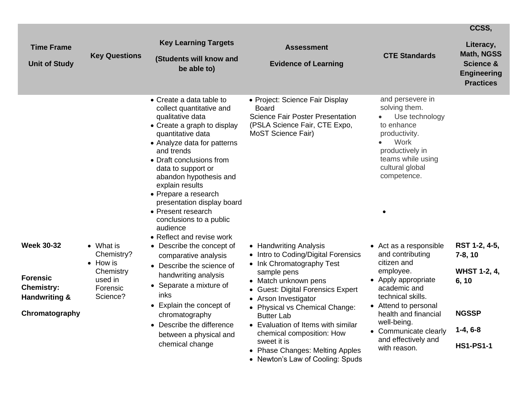|                                                                                              |                                                                                     |                                                                                                                                                                                                                                                                                                                                                                                             |                                                                                                                                                                                                                                                                                                                          |                                                                                                                                                                                                                            | CCSS,                                                                                            |
|----------------------------------------------------------------------------------------------|-------------------------------------------------------------------------------------|---------------------------------------------------------------------------------------------------------------------------------------------------------------------------------------------------------------------------------------------------------------------------------------------------------------------------------------------------------------------------------------------|--------------------------------------------------------------------------------------------------------------------------------------------------------------------------------------------------------------------------------------------------------------------------------------------------------------------------|----------------------------------------------------------------------------------------------------------------------------------------------------------------------------------------------------------------------------|--------------------------------------------------------------------------------------------------|
| <b>Time Frame</b><br><b>Unit of Study</b>                                                    | <b>Key Questions</b>                                                                | <b>Key Learning Targets</b><br>(Students will know and<br>be able to)                                                                                                                                                                                                                                                                                                                       | <b>Assessment</b><br><b>Evidence of Learning</b>                                                                                                                                                                                                                                                                         | <b>CTE Standards</b>                                                                                                                                                                                                       | Literacy,<br><b>Math, NGSS</b><br><b>Science &amp;</b><br><b>Engineering</b><br><b>Practices</b> |
|                                                                                              |                                                                                     | • Create a data table to<br>collect quantitative and<br>qualitative data<br>• Create a graph to display<br>quantitative data<br>• Analyze data for patterns<br>and trends<br>• Draft conclusions from<br>data to support or<br>abandon hypothesis and<br>explain results<br>• Prepare a research<br>presentation display board<br>• Present research<br>conclusions to a public<br>audience | • Project: Science Fair Display<br><b>Board</b><br><b>Science Fair Poster Presentation</b><br>(PSLA Science Fair, CTE Expo,<br>MoST Science Fair)                                                                                                                                                                        | and persevere in<br>solving them.<br>Use technology<br>to enhance<br>productivity.<br>Work<br>$\bullet$<br>productively in<br>teams while using<br>cultural global<br>competence.                                          |                                                                                                  |
| <b>Week 30-32</b><br><b>Forensic</b><br><b>Chemistry:</b><br>Handwriting &<br>Chromatography | • What is<br>Chemistry?<br>• How is<br>Chemistry<br>used in<br>Forensic<br>Science? | • Reflect and revise work<br>• Describe the concept of<br>comparative analysis<br>• Describe the science of<br>handwriting analysis<br>• Separate a mixture of<br>inks<br>• Explain the concept of<br>chromatography<br>• Describe the difference<br>between a physical and                                                                                                                 | • Handwriting Analysis<br>• Intro to Coding/Digital Forensics<br>• Ink Chromatography Test<br>sample pens<br>• Match unknown pens<br>• Guest: Digital Forensics Expert<br>• Arson Investigator<br>• Physical vs Chemical Change:<br><b>Butter Lab</b><br>• Evaluation of Items with similar<br>chemical composition: How | • Act as a responsible<br>and contributing<br>citizen and<br>employee.<br>• Apply appropriate<br>academic and<br>technical skills.<br>• Attend to personal<br>health and financial<br>well-being.<br>• Communicate clearly | RST 1-2, 4-5,<br>$7-8, 10$<br><b>WHST 1-2, 4,</b><br>6, 10<br><b>NGSSP</b><br>$1-4, 6-8$         |
|                                                                                              |                                                                                     | chemical change                                                                                                                                                                                                                                                                                                                                                                             | sweet it is<br>• Phase Changes: Melting Apples<br>• Newton's Law of Cooling: Spuds                                                                                                                                                                                                                                       | and effectively and<br>with reason.                                                                                                                                                                                        | <b>HS1-PS1-1</b>                                                                                 |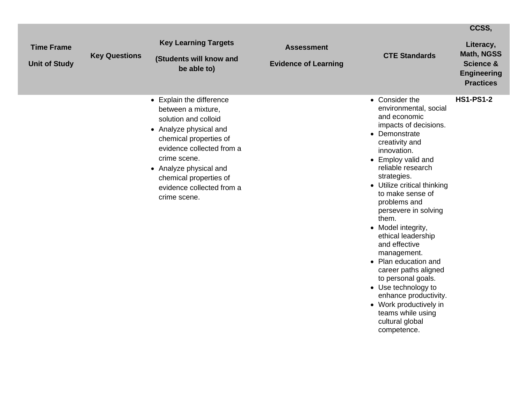|                                           |                      |                                                                                                                                                                                                                                                                          |                                                  |                                                                                                                                                                                                                                                                                                                                                                                                                                                                                                                                                                                     | CCSS,                                                                                            |
|-------------------------------------------|----------------------|--------------------------------------------------------------------------------------------------------------------------------------------------------------------------------------------------------------------------------------------------------------------------|--------------------------------------------------|-------------------------------------------------------------------------------------------------------------------------------------------------------------------------------------------------------------------------------------------------------------------------------------------------------------------------------------------------------------------------------------------------------------------------------------------------------------------------------------------------------------------------------------------------------------------------------------|--------------------------------------------------------------------------------------------------|
| <b>Time Frame</b><br><b>Unit of Study</b> | <b>Key Questions</b> | <b>Key Learning Targets</b><br>(Students will know and<br>be able to)                                                                                                                                                                                                    | <b>Assessment</b><br><b>Evidence of Learning</b> | <b>CTE Standards</b>                                                                                                                                                                                                                                                                                                                                                                                                                                                                                                                                                                | Literacy,<br><b>Math, NGSS</b><br><b>Science &amp;</b><br><b>Engineering</b><br><b>Practices</b> |
|                                           |                      | • Explain the difference<br>between a mixture,<br>solution and colloid<br>• Analyze physical and<br>chemical properties of<br>evidence collected from a<br>crime scene.<br>• Analyze physical and<br>chemical properties of<br>evidence collected from a<br>crime scene. |                                                  | • Consider the<br>environmental, social<br>and economic<br>impacts of decisions.<br>• Demonstrate<br>creativity and<br>innovation.<br>• Employ valid and<br>reliable research<br>strategies.<br>• Utilize critical thinking<br>to make sense of<br>problems and<br>persevere in solving<br>them.<br>• Model integrity,<br>ethical leadership<br>and effective<br>management.<br>• Plan education and<br>career paths aligned<br>to personal goals.<br>• Use technology to<br>enhance productivity.<br>• Work productively in<br>teams while using<br>cultural global<br>competence. | <b>HS1-PS1-2</b>                                                                                 |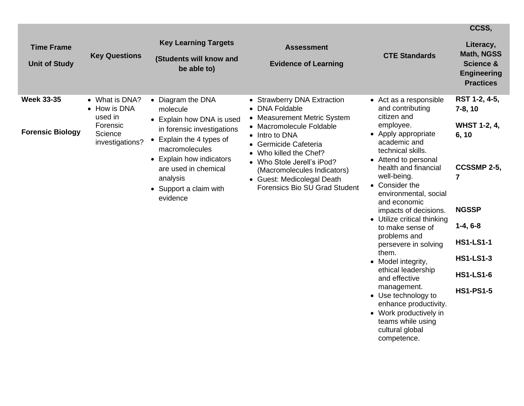|                                              |                                                                                     |                                                                                                                                                                                                                                              |                                                                                                                                                                                                                                                                                                            |                                                                                                                                                                                                                                                                                                                                                                                                                                                                                                                                                                                                        | CCSS,                                                                                                                                                                                        |
|----------------------------------------------|-------------------------------------------------------------------------------------|----------------------------------------------------------------------------------------------------------------------------------------------------------------------------------------------------------------------------------------------|------------------------------------------------------------------------------------------------------------------------------------------------------------------------------------------------------------------------------------------------------------------------------------------------------------|--------------------------------------------------------------------------------------------------------------------------------------------------------------------------------------------------------------------------------------------------------------------------------------------------------------------------------------------------------------------------------------------------------------------------------------------------------------------------------------------------------------------------------------------------------------------------------------------------------|----------------------------------------------------------------------------------------------------------------------------------------------------------------------------------------------|
| <b>Time Frame</b><br><b>Unit of Study</b>    | <b>Key Questions</b>                                                                | <b>Key Learning Targets</b><br>(Students will know and<br>be able to)                                                                                                                                                                        | <b>Assessment</b><br><b>Evidence of Learning</b>                                                                                                                                                                                                                                                           | <b>CTE Standards</b>                                                                                                                                                                                                                                                                                                                                                                                                                                                                                                                                                                                   | Literacy,<br><b>Math, NGSS</b><br><b>Science &amp;</b><br><b>Engineering</b><br><b>Practices</b>                                                                                             |
| <b>Week 33-35</b><br><b>Forensic Biology</b> | • What is DNA?<br>• How is DNA<br>used in<br>Forensic<br>Science<br>investigations? | • Diagram the DNA<br>molecule<br>• Explain how DNA is used<br>in forensic investigations<br>• Explain the 4 types of<br>macromolecules<br>• Explain how indicators<br>are used in chemical<br>analysis<br>• Support a claim with<br>evidence | • Strawberry DNA Extraction<br><b>DNA Foldable</b><br>• Measurement Metric System<br>• Macromolecule Foldable<br>• Intro to DNA<br>Germicide Cafeteria<br>Who killed the Chef?<br>• Who Stole Jerell's iPod?<br>(Macromolecules Indicators)<br>• Guest: Medicolegal Death<br>Forensics Bio SU Grad Student | • Act as a responsible<br>and contributing<br>citizen and<br>employee.<br>• Apply appropriate<br>academic and<br>technical skills.<br>• Attend to personal<br>health and financial<br>well-being.<br>• Consider the<br>environmental, social<br>and economic<br>impacts of decisions.<br>• Utilize critical thinking<br>to make sense of<br>problems and<br>persevere in solving<br>them.<br>• Model integrity,<br>ethical leadership<br>and effective<br>management.<br>• Use technology to<br>enhance productivity.<br>• Work productively in<br>teams while using<br>cultural global<br>competence. | RST 1-2, 4-5,<br>$7-8, 10$<br><b>WHST 1-2, 4,</b><br>6, 10<br>CCSSMP 2-5,<br>7<br><b>NGSSP</b><br>$1-4, 6-8$<br><b>HS1-LS1-1</b><br><b>HS1-LS1-3</b><br><b>HS1-LS1-6</b><br><b>HS1-PS1-5</b> |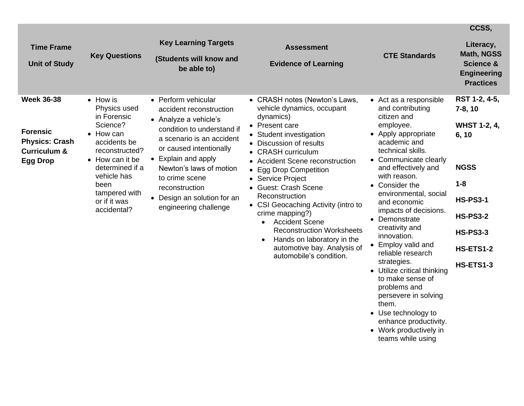|                                                                                                             |                                                                                                                                                                                                                                 | <b>Key Learning Targets</b>                                                                                                                                                                                                                                                                                 |                                                                                                                                                                                                                                                                                                                                                                                                                                                                                                                                                       |                                                                                                                                                                                                                                                                                                                                                                                                                                                                                                                                                                                  | CCSS,                                                                                                                                                                                 |
|-------------------------------------------------------------------------------------------------------------|---------------------------------------------------------------------------------------------------------------------------------------------------------------------------------------------------------------------------------|-------------------------------------------------------------------------------------------------------------------------------------------------------------------------------------------------------------------------------------------------------------------------------------------------------------|-------------------------------------------------------------------------------------------------------------------------------------------------------------------------------------------------------------------------------------------------------------------------------------------------------------------------------------------------------------------------------------------------------------------------------------------------------------------------------------------------------------------------------------------------------|----------------------------------------------------------------------------------------------------------------------------------------------------------------------------------------------------------------------------------------------------------------------------------------------------------------------------------------------------------------------------------------------------------------------------------------------------------------------------------------------------------------------------------------------------------------------------------|---------------------------------------------------------------------------------------------------------------------------------------------------------------------------------------|
| <b>Time Frame</b><br><b>Unit of Study</b>                                                                   | <b>Key Questions</b>                                                                                                                                                                                                            | (Students will know and<br>be able to)                                                                                                                                                                                                                                                                      | <b>Assessment</b><br><b>Evidence of Learning</b>                                                                                                                                                                                                                                                                                                                                                                                                                                                                                                      | <b>CTE Standards</b>                                                                                                                                                                                                                                                                                                                                                                                                                                                                                                                                                             | Literacy,<br><b>Math, NGSS</b><br><b>Science &amp;</b><br><b>Engineering</b><br><b>Practices</b>                                                                                      |
| <b>Week 36-38</b><br><b>Forensic</b><br><b>Physics: Crash</b><br><b>Curriculum &amp;</b><br><b>Egg Drop</b> | $\bullet$ How is<br>Physics used<br>in Forensic<br>Science?<br>$\bullet$ How can<br>accidents be<br>reconstructed?<br>• How can it be<br>determined if a<br>vehicle has<br>been<br>tampered with<br>or if it was<br>accidental? | • Perform vehicular<br>accident reconstruction<br>• Analyze a vehicle's<br>condition to understand if<br>a scenario is an accident<br>or caused intentionally<br>• Explain and apply<br>Newton's laws of motion<br>to crime scene<br>reconstruction<br>• Design an solution for an<br>engineering challenge | • CRASH notes (Newton's Laws,<br>vehicle dynamics, occupant<br>dynamics)<br>• Present care<br>• Student investigation<br>• Discussion of results<br>• CRASH curriculum<br><b>Accident Scene reconstruction</b><br><b>Egg Drop Competition</b><br>• Service Project<br>• Guest: Crash Scene<br>Reconstruction<br>• CSI Geocaching Activity (intro to<br>crime mapping?)<br><b>Accident Scene</b><br>$\bullet$<br><b>Reconstruction Worksheets</b><br>Hands on laboratory in the<br>$\bullet$<br>automotive bay. Analysis of<br>automobile's condition. | • Act as a responsible<br>and contributing<br>citizen and<br>employee.<br>• Apply appropriate<br>academic and<br>technical skills.<br>• Communicate clearly<br>and effectively and<br>with reason.<br>• Consider the<br>environmental, social<br>and economic<br>impacts of decisions.<br>• Demonstrate<br>creativity and<br>innovation.<br>• Employ valid and<br>reliable research<br>strategies.<br>• Utilize critical thinking<br>to make sense of<br>problems and<br>persevere in solving<br>them.<br>• Use technology to<br>enhance productivity.<br>• Work productively in | RST 1-2, 4-5,<br>$7-8, 10$<br><b>WHST 1-2, 4,</b><br>6, 10<br><b>NGSS</b><br>$1 - 8$<br><b>HS-PS3-1</b><br><b>HS-PS3-2</b><br><b>HS-PS3-3</b><br><b>HS-ETS1-2</b><br><b>HS-ETS1-3</b> |

teams while using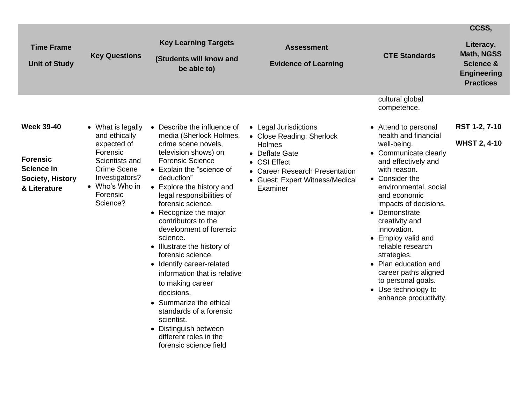|                                                                                               |                                                                                                                                                            |                                                                                                                                                                                                                                                                                                                                                                                                                                                                                        |                                                                                                                                                                                 |                                                                                                                                                                                                                                                                                                                                                                                                                                                            | CCSS,                                                                                     |
|-----------------------------------------------------------------------------------------------|------------------------------------------------------------------------------------------------------------------------------------------------------------|----------------------------------------------------------------------------------------------------------------------------------------------------------------------------------------------------------------------------------------------------------------------------------------------------------------------------------------------------------------------------------------------------------------------------------------------------------------------------------------|---------------------------------------------------------------------------------------------------------------------------------------------------------------------------------|------------------------------------------------------------------------------------------------------------------------------------------------------------------------------------------------------------------------------------------------------------------------------------------------------------------------------------------------------------------------------------------------------------------------------------------------------------|-------------------------------------------------------------------------------------------|
| <b>Time Frame</b><br><b>Unit of Study</b>                                                     | <b>Key Questions</b>                                                                                                                                       | <b>Key Learning Targets</b><br>(Students will know and<br>be able to)                                                                                                                                                                                                                                                                                                                                                                                                                  | <b>Assessment</b><br><b>Evidence of Learning</b>                                                                                                                                | <b>CTE Standards</b>                                                                                                                                                                                                                                                                                                                                                                                                                                       | Literacy,<br>Math, NGSS<br><b>Science &amp;</b><br><b>Engineering</b><br><b>Practices</b> |
| <b>Week 39-40</b><br><b>Forensic</b><br><b>Science in</b><br>Society, History<br>& Literature | • What is legally<br>and ethically<br>expected of<br>Forensic<br>Scientists and<br>Crime Scene<br>Investigators?<br>• Who's Who in<br>Forensic<br>Science? | • Describe the influence of<br>media (Sherlock Holmes,<br>crime scene novels,<br>television shows) on<br><b>Forensic Science</b><br>• Explain the "science of<br>deduction"<br>• Explore the history and<br>legal responsibilities of<br>forensic science.<br>• Recognize the major<br>contributors to the<br>development of forensic<br>science.<br>• Illustrate the history of<br>forensic science.<br>• Identify career-related<br>information that is relative<br>to making career | • Legal Jurisdictions<br>• Close Reading: Sherlock<br>Holmes<br>• Deflate Gate<br>• CSI Effect<br>• Career Research Presentation<br>• Guest: Expert Witness/Medical<br>Examiner | cultural global<br>competence.<br>• Attend to personal<br>health and financial<br>well-being.<br>• Communicate clearly<br>and effectively and<br>with reason.<br>• Consider the<br>environmental, social<br>and economic<br>impacts of decisions.<br>• Demonstrate<br>creativity and<br>innovation.<br>• Employ valid and<br>reliable research<br>strategies.<br>• Plan education and<br>career paths aligned<br>to personal goals.<br>• Use technology to | RST 1-2, 7-10<br><b>WHST 2, 4-10</b>                                                      |
|                                                                                               |                                                                                                                                                            | decisions.<br>• Summarize the ethical<br>standards of a forensic<br>scientist.<br>• Distinguish between<br>different roles in the<br>forensic science field                                                                                                                                                                                                                                                                                                                            |                                                                                                                                                                                 | enhance productivity.                                                                                                                                                                                                                                                                                                                                                                                                                                      |                                                                                           |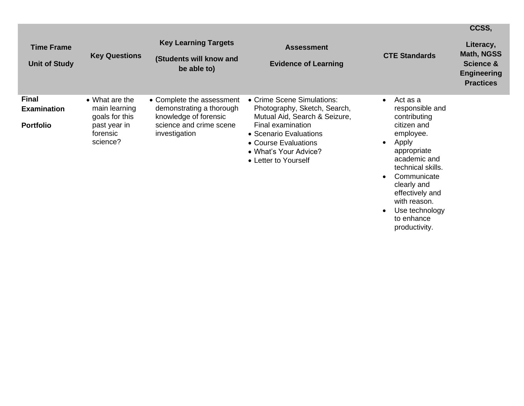| <b>Time Frame</b><br><b>Unit of Study</b>              | <b>Key Questions</b>                                                                              | <b>Key Learning Targets</b><br>(Students will know and<br>be able to)                                                      | <b>Assessment</b><br><b>Evidence of Learning</b>                                                                                                                                                                    | <b>CTE Standards</b>                                                                                                                 | Literacy,<br><b>Math, NGSS</b><br><b>Science &amp;</b><br><b>Engineering</b><br><b>Practices</b> |
|--------------------------------------------------------|---------------------------------------------------------------------------------------------------|----------------------------------------------------------------------------------------------------------------------------|---------------------------------------------------------------------------------------------------------------------------------------------------------------------------------------------------------------------|--------------------------------------------------------------------------------------------------------------------------------------|--------------------------------------------------------------------------------------------------|
| <b>Final</b><br><b>Examination</b><br><b>Portfolio</b> | $\bullet$ What are the<br>main learning<br>goals for this<br>past year in<br>forensic<br>science? | • Complete the assessment<br>demonstrating a thorough<br>knowledge of forensic<br>science and crime scene<br>investigation | • Crime Scene Simulations:<br>Photography, Sketch, Search,<br>Mutual Aid, Search & Seizure,<br>Final examination<br>• Scenario Evaluations<br>• Course Evaluations<br>• What's Your Advice?<br>• Letter to Yourself | Act as a<br>responsible and<br>contributing<br>citizen and<br>employee.<br>Apply<br>appropriate<br>academic and<br>technical skills. |                                                                                                  |

• Communicate clearly and effectively and with reason.

**CCSS,**

• Use technology to enhance productivity.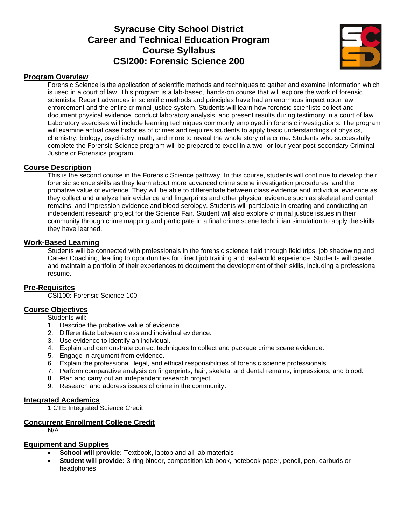# **Syracuse City School District Career and Technical Education Program Course Syllabus CSI200: Forensic Science 200**



### **Program Overview**

Forensic Science is the application of scientific methods and techniques to gather and examine information which is used in a court of law. This program is a lab-based, hands-on course that will explore the work of forensic scientists. Recent advances in scientific methods and principles have had an enormous impact upon law enforcement and the entire criminal justice system. Students will learn how forensic scientists collect and document physical evidence, conduct laboratory analysis, and present results during testimony in a court of law. Laboratory exercises will include learning techniques commonly employed in forensic investigations. The program will examine actual case histories of crimes and requires students to apply basic understandings of physics, chemistry, biology, psychiatry, math, and more to reveal the whole story of a crime. Students who successfully complete the Forensic Science program will be prepared to excel in a two- or four-year post-secondary Criminal Justice or Forensics program.

#### **Course Description**

This is the second course in the Forensic Science pathway. In this course, students will continue to develop their forensic science skills as they learn about more advanced crime scene investigation procedures and the probative value of evidence. They will be able to differentiate between class evidence and individual evidence as they collect and analyze hair evidence and fingerprints and other physical evidence such as skeletal and dental remains, and impression evidence and blood serology. Students will participate in creating and conducting an independent research project for the Science Fair. Student will also explore criminal justice issues in their community through crime mapping and participate in a final crime scene technician simulation to apply the skills they have learned.

#### **Work-Based Learning**

Students will be connected with professionals in the forensic science field through field trips, job shadowing and Career Coaching, leading to opportunities for direct job training and real-world experience. Students will create and maintain a portfolio of their experiences to document the development of their skills, including a professional resume.

## **Pre-Requisites**

CSI100: Forensic Science 100

#### **Course Objectives**

Students will:

- 1. Describe the probative value of evidence.
- 2. Differentiate between class and individual evidence.
- 3. Use evidence to identify an individual.
- 4. Explain and demonstrate correct techniques to collect and package crime scene evidence.
- 5. Engage in argument from evidence.
- 6. Explain the professional, legal, and ethical responsibilities of forensic science professionals.
- 7. Perform comparative analysis on fingerprints, hair, skeletal and dental remains, impressions, and blood.
- 8. Plan and carry out an independent research project.
- 9. Research and address issues of crime in the community.

#### **Integrated Academics**

1 CTE Integrated Science Credit

#### **Concurrent Enrollment College Credit**

N/A

#### **Equipment and Supplies**

- **School will provide:** Textbook, laptop and all lab materials
- **Student will provide:** 3-ring binder, composition lab book, notebook paper, pencil, pen, earbuds or headphones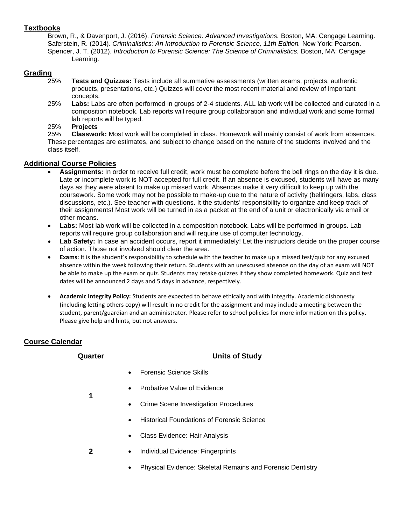### **Textbooks**

Brown, R., & Davenport, J. (2016). *Forensic Science: Advanced Investigations.* Boston, MA: Cengage Learning. Saferstein, R. (2014). *Criminalistics: An Introduction to Forensic Science, 11th Edition.* New York: Pearson. Spencer, J. T. (2012). *Introduction to Forensic Science: The Science of Criminalistics.* Boston, MA: Cengage Learning.

## **Grading**

- 25% **Tests and Quizzes:** Tests include all summative assessments (written exams, projects, authentic products, presentations, etc.) Quizzes will cover the most recent material and review of important concepts.
- 25% **Labs:** Labs are often performed in groups of 2-4 students. ALL lab work will be collected and curated in a composition notebook. Lab reports will require group collaboration and individual work and some formal lab reports will be typed.

#### 25% **Projects**

25% **Classwork:** Most work will be completed in class. Homework will mainly consist of work from absences. These percentages are estimates, and subject to change based on the nature of the students involved and the class itself.

## **Additional Course Policies**

- **Assignments:** In order to receive full credit, work must be complete before the bell rings on the day it is due. Late or incomplete work is NOT accepted for full credit. If an absence is excused, students will have as many days as they were absent to make up missed work. Absences make it very difficult to keep up with the coursework. Some work may not be possible to make-up due to the nature of activity (bellringers, labs, class discussions, etc.). See teacher with questions. It the students' responsibility to organize and keep track of their assignments! Most work will be turned in as a packet at the end of a unit or electronically via email or other means.
- Labs: Most lab work will be collected in a composition notebook. Labs will be performed in groups. Lab reports will require group collaboration and will require use of computer technology.
- **Lab Safety:** In case an accident occurs, report it immediately! Let the instructors decide on the proper course of action. Those not involved should clear the area.
- **Exams:** It is the student's responsibility to schedule with the teacher to make up a missed test/quiz for any excused absence within the week following their return. Students with an unexcused absence on the day of an exam will NOT be able to make up the exam or quiz. Students may retake quizzes if they show completed homework. Quiz and test dates will be announced 2 days and 5 days in advance, respectively.
- **Academic Integrity Policy:** Students are expected to behave ethically and with integrity. Academic dishonesty (including letting others copy) will result in no credit for the assignment and may include a meeting between the student, parent/guardian and an administrator. Please refer to school policies for more information on this policy. Please give help and hints, but not answers.

## **Course Calendar**

**1**

**2**

## **Quarter Units of Study**

- Forensic Science Skills
- Probative Value of Evidence
- Crime Scene Investigation Procedures
- Historical Foundations of Forensic Science
- Class Evidence: Hair Analysis
- Individual Evidence: Fingerprints
	- Physical Evidence: Skeletal Remains and Forensic Dentistry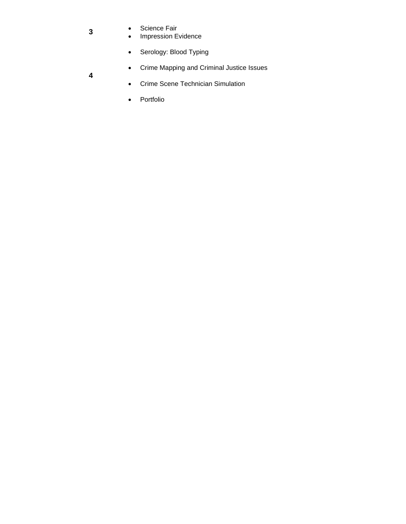- Science Fair
	- Impression Evidence
	- Serology: Blood Typing
	- Crime Mapping and Criminal Justice Issues
- **4**

**3**

- Crime Scene Technician Simulation
- Portfolio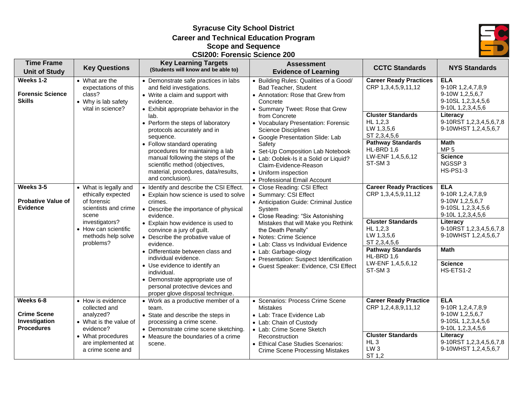**Syracuse City School District Career and Technical Education Program Scope and Sequence CSI200: Forensic Science 200**



| <b>Time Frame</b>                                                     | <b>Key Questions</b>                                                                                                                                                                                                 | <b>Key Learning Targets</b>                                                                                                                                                                            | <b>Assessment</b>                                                                                                                                                                                                                         | <b>CCTC Standards</b>                                                                                               | <b>NYS Standards</b>                                                                                                                                         |
|-----------------------------------------------------------------------|----------------------------------------------------------------------------------------------------------------------------------------------------------------------------------------------------------------------|--------------------------------------------------------------------------------------------------------------------------------------------------------------------------------------------------------|-------------------------------------------------------------------------------------------------------------------------------------------------------------------------------------------------------------------------------------------|---------------------------------------------------------------------------------------------------------------------|--------------------------------------------------------------------------------------------------------------------------------------------------------------|
| <b>Unit of Study</b>                                                  |                                                                                                                                                                                                                      | (Students will know and be able to)                                                                                                                                                                    | <b>Evidence of Learning</b>                                                                                                                                                                                                               |                                                                                                                     |                                                                                                                                                              |
| Weeks 1-2<br><b>Forensic Science</b><br><b>Skills</b>                 | • What are the<br>expectations of this<br>class?<br>• Why is lab safety<br>vital in science?                                                                                                                         | • Demonstrate safe practices in labs<br>and field investigations.<br>• Write a claim and support with<br>evidence.<br>• Exhibit appropriate behavior in the                                            | • Building Rules: Qualities of a Good/<br>Bad Teacher, Student<br>• Annotation: Rose that Grew from<br>Concrete<br>• Summary Tweet: Rose that Grew                                                                                        | <b>Career Ready Practices</b><br>CRP 1,3,4,5,9,11,12                                                                | <b>ELA</b><br>9-10R 1,2,4,7,8,9<br>9-10W 1,2,5,6,7<br>9-10SL 1,2,3,4,5,6<br>9-10L 1,2,3,4,5,6                                                                |
|                                                                       |                                                                                                                                                                                                                      | lab.<br>• Perform the steps of laboratory<br>protocols accurately and in<br>sequence.                                                                                                                  | from Concrete<br>HL 1,2,3<br>• Vocabulary Presentation: Forensic<br>LW 1,3,5,6<br><b>Science Disciplines</b><br>ST 2,3,4,5,6<br>• Google Presentation Slide: Lab                                                                          | <b>Cluster Standards</b><br><b>Pathway Standards</b>                                                                | Literacy<br>9-10RST 1,2,3,4,5,6,7,8<br>9-10WHST 1,2,4,5,6,7<br><b>Math</b>                                                                                   |
|                                                                       | • Follow standard operating<br>procedures for maintaining a lab<br>manual following the steps of the<br>scientific method (objectives,<br>material, procedures, data/results,<br>and conclusion).                    | Safety<br>• Set-Up Composition Lab Notebook<br>• Lab: Ooblek-Is it a Solid or Liquid?<br>Claim-Evidence-Reason<br>• Uniform inspection<br>• Professional Email Account                                 | HL-BRD 1,6<br>LW-ENF 1,4,5,6,12<br>ST-SM <sub>3</sub>                                                                                                                                                                                     | MP <sub>5</sub><br><b>Science</b><br>NGSSP3<br><b>HS-PS1-3</b>                                                      |                                                                                                                                                              |
| Weeks 3-5<br><b>Probative Value of</b><br><b>Evidence</b>             | • What is legally and<br>ethically expected<br>of forensic<br>scientists and crime<br>scene                                                                                                                          | • Identify and describe the CSI Effect.<br>• Explain how science is used to solve<br>crimes.<br>• Describe the importance of physical<br>evidence.                                                     | • Close Reading: CSI Effect<br>• Summary: CSI Effect<br>• Anticipation Guide: Criminal Justice<br>System<br>• Close Reading: "Six Astonishing                                                                                             | <b>Career Ready Practices</b><br>CRP 1,3,4,5,9,11,12                                                                | <b>ELA</b><br>9-10R 1,2,4,7,8,9<br>9-10W 1,2,5,6,7<br>9-10SL 1,2,3,4,5,6<br>9-10L 1,2,3,4,5,6                                                                |
|                                                                       | investigators?<br>• How can scientific<br>methods help solve<br>problems?                                                                                                                                            | • Explain how evidence is used to<br>convince a jury of guilt.<br>• Describe the probative value of<br>evidence.                                                                                       | Mistakes that will Make you Rethink<br>the Death Penalty"<br>• Notes: Crime Science<br>• Lab: Class vs Individual Evidence                                                                                                                | <b>Cluster Standards</b><br>HL 1,2,3<br>LW 1,3,5,6<br>ST 2,3,4,5,6                                                  | Literacy<br>9-10RST 1,2,3,4,5,6,7,8<br>9-10WHST 1,2,4,5,6,7                                                                                                  |
|                                                                       | • Differentiate between class and<br>individual evidence.<br>• Use evidence to identify an<br>individual.<br>• Demonstrate appropriate use of<br>personal protective devices and<br>proper glove disposal technique. | • Lab: Garbage-ology<br>• Presentation: Suspect Identification<br>• Guest Speaker: Evidence, CSI Effect                                                                                                | <b>Pathway Standards</b><br>HL-BRD 1,6<br>LW-ENF 1,4,5,6,12<br>ST-SM <sub>3</sub>                                                                                                                                                         | <b>Math</b><br><b>Science</b><br>HS-ETS1-2                                                                          |                                                                                                                                                              |
| Weeks 6-8<br><b>Crime Scene</b><br>Investigation<br><b>Procedures</b> | • How is evidence<br>collected and<br>analyzed?<br>• What is the value of<br>evidence?<br>• What procedures<br>are implemented at<br>a crime scene and                                                               | • Work as a productive member of a<br>team.<br>• State and describe the steps in<br>processing a crime scene.<br>• Demonstrate crime scene sketching.<br>• Measure the boundaries of a crime<br>scene. | • Scenarios: Process Crime Scene<br><b>Mistakes</b><br>• Lab: Trace Evidence Lab<br>• Lab: Chain of Custody<br>• Lab: Crime Scene Sketch<br>Reconstruction<br>• Ethical Case Studies Scenarios:<br><b>Crime Scene Processing Mistakes</b> | <b>Career Ready Practice</b><br>CRP 1,2,4,8,9,11,12<br><b>Cluster Standards</b><br>HL3<br>LW <sub>3</sub><br>ST 1.2 | <b>ELA</b><br>9-10R 1,2,4,7,8,9<br>9-10W 1,2,5,6,7<br>9-10SL 1,2,3,4,5,6<br>9-10L 1,2,3,4,5,6<br>Literacy<br>9-10RST 1,2,3,4,5,6,7,8<br>9-10WHST 1,2,4,5,6,7 |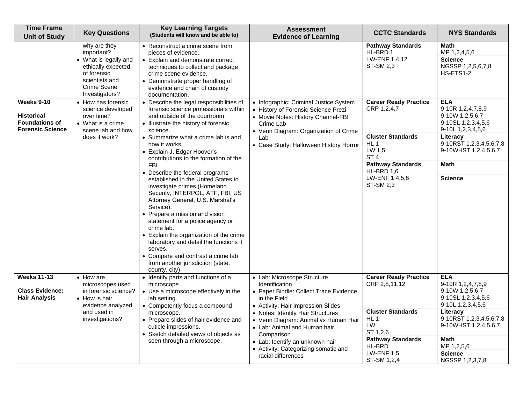| <b>Time Frame</b><br><b>Unit of Study</b>                                                  | <b>Key Questions</b>                                                                                                                                 | <b>Key Learning Targets</b><br>(Students will know and be able to)                                                                                                                                                                                                                                                                                                                                                                                                           | <b>Assessment</b><br><b>Evidence of Learning</b>                                                                                                                          | <b>CCTC Standards</b>                                                  | <b>NYS Standards</b>                                                                          |
|--------------------------------------------------------------------------------------------|------------------------------------------------------------------------------------------------------------------------------------------------------|------------------------------------------------------------------------------------------------------------------------------------------------------------------------------------------------------------------------------------------------------------------------------------------------------------------------------------------------------------------------------------------------------------------------------------------------------------------------------|---------------------------------------------------------------------------------------------------------------------------------------------------------------------------|------------------------------------------------------------------------|-----------------------------------------------------------------------------------------------|
|                                                                                            | why are they<br>important?<br>• What is legally and<br>ethically expected<br>of forensic<br>scientists and<br>Crime Scene<br>Investigators?          | • Reconstruct a crime scene from<br>pieces of evidence.<br>• Explain and demonstrate correct<br>techniques to collect and package<br>crime scene evidence.<br>• Demonstrate proper handling of<br>evidence and chain of custody<br>documentation.                                                                                                                                                                                                                            |                                                                                                                                                                           | <b>Pathway Standards</b><br>HL-BRD 1<br>LW-ENF 1,4,12<br>ST-SM 2,3     | Math<br>MP 1,2,4,5,6<br><b>Science</b><br>NGSSP 1,2,5,6,7,8<br>HS-ETS1-2                      |
| <b>Weeks 9-10</b><br><b>Historical</b><br><b>Foundations of</b><br><b>Forensic Science</b> | • How has forensic<br>science developed<br>over time?<br>• What is a crime<br>scene lab and how                                                      | • Describe the legal responsibilities of<br>forensic science professionals within<br>and outside of the courtroom.<br>• Illustrate the history of forensic<br>science.                                                                                                                                                                                                                                                                                                       | • Infographic: Criminal Justice System<br>• History of Forensic Science Prezi<br>• Movie Notes: History Channel-FBI<br>Crime Lab<br>• Venn Diagram: Organization of Crime | <b>Career Ready Practice</b><br>CRP 1,2,4,7                            | <b>ELA</b><br>9-10R 1,2,4,7,8,9<br>9-10W 1,2,5,6,7<br>9-10SL 1,2,3,4,5,6<br>9-10L 1,2,3,4,5,6 |
|                                                                                            | does it work?<br>• Summarize what a crime lab is and<br>Lab<br>how it works.<br>• Explain J. Edgar Hoover's<br>contributions to the formation of the | • Case Study: Halloween History Horror                                                                                                                                                                                                                                                                                                                                                                                                                                       | <b>Cluster Standards</b><br>HL <sub>1</sub><br>LW 1,5<br>ST <sub>4</sub>                                                                                                  | Literacy<br>9-10RST 1,2,3,4,5,6,7,8<br>9-10WHST 1,2,4,5,6,7            |                                                                                               |
|                                                                                            |                                                                                                                                                      | FBI.                                                                                                                                                                                                                                                                                                                                                                                                                                                                         |                                                                                                                                                                           | <b>Pathway Standards</b><br>HL-BRD 1,6                                 | <b>Math</b>                                                                                   |
|                                                                                            |                                                                                                                                                      | • Describe the federal programs<br>established in the United States to<br>investigate crimes (Homeland<br>Security, INTERPOL, ATF, FBI, US<br>Attorney General, U.S. Marshal's<br>Service).<br>• Prepare a mission and vision<br>statement for a police agency or<br>crime lab.<br>• Explain the organization of the crime<br>laboratory and detail the functions it<br>serves.<br>• Compare and contrast a crime lab<br>from another jurisdiction (state,<br>county, city). |                                                                                                                                                                           | LW-ENF 1,4,5,6<br>ST-SM 2,3                                            | <b>Science</b>                                                                                |
| <b>Weeks 11-13</b>                                                                         | $\bullet$ How are<br>microscopes used                                                                                                                | • Identify parts and functions of a<br>microscope.                                                                                                                                                                                                                                                                                                                                                                                                                           | • Lab: Microscope Structure<br>Identification                                                                                                                             | <b>Career Ready Practice</b><br>CRP 2,8,11,12                          | <b>ELA</b><br>9-10R 1,2,4,7,8,9                                                               |
| <b>Class Evidence:</b><br><b>Hair Analysis</b>                                             | in forensic science?<br>• How is hair<br>evidence analyzed                                                                                           | • Use a microscope effectively in the<br>lab setting.<br>• Competently focus a compound                                                                                                                                                                                                                                                                                                                                                                                      | • Paper Bindle: Collect Trace Evidence<br>in the Field<br>• Activity: Hair Impression Slides                                                                              |                                                                        | 9-10W 1,2,5,6,7<br>9-10SL 1, 2, 3, 4, 5, 6<br>9-10L 1,2,3,4,5,6                               |
|                                                                                            | and used in<br>investigations?                                                                                                                       | microscope.<br>• Prepare slides of hair evidence and<br>cuticle impressions.<br>• Sketch detailed views of objects as                                                                                                                                                                                                                                                                                                                                                        | • Notes: Identify Hair Structures<br>• Venn Diagram: Animal vs Human Hair<br>• Lab: Animal and Human hair<br>Comparison                                                   | <b>Cluster Standards</b><br>$HL$ 1<br><b>LW</b><br>ST 1,2,6            | Literacy<br>9-10RST 1,2,3,4,5,6,7,8<br>9-10WHST 1,2,4,5,6,7                                   |
|                                                                                            |                                                                                                                                                      | seen through a microscope.                                                                                                                                                                                                                                                                                                                                                                                                                                                   | • Lab: Identify an unknown hair<br>• Activity: Categorizing somatic and<br>racial differences                                                                             | <b>Pathway Standards</b><br>HL-BRD<br><b>LW-ENF 1,5</b><br>ST-SM 1,2,4 | <b>Math</b><br>MP 1,2,5,6<br><b>Science</b><br>NGSSP 1,2,3,7,8                                |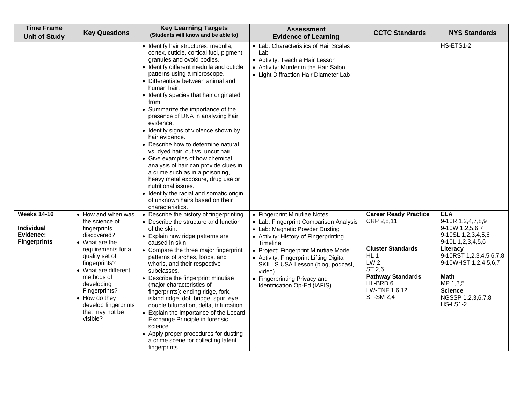| <b>Time Frame</b><br><b>Unit of Study</b>                                   | <b>Key Questions</b>                                                                                                                                                                                                                                                                                | <b>Key Learning Targets</b><br>(Students will know and be able to)                                                                                                                                                                                                                                                                                                                                                                                                                                                                                                                                                                                                                                                                                                                                              | <b>Assessment</b><br><b>Evidence of Learning</b>                                                                                                                                                                                                                                                                                                                 | <b>CCTC Standards</b>                                                                                                                                                                    | <b>NYS Standards</b>                                                                                                                                                                                                                              |
|-----------------------------------------------------------------------------|-----------------------------------------------------------------------------------------------------------------------------------------------------------------------------------------------------------------------------------------------------------------------------------------------------|-----------------------------------------------------------------------------------------------------------------------------------------------------------------------------------------------------------------------------------------------------------------------------------------------------------------------------------------------------------------------------------------------------------------------------------------------------------------------------------------------------------------------------------------------------------------------------------------------------------------------------------------------------------------------------------------------------------------------------------------------------------------------------------------------------------------|------------------------------------------------------------------------------------------------------------------------------------------------------------------------------------------------------------------------------------------------------------------------------------------------------------------------------------------------------------------|------------------------------------------------------------------------------------------------------------------------------------------------------------------------------------------|---------------------------------------------------------------------------------------------------------------------------------------------------------------------------------------------------------------------------------------------------|
|                                                                             |                                                                                                                                                                                                                                                                                                     | · Identify hair structures: medulla,<br>cortex, cuticle, cortical fuci, pigment<br>granules and ovoid bodies.<br>• Identify different medulla and cuticle<br>patterns using a microscope.<br>• Differentiate between animal and<br>human hair.<br>• Identify species that hair originated<br>from.<br>• Summarize the importance of the<br>presence of DNA in analyzing hair<br>evidence.<br>• Identify signs of violence shown by<br>hair evidence.<br>• Describe how to determine natural<br>vs. dyed hair, cut vs. uncut hair.<br>• Give examples of how chemical<br>analysis of hair can provide clues in<br>a crime such as in a poisoning,<br>heavy metal exposure, drug use or<br>nutritional issues.<br>• Identify the racial and somatic origin<br>of unknown hairs based on their<br>characteristics. | • Lab: Characteristics of Hair Scales<br>Lab<br>• Activity: Teach a Hair Lesson<br>• Activity: Murder in the Hair Salon<br>• Light Diffraction Hair Diameter Lab                                                                                                                                                                                                 |                                                                                                                                                                                          | HS-ETS1-2                                                                                                                                                                                                                                         |
| <b>Weeks 14-16</b><br><b>Individual</b><br>Evidence:<br><b>Fingerprints</b> | • How and when was<br>the science of<br>fingerprints<br>discovered?<br>$\bullet$ What are the<br>requirements for a<br>quality set of<br>fingerprints?<br>• What are different<br>methods of<br>developing<br>Fingerprints?<br>• How do they<br>develop fingerprints<br>that may not be<br>visible? | • Describe the history of fingerprinting.<br>• Describe the structure and function<br>of the skin.<br>• Explain how ridge patterns are<br>caused in skin.<br>• Compare the three major fingerprint<br>patterns of arches, loops, and<br>whorls, and their respective<br>subclasses.<br>• Describe the fingerprint minutiae<br>(major characteristics of<br>fingerprints): ending ridge, fork,<br>island ridge, dot, bridge, spur, eye,<br>double bifurcation, delta, trifurcation.<br>Explain the importance of the Locard<br>Exchange Principle in forensic<br>science.<br>• Apply proper procedures for dusting<br>a crime scene for collecting latent<br>fingerprints.                                                                                                                                       | • Fingerprint Minutiae Notes<br>• Lab: Fingerprint Comparison Analysis<br>• Lab: Magnetic Powder Dusting<br>• Activity: History of Fingerprinting<br>Timeline<br>• Project: Fingerprint Minutiae Model<br>• Activity: Fingerprint Lifting Digital<br>SKILLS USA Lesson (blog, podcast,<br>video)<br>• Fingerprinting Privacy and<br>Identification Op-Ed (IAFIS) | <b>Career Ready Practice</b><br>CRP 2,8,11<br><b>Cluster Standards</b><br>HL 1<br>LW <sub>2</sub><br>ST 2,6<br><b>Pathway Standards</b><br>HL-BRD 6<br>LW-ENF 1,6,12<br><b>ST-SM 2,4</b> | <b>ELA</b><br>9-10R 1,2,4,7,8,9<br>9-10W 1,2,5,6,7<br>9-10SL 1,2,3,4,5,6<br>9-10L 1,2,3,4,5,6<br>Literacy<br>9-10RST 1,2,3,4,5,6,7,8<br>9-10WHST 1,2,4,5,6,7<br><b>Math</b><br>MP 1,3,5<br><b>Science</b><br>NGSSP 1,2,3,6,7,8<br><b>HS-LS1-2</b> |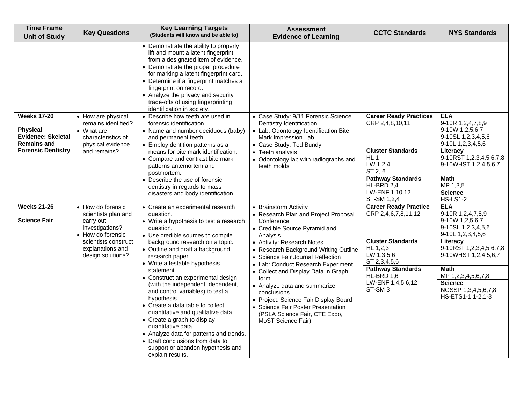| <b>Time Frame</b><br><b>Unit of Study</b>                                                                             | <b>Key Questions</b>                                                                                                                                           | <b>Key Learning Targets</b><br>(Students will know and be able to)                                                                                                                                                                                                                                                                                                                                                                                                                                                                                                                                                                                                                        | <b>Assessment</b><br><b>Evidence of Learning</b>                                                                                                                                                                                                                                                                                                                                                                                                                                                               | <b>CCTC Standards</b>                                                                                                                                                                                          | <b>NYS Standards</b>                                                                                                                                                                                                                                                |
|-----------------------------------------------------------------------------------------------------------------------|----------------------------------------------------------------------------------------------------------------------------------------------------------------|-------------------------------------------------------------------------------------------------------------------------------------------------------------------------------------------------------------------------------------------------------------------------------------------------------------------------------------------------------------------------------------------------------------------------------------------------------------------------------------------------------------------------------------------------------------------------------------------------------------------------------------------------------------------------------------------|----------------------------------------------------------------------------------------------------------------------------------------------------------------------------------------------------------------------------------------------------------------------------------------------------------------------------------------------------------------------------------------------------------------------------------------------------------------------------------------------------------------|----------------------------------------------------------------------------------------------------------------------------------------------------------------------------------------------------------------|---------------------------------------------------------------------------------------------------------------------------------------------------------------------------------------------------------------------------------------------------------------------|
|                                                                                                                       |                                                                                                                                                                | • Demonstrate the ability to properly<br>lift and mount a latent fingerprint<br>from a designated item of evidence.<br>• Demonstrate the proper procedure<br>for marking a latent fingerprint card.<br>• Determine if a fingerprint matches a<br>fingerprint on record.<br>• Analyze the privacy and security<br>trade-offs of using fingerprinting<br>identification in society.                                                                                                                                                                                                                                                                                                         |                                                                                                                                                                                                                                                                                                                                                                                                                                                                                                                |                                                                                                                                                                                                                |                                                                                                                                                                                                                                                                     |
| <b>Weeks 17-20</b><br><b>Physical</b><br><b>Evidence: Skeletal</b><br><b>Remains and</b><br><b>Forensic Dentistry</b> | • How are physical<br>remains identified?<br>• What are<br>characteristics of<br>physical evidence<br>and remains?                                             | • Describe how teeth are used in<br>forensic identification.<br>• Name and number deciduous (baby)<br>and permanent teeth.<br>• Employ dentition patterns as a<br>means for bite mark identification.<br>• Compare and contrast bite mark<br>patterns antemortem and<br>postmortem.<br>• Describe the use of forensic<br>dentistry in regards to mass<br>disasters and body identification.                                                                                                                                                                                                                                                                                               | • Case Study: 9/11 Forensic Science<br>Dentistry Identification<br>• Lab: Odontology Identification Bite<br>Mark Impression Lab<br>• Case Study: Ted Bundy<br>• Teeth analysis<br>• Odontology lab with radiographs and<br>teeth molds                                                                                                                                                                                                                                                                         | <b>Career Ready Practices</b><br>CRP 2,4,8,10,11<br><b>Cluster Standards</b><br>HL <sub>1</sub><br>LW 1,2,4<br>ST 2, 6<br><b>Pathway Standards</b><br>HL-BRD 2,4<br>LW-ENF 1,10,12<br>ST-SM 1,2,4              | <b>ELA</b><br>9-10R 1,2,4,7,8,9<br>9-10W 1,2,5,6,7<br>9-10SL 1,2,3,4,5,6<br>9-10L 1,2,3,4,5,6<br>Literacy<br>9-10RST 1,2,3,4,5,6,7,8<br>9-10WHST 1,2,4,5,6,7<br><b>Math</b><br>MP 1,3,5<br><b>Science</b><br><b>HS-LS1-2</b>                                        |
| <b>Weeks 21-26</b><br><b>Science Fair</b>                                                                             | • How do forensic<br>scientists plan and<br>carry out<br>investigations?<br>• How do forensic<br>scientists construct<br>explanations and<br>design solutions? | • Create an experimental research<br>question.<br>• Write a hypothesis to test a research<br>question.<br>• Use credible sources to compile<br>background research on a topic.<br>• Outline and draft a background<br>research paper.<br>• Write a testable hypothesis<br>statement.<br>• Construct an experimental design<br>(with the independent, dependent,<br>and control variables) to test a<br>hypothesis.<br>• Create a data table to collect<br>quantitative and qualitative data.<br>• Create a graph to display<br>quantitative data.<br>• Analyze data for patterns and trends.<br>• Draft conclusions from data to<br>support or abandon hypothesis and<br>explain results. | • Brainstorm Activity<br>• Research Plan and Project Proposal<br>Conference<br>• Credible Source Pyramid and<br>Analysis<br>• Activity: Research Notes<br>• Research Background Writing Outline<br>• Science Fair Journal Reflection<br>• Lab: Conduct Research Experiment<br>• Collect and Display Data in Graph<br>form<br>• Analyze data and summarize<br>conclusions<br>• Project: Science Fair Display Board<br>• Science Fair Poster Presentation<br>(PSLA Science Fair, CTE Expo,<br>MoST Science Fair) | <b>Career Ready Practice</b><br>CRP 2,4,6,7,8,11,12<br><b>Cluster Standards</b><br>HL 1,2,3<br>LW 1,3,5,6<br>ST 2,3,4,5,6<br><b>Pathway Standards</b><br>HL-BRD 1,6<br>LW-ENF 1,4,5,6,12<br>ST-SM <sub>3</sub> | <b>ELA</b><br>9-10R 1,2,4,7,8,9<br>9-10W 1, 2, 5, 6, 7<br>9-10SL 1,2,3,4,5,6<br>9-10L 1,2,3,4,5,6<br>Literacy<br>9-10RST 1,2,3,4,5,6,7,8<br>9-10WHST 1,2,4,5,6,7<br><b>Math</b><br>MP 1,2,3,4,5,6,7,8<br><b>Science</b><br>NGSSP 1,3,4,5,6,7,8<br>HS-ETS1-1,1-2,1-3 |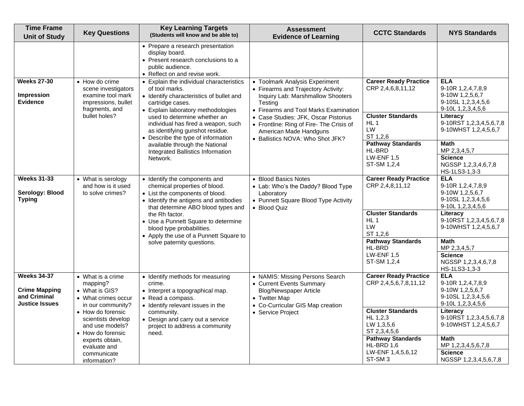| <b>Time Frame</b><br><b>Unit of Study</b>                                           | <b>Key Questions</b>                                                                                                                                                                                                                                                                                                                                                                                                                                                                                                                                                                                                                                                                                                                                                                                                                          | <b>Key Learning Targets</b><br>(Students will know and be able to)                                                                                                                | <b>Assessment</b><br><b>Evidence of Learning</b>                                                                                                  | <b>CCTC Standards</b>                                                             | <b>NYS Standards</b>                                                                                           |
|-------------------------------------------------------------------------------------|-----------------------------------------------------------------------------------------------------------------------------------------------------------------------------------------------------------------------------------------------------------------------------------------------------------------------------------------------------------------------------------------------------------------------------------------------------------------------------------------------------------------------------------------------------------------------------------------------------------------------------------------------------------------------------------------------------------------------------------------------------------------------------------------------------------------------------------------------|-----------------------------------------------------------------------------------------------------------------------------------------------------------------------------------|---------------------------------------------------------------------------------------------------------------------------------------------------|-----------------------------------------------------------------------------------|----------------------------------------------------------------------------------------------------------------|
|                                                                                     |                                                                                                                                                                                                                                                                                                                                                                                                                                                                                                                                                                                                                                                                                                                                                                                                                                               | • Prepare a research presentation<br>display board.<br>• Present research conclusions to a<br>public audience.<br>• Reflect on and revise work.                                   |                                                                                                                                                   |                                                                                   |                                                                                                                |
| <b>Weeks 27-30</b><br><b>Impression</b><br><b>Evidence</b>                          | • How do crime<br>• Toolmark Analysis Experiment<br>• Explain the individual characteristics<br>CRP 2,4,6,8,11,12<br>scene investigators<br>of tool marks.<br>• Firearms and Trajectory Activity:<br>examine tool mark<br>• Identify characteristics of bullet and<br>Inquiry Lab: Marshmallow Shooters<br>impressions, bullet<br><b>Testing</b><br>cartridge cases.<br>fragments, and<br>• Explain laboratory methodologies<br>• Firearms and Tool Marks Examination<br><b>Cluster Standards</b><br>bullet holes?<br>used to determine whether an<br>• Case Studies: JFK, Oscar Pistorius<br>HL <sub>1</sub><br>individual has fired a weapon, such<br>• Frontline: Ring of Fire- The Crisis of<br>LW<br>as identifying gunshot residue.<br>American Made Handguns<br>• Describe the type of information<br>• Ballistics NOVA: Who Shot JFK? | <b>Career Ready Practice</b>                                                                                                                                                      | <b>ELA</b><br>9-10R 1,2,4,7,8,9<br>9-10W 1,2,5,6,7<br>9-10SL 1,2,3,4,5,6<br>9-10L 1,2,3,4,5,6                                                     |                                                                                   |                                                                                                                |
|                                                                                     |                                                                                                                                                                                                                                                                                                                                                                                                                                                                                                                                                                                                                                                                                                                                                                                                                                               | ST 1,2,6                                                                                                                                                                          | Literacy<br>9-10RST 1,2,3,4,5,6,7,8<br>9-10WHST 1,2,4,5,6,7                                                                                       |                                                                                   |                                                                                                                |
|                                                                                     |                                                                                                                                                                                                                                                                                                                                                                                                                                                                                                                                                                                                                                                                                                                                                                                                                                               | available through the National<br>Integrated Ballistics Information<br>Network.                                                                                                   |                                                                                                                                                   | <b>Pathway Standards</b><br>HL-BRD<br><b>LW-ENF 1,5</b><br>ST-SM 1,2,4            | <b>Math</b><br>MP 2,3,4,5,7<br><b>Science</b><br>NGSSP 1,2,3,4,6,7,8                                           |
| <b>Weeks 31-33</b><br>Serology: Blood<br><b>Typing</b>                              | • What is serology<br>and how is it used<br>to solve crimes?                                                                                                                                                                                                                                                                                                                                                                                                                                                                                                                                                                                                                                                                                                                                                                                  | • Identify the components and<br>chemical properties of blood.<br>• List the components of blood.<br>• Identify the antigens and antibodies<br>that determine ABO blood types and | • Blood Basics Notes<br>• Lab: Who's the Daddy? Blood Type<br>Laboratory<br>• Punnett Square Blood Type Activity<br>• Blood Quiz                  | <b>Career Ready Practice</b><br>CRP 2,4,8,11,12                                   | HS-1LS3-1,3-3<br><b>ELA</b><br>9-10R 1,2,4,7,8,9<br>9-10W 1,2,5,6,7<br>9-10SL 1,2,3,4,5,6<br>9-10L 1,2,3,4,5,6 |
|                                                                                     |                                                                                                                                                                                                                                                                                                                                                                                                                                                                                                                                                                                                                                                                                                                                                                                                                                               | the Rh factor.<br>• Use a Punnett Square to determine<br>blood type probabilities.<br>• Apply the use of a Punnett Square to                                                      | HL <sub>1</sub><br>LW<br>ST 1,2,6                                                                                                                 | <b>Cluster Standards</b>                                                          | Literacy<br>9-10RST 1,2,3,4,5,6,7,8<br>9-10WHST 1,2,4,5,6,7                                                    |
|                                                                                     |                                                                                                                                                                                                                                                                                                                                                                                                                                                                                                                                                                                                                                                                                                                                                                                                                                               | solve paternity questions.                                                                                                                                                        |                                                                                                                                                   | <b>Pathway Standards</b><br>HL-BRD<br><b>LW-ENF 1,5</b><br>ST-SM 1,2,4            | <b>Math</b><br>MP 2,3,4,5,7<br><b>Science</b><br>NGSSP 1,2,3,4,6,7,8<br>HS-1LS3-1,3-3                          |
| <b>Weeks 34-37</b><br><b>Crime Mapping</b><br>and Criminal<br><b>Justice Issues</b> | • What is a crime<br>mapping?<br>• What is GIS?<br>• What crimes occur<br>in our community?                                                                                                                                                                                                                                                                                                                                                                                                                                                                                                                                                                                                                                                                                                                                                   | • Identify methods for measuring<br>crime.<br>• Interpret a topographical map.<br>• Read a compass.<br>• Identify relevant issues in the                                          | • NAMIS: Missing Persons Search<br>• Current Events Summary<br><b>Blog/Newspaper Article</b><br>• Twitter Map<br>• Co-Curricular GIS Map creation | <b>Career Ready Practice</b><br>CRP 2,4,5,6,7,8,11,12                             | <b>ELA</b><br>9-10R 1,2,4,7,8,9<br>9-10W 1,2,5,6,7<br>9-10SL 1,2,3,4,5,6<br>9-10L 1,2,3,4,5,6                  |
|                                                                                     | • How do forensic<br>community.<br>• Service Project<br>scientists develop<br>• Design and carry out a service<br>and use models?<br>project to address a community<br>• How do forensic<br>need.                                                                                                                                                                                                                                                                                                                                                                                                                                                                                                                                                                                                                                             |                                                                                                                                                                                   | <b>Cluster Standards</b><br>HL 1,2,3<br>LW 1,3,5,6<br>ST 2,3,4,5,6                                                                                | Literacy<br>9-10RST 1,2,3,4,5,6,7,8<br>9-10WHST 1,2,4,5,6,7                       |                                                                                                                |
|                                                                                     | experts obtain,<br>evaluate and<br>communicate<br>information?                                                                                                                                                                                                                                                                                                                                                                                                                                                                                                                                                                                                                                                                                                                                                                                |                                                                                                                                                                                   |                                                                                                                                                   | <b>Pathway Standards</b><br>HL-BRD 1,6<br>LW-ENF 1,4,5,6,12<br>ST-SM <sub>3</sub> | <b>Math</b><br>MP 1,2,3,4,5,6,7,8<br><b>Science</b><br>NGSSP 1,2,3,4,5,6,7,8                                   |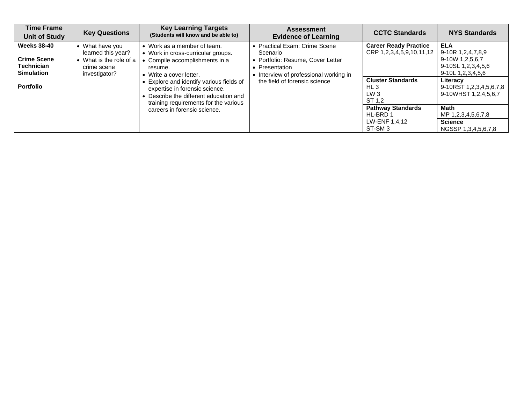| <b>Time Frame</b><br><b>Unit of Study</b>                                          | <b>Key Questions</b>                                                                             | <b>Key Learning Targets</b><br>(Students will know and be able to)                                                                                            | <b>Assessment</b><br><b>Evidence of Learning</b>                                                                                           | <b>CCTC Standards</b>                                                                | <b>NYS Standards</b>                                                                               |
|------------------------------------------------------------------------------------|--------------------------------------------------------------------------------------------------|---------------------------------------------------------------------------------------------------------------------------------------------------------------|--------------------------------------------------------------------------------------------------------------------------------------------|--------------------------------------------------------------------------------------|----------------------------------------------------------------------------------------------------|
| <b>Weeks 38-40</b><br><b>Crime Scene</b><br><b>Technician</b><br><b>Simulation</b> | • What have you<br>learned this year?<br>• What is the role of a<br>crime scene<br>investigator? | • Work as a member of team.<br>• Work in cross-curricular groups.<br>• Compile accomplishments in a<br>resume.<br>• Write a cover letter.                     | • Practical Exam: Crime Scene<br>Scenario<br>• Portfolio: Resume, Cover Letter<br>• Presentation<br>• Interview of professional working in | <b>Career Ready Practice</b><br>CRP 1,2,3,4,5,9,10,11,12<br><b>Cluster Standards</b> | <b>ELA</b><br>9-10R 1,2,4,7,8,9<br>9-10W 1,2,5,6,7<br>9-10SL 1,2,3,4,5,6<br>9-10L 1, 2, 3, 4, 5, 6 |
| <b>Portfolio</b>                                                                   |                                                                                                  | • Explore and identify various fields of<br>expertise in forensic science.<br>• Describe the different education and<br>training requirements for the various | the field of forensic science                                                                                                              | HL3<br>LW3<br>ST 1.2                                                                 | Literacy<br>9-10RST 1,2,3,4,5,6,7,8<br>9-10WHST 1,2,4,5,6,7                                        |
|                                                                                    |                                                                                                  | careers in forensic science.                                                                                                                                  |                                                                                                                                            | <b>Pathway Standards</b><br>HL-BRD 1<br>LW-ENF 1,4,12                                | Math<br>MP 1,2,3,4,5,6,7,8<br><b>Science</b>                                                       |
|                                                                                    |                                                                                                  |                                                                                                                                                               |                                                                                                                                            | ST-SM <sub>3</sub>                                                                   | NGSSP 1,3,4,5,6,7,8                                                                                |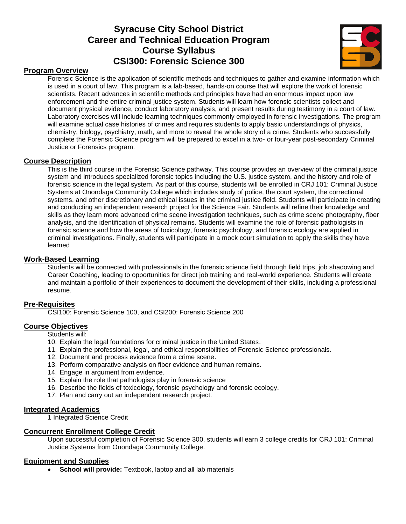# **Syracuse City School District Career and Technical Education Program Course Syllabus CSI300: Forensic Science 300**



## **Program Overview**

Forensic Science is the application of scientific methods and techniques to gather and examine information which is used in a court of law. This program is a lab-based, hands-on course that will explore the work of forensic scientists. Recent advances in scientific methods and principles have had an enormous impact upon law enforcement and the entire criminal justice system. Students will learn how forensic scientists collect and document physical evidence, conduct laboratory analysis, and present results during testimony in a court of law. Laboratory exercises will include learning techniques commonly employed in forensic investigations. The program will examine actual case histories of crimes and requires students to apply basic understandings of physics, chemistry, biology, psychiatry, math, and more to reveal the whole story of a crime. Students who successfully complete the Forensic Science program will be prepared to excel in a two- or four-year post-secondary Criminal Justice or Forensics program.

#### **Course Description**

This is the third course in the Forensic Science pathway. This course provides an overview of the criminal justice system and introduces specialized forensic topics including the U.S. justice system, and the history and role of forensic science in the legal system. As part of this course, students will be enrolled in CRJ 101: Criminal Justice Systems at Onondaga Community College which includes study of police, the court system, the correctional systems, and other discretionary and ethical issues in the criminal justice field. Students will participate in creating and conducting an independent research project for the Science Fair. Students will refine their knowledge and skills as they learn more advanced crime scene investigation techniques, such as crime scene photography, fiber analysis, and the identification of physical remains. Students will examine the role of forensic pathologists in forensic science and how the areas of toxicology, forensic psychology, and forensic ecology are applied in criminal investigations. Finally, students will participate in a mock court simulation to apply the skills they have learned

### **Work-Based Learning**

Students will be connected with professionals in the forensic science field through field trips, job shadowing and Career Coaching, leading to opportunities for direct job training and real-world experience. Students will create and maintain a portfolio of their experiences to document the development of their skills, including a professional resume.

#### **Pre-Requisites**

CSI100: Forensic Science 100, and CSI200: Forensic Science 200

## **Course Objectives**

Students will:

- 10. Explain the legal foundations for criminal justice in the United States.
- 11. Explain the professional, legal, and ethical responsibilities of Forensic Science professionals.
- 12. Document and process evidence from a crime scene.
- 13. Perform comparative analysis on fiber evidence and human remains.
- 14. Engage in argument from evidence.
- 15. Explain the role that pathologists play in forensic science
- 16. Describe the fields of toxicology, forensic psychology and forensic ecology.
- 17. Plan and carry out an independent research project.

#### **Integrated Academics**

1 Integrated Science Credit

#### **Concurrent Enrollment College Credit**

Upon successful completion of Forensic Science 300, students will earn 3 college credits for CRJ 101: Criminal Justice Systems from Onondaga Community College.

#### **Equipment and Supplies**

• **School will provide:** Textbook, laptop and all lab materials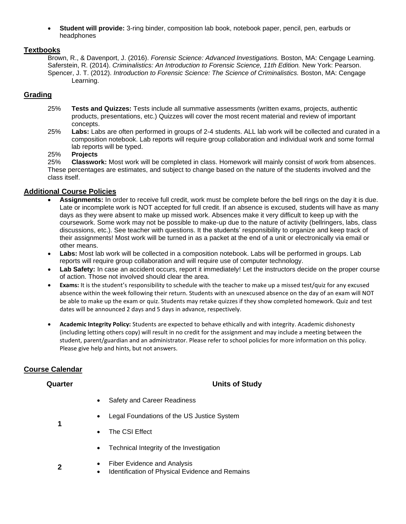• **Student will provide:** 3-ring binder, composition lab book, notebook paper, pencil, pen, earbuds or headphones

## **Textbooks**

Brown, R., & Davenport, J. (2016). *Forensic Science: Advanced Investigations.* Boston, MA: Cengage Learning. Saferstein, R. (2014). *Criminalistics: An Introduction to Forensic Science, 11th Edition.* New York: Pearson. Spencer, J. T. (2012). *Introduction to Forensic Science: The Science of Criminalistics.* Boston, MA: Cengage Learning.

## **Grading**

- 25% **Tests and Quizzes:** Tests include all summative assessments (written exams, projects, authentic products, presentations, etc.) Quizzes will cover the most recent material and review of important concepts.
- 25% **Labs:** Labs are often performed in groups of 2-4 students. ALL lab work will be collected and curated in a composition notebook. Lab reports will require group collaboration and individual work and some formal lab reports will be typed.

## 25% **Projects**

25% **Classwork:** Most work will be completed in class. Homework will mainly consist of work from absences. These percentages are estimates, and subject to change based on the nature of the students involved and the class itself.

## **Additional Course Policies**

- **Assignments:** In order to receive full credit, work must be complete before the bell rings on the day it is due. Late or incomplete work is NOT accepted for full credit. If an absence is excused, students will have as many days as they were absent to make up missed work. Absences make it very difficult to keep up with the coursework. Some work may not be possible to make-up due to the nature of activity (bellringers, labs, class discussions, etc.). See teacher with questions. It the students' responsibility to organize and keep track of their assignments! Most work will be turned in as a packet at the end of a unit or electronically via email or other means.
- **Labs:** Most lab work will be collected in a composition notebook. Labs will be performed in groups. Lab reports will require group collaboration and will require use of computer technology.
- **Lab Safety:** In case an accident occurs, report it immediately! Let the instructors decide on the proper course of action. Those not involved should clear the area.
- **Exams:** It is the student's responsibility to schedule with the teacher to make up a missed test/quiz for any excused absence within the week following their return. Students with an unexcused absence on the day of an exam will NOT be able to make up the exam or quiz. Students may retake quizzes if they show completed homework. Quiz and test dates will be announced 2 days and 5 days in advance, respectively.
- **Academic Integrity Policy:** Students are expected to behave ethically and with integrity. Academic dishonesty (including letting others copy) will result in no credit for the assignment and may include a meeting between the student, parent/guardian and an administrator. Please refer to school policies for more information on this policy. Please give help and hints, but not answers.

## **Course Calendar**

**1**

**2**

## **Quarter Units of Study**

- Safety and Career Readiness
- Legal Foundations of the US Justice System
- The CSI Effect
	- Technical Integrity of the Investigation
- Fiber Evidence and Analysis
	- Identification of Physical Evidence and Remains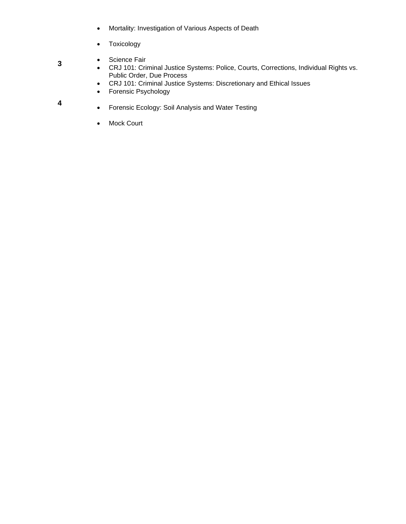- Mortality: Investigation of Various Aspects of Death
- Toxicology
- Science Fair
- CRJ 101: Criminal Justice Systems: Police, Courts, Corrections, Individual Rights vs. Public Order, Due Process
- CRJ 101: Criminal Justice Systems: Discretionary and Ethical Issues
- Forensic Psychology
- Forensic Ecology: Soil Analysis and Water Testing
- Mock Court

**3**

**4**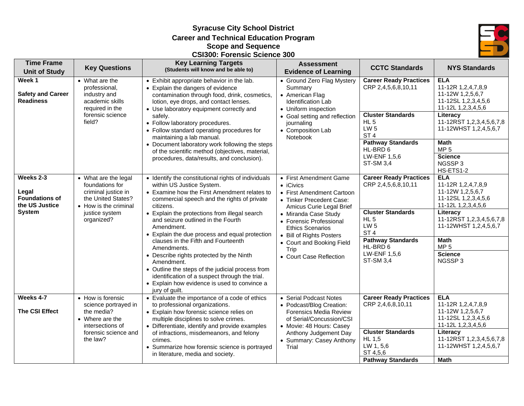**Syracuse City School District Career and Technical Education Program Scope and Sequence CSI300: Forensic Science 300**



| <b>Time Frame</b><br><b>Unit of Study</b>                     | <b>Key Questions</b>                                                                                          | <b>Key Learning Targets</b><br>(Students will know and be able to)                                                                                                                                                                                                                                                                                  | <b>Assessment</b><br><b>Evidence of Learning</b>                                                                                                                | <b>CCTC Standards</b>                                                                                                                   | <b>NYS Standards</b>                                                                                                                                                                   |
|---------------------------------------------------------------|---------------------------------------------------------------------------------------------------------------|-----------------------------------------------------------------------------------------------------------------------------------------------------------------------------------------------------------------------------------------------------------------------------------------------------------------------------------------------------|-----------------------------------------------------------------------------------------------------------------------------------------------------------------|-----------------------------------------------------------------------------------------------------------------------------------------|----------------------------------------------------------------------------------------------------------------------------------------------------------------------------------------|
| Week 1                                                        | • What are the                                                                                                | • Exhibit appropriate behavior in the lab.                                                                                                                                                                                                                                                                                                          | • Ground Zero Flag Mystery                                                                                                                                      | <b>Career Ready Practices</b>                                                                                                           | <b>ELA</b>                                                                                                                                                                             |
| <b>Safety and Career</b><br><b>Readiness</b>                  | professional,<br>industry and<br>academic skills<br>required in the<br>forensic science<br>field?             | • Explain the dangers of evidence<br>contamination through food, drink, cosmetics,<br>lotion, eye drops, and contact lenses.<br>• Use laboratory equipment correctly and<br>safely.<br>• Follow laboratory procedures.<br>• Follow standard operating procedures for<br>maintaining a lab manual.<br>• Document laboratory work following the steps | Summary<br>• American Flag<br><b>Identification Lab</b><br>• Uniform inspection<br>• Goal setting and reflection<br>journaling<br>• Composition Lab<br>Notebook | CRP 2,4,5,6,8,10,11<br><b>Cluster Standards</b><br>$HL$ 5<br>LW <sub>5</sub><br>ST <sub>4</sub><br><b>Pathway Standards</b><br>HL-BRD 6 | 11-12R 1,2,4,7,8,9<br>11-12W 1,2,5,6,7<br>11-12SL 1,2,3,4,5,6<br>11-12L 1,2,3,4,5,6<br>Literacy<br>11-12RST 1,2,3,4,5,6,7,8<br>11-12WHST 1,2,4,5,6,7<br><b>Math</b><br>MP <sub>5</sub> |
|                                                               |                                                                                                               | of the scientific method (objectives, material,<br>procedures, data/results, and conclusion).                                                                                                                                                                                                                                                       |                                                                                                                                                                 | LW-ENF 1,5,6<br><b>ST-SM 3,4</b>                                                                                                        | <b>Science</b><br>NGSSP3<br>HS-ETS1-2                                                                                                                                                  |
| Weeks 2-3<br>Legal<br><b>Foundations of</b><br>the US Justice | • What are the legal<br>foundations for<br>criminal justice in<br>the United States?<br>• How is the criminal | • Identify the constitutional rights of individuals<br>within US Justice System.<br>• Examine how the First Amendment relates to<br>commercial speech and the rights of private<br>citizens.                                                                                                                                                        | • First Amendment Game<br>• iCivics<br>• First Amendment Cartoon<br>• Tinker Precedent Case:<br>Amicus Curie Legal Brief                                        | <b>Career Ready Practices</b><br>CRP 2,4,5,6,8,10,11                                                                                    | <b>ELA</b><br>11-12R 1,2,4,7,8,9<br>11-12W 1,2,5,6,7<br>11-12SL 1,2,3,4,5,6<br>11-12L 1,2,3,4,5,6                                                                                      |
| <b>System</b>                                                 | justice system<br>organized?                                                                                  | • Explain the protections from illegal search<br>and seizure outlined in the Fourth<br>Amendment.<br>• Explain the due process and equal protection<br>clauses in the Fifth and Fourteenth<br>Amendments.                                                                                                                                           | • Miranda Case Study<br>• Forensic Professional<br><b>Ethics Scenarios</b><br>• Bill of Rights Posters<br>• Court and Booking Field<br>Trip                     | <b>Cluster Standards</b><br>$HL$ 5<br>LW <sub>5</sub><br>ST <sub>4</sub><br><b>Pathway Standards</b><br>HL-BRD 6                        | Literacy<br>11-12RST 1,2,3,4,5,6,7,8<br>11-12WHST 1,2,4,5,6,7<br><b>Math</b><br>MP <sub>5</sub>                                                                                        |
|                                                               |                                                                                                               | • Describe rights protected by the Ninth<br>Amendment.<br>• Outline the steps of the judicial process from<br>identification of a suspect through the trial.<br>• Explain how evidence is used to convince a<br>jury of guilt.                                                                                                                      | • Court Case Reflection                                                                                                                                         | LW-ENF 1,5,6<br><b>ST-SM 3,4</b>                                                                                                        | <b>Science</b><br>NGSSP3                                                                                                                                                               |
| Weeks 4-7<br><b>The CSI Effect</b>                            | • How is forensic<br>science portrayed in<br>the media?<br>• Where are the<br>intersections of                | • Evaluate the importance of a code of ethics<br>to professional organizations.<br>• Explain how forensic science relies on<br>multiple disciplines to solve crimes.<br>• Differentiate, identify and provide examples                                                                                                                              | • Serial Podcast Notes<br>• Podcast/Blog Creation:<br><b>Forensics Media Review</b><br>of Serial/Concussion/CSI<br>• Movie: 48 Hours: Casey                     | <b>Career Ready Practices</b><br>CRP 2,4,6,8,10,11                                                                                      | <b>ELA</b><br>11-12R 1,2,4,7,8,9<br>11-12W 1,2,5,6,7<br>11-12SL 1,2,3,4,5,6<br>11-12L 1,2,3,4,5,6                                                                                      |
|                                                               | forensic science and<br>the law?                                                                              | of infractions, misdemeanors, and felony<br>crimes.<br>• Summarize how forensic science is portrayed<br>in literature, media and society.                                                                                                                                                                                                           | Anthony Judgement Day<br>• Summary: Casey Anthony<br>Trial                                                                                                      | <b>Cluster Standards</b><br><b>HL 1,5</b><br>LW 1, 5,6<br>ST 4,5,6<br><b>Pathway Standards</b>                                          | Literacy<br>11-12RST 1,2,3,4,5,6,7,8<br>11-12WHST 1,2,4,5,6,7<br><b>Math</b>                                                                                                           |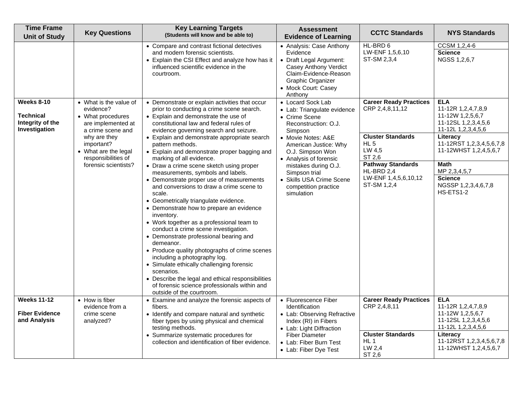| <b>Time Frame</b><br><b>Unit of Study</b>                   | <b>Key Questions</b>                                                                                            | <b>Key Learning Targets</b><br>(Students will know and be able to)                                                                                                                                                                                                                                                                                                                                                                                                                                                                                                                                                                                                                                           | <b>Assessment</b><br><b>Evidence of Learning</b>                                                                                                                         | <b>CCTC Standards</b>                                                         | <b>NYS Standards</b>                                                                              |
|-------------------------------------------------------------|-----------------------------------------------------------------------------------------------------------------|--------------------------------------------------------------------------------------------------------------------------------------------------------------------------------------------------------------------------------------------------------------------------------------------------------------------------------------------------------------------------------------------------------------------------------------------------------------------------------------------------------------------------------------------------------------------------------------------------------------------------------------------------------------------------------------------------------------|--------------------------------------------------------------------------------------------------------------------------------------------------------------------------|-------------------------------------------------------------------------------|---------------------------------------------------------------------------------------------------|
|                                                             |                                                                                                                 | • Compare and contrast fictional detectives<br>and modern forensic scientists.<br>• Explain the CSI Effect and analyze how has it<br>influenced scientific evidence in the<br>courtroom.                                                                                                                                                                                                                                                                                                                                                                                                                                                                                                                     | • Analysis: Case Anthony<br>Evidence<br>• Draft Legal Argument:<br>Casey Anthony Verdict<br>Claim-Evidence-Reason<br>Graphic Organizer<br>• Mock Court: Casey<br>Anthony | HL-BRD 6<br>LW-ENF 1,5,6,10<br>ST-SM 2,3,4                                    | CCSM 1,2,4-6<br><b>Science</b><br>NGSS 1,2,6,7                                                    |
| Weeks 8-10<br>Technical<br>Integrity of the                 | • What is the value of<br>evidence?<br>• What procedures<br>are implemented at                                  | • Demonstrate or explain activities that occur<br>prior to conducting a crime scene search.<br>• Explain and demonstrate the use of<br>constitutional law and federal rules of                                                                                                                                                                                                                                                                                                                                                                                                                                                                                                                               | • Locard Sock Lab<br>• Lab: Triangulate evidence<br>• Crime Scene<br>Reconstruction: O.J.<br>Simpson                                                                     | <b>Career Ready Practices</b><br>CRP 2,4,8,11,12                              | <b>ELA</b><br>11-12R 1,2,4,7,8,9<br>11-12W 1,2,5,6,7<br>11-12SL 1,2,3,4,5,6<br>11-12L 1,2,3,4,5,6 |
|                                                             | Investigation<br>a crime scene and<br>why are they<br>important?<br>• What are the legal<br>responsibilities of | evidence governing search and seizure.<br>• Explain and demonstrate appropriate search<br>pattern methods.<br>• Explain and demonstrate proper bagging and<br>marking of all evidence.                                                                                                                                                                                                                                                                                                                                                                                                                                                                                                                       | • Movie Notes: A&E<br>American Justice: Why<br>O.J. Simpson Won<br>• Analysis of forensic                                                                                | <b>Cluster Standards</b><br>$HL$ 5<br>LW 4,5<br>ST 2,6                        | Literacy<br>11-12RST 1,2,3,4,5,6,7,8<br>11-12WHST 1,2,4,5,6,7                                     |
|                                                             | forensic scientists?                                                                                            | • Draw a crime scene sketch using proper<br>measurements, symbols and labels.<br>• Demonstrate proper use of measurements<br>and conversions to draw a crime scene to<br>scale.<br>• Geometrically triangulate evidence.<br>• Demonstrate how to prepare an evidence<br>inventory.<br>• Work together as a professional team to<br>conduct a crime scene investigation.<br>• Demonstrate professional bearing and<br>demeanor.<br>• Produce quality photographs of crime scenes<br>including a photography log.<br>• Simulate ethically challenging forensic<br>scenarios.<br>• Describe the legal and ethical responsibilities<br>of forensic science professionals within and<br>outside of the courtroom. | mistakes during O.J.<br>Simpson trial<br>• Skills USA Crime Scene<br>competition practice<br>simulation                                                                  | <b>Pathway Standards</b><br>HL-BRD 2,4<br>LW-ENF 1,4,5,6,10,12<br>ST-SM 1,2,4 | Math<br>MP 2,3,4,5,7<br><b>Science</b><br>NGSSP 1,2,3,4,6,7,8<br>HS-ETS1-2                        |
| <b>Weeks 11-12</b><br><b>Fiber Evidence</b><br>and Analysis | • How is fiber<br>evidence from a<br>crime scene<br>analyzed?                                                   | • Examine and analyze the forensic aspects of<br>fibers.<br>• Identify and compare natural and synthetic<br>fiber types by using physical and chemical                                                                                                                                                                                                                                                                                                                                                                                                                                                                                                                                                       | • Fluorescence Fiber<br>Identification<br>• Lab: Observing Refractive<br>Index (RI) in Fibers                                                                            | <b>Career Ready Practices</b><br>CRP 2,4,8,11                                 | <b>ELA</b><br>11-12R 1,2,4,7,8,9<br>11-12W 1,2,5,6,7<br>11-12SL 1,2,3,4,5,6<br>11-12L 1,2,3,4,5,6 |
|                                                             |                                                                                                                 | testing methods.<br>• Summarize systematic procedures for<br>collection and identification of fiber evidence.                                                                                                                                                                                                                                                                                                                                                                                                                                                                                                                                                                                                | • Lab: Light Diffraction<br><b>Fiber Diameter</b><br>• Lab: Fiber Burn Test<br>• Lab: Fiber Dye Test                                                                     | <b>Cluster Standards</b><br>HL <sub>1</sub><br>LW 2,4<br>ST 2,6               | Literacy<br>11-12RST 1,2,3,4,5,6,7,8<br>11-12WHST 1,2,4,5,6,7                                     |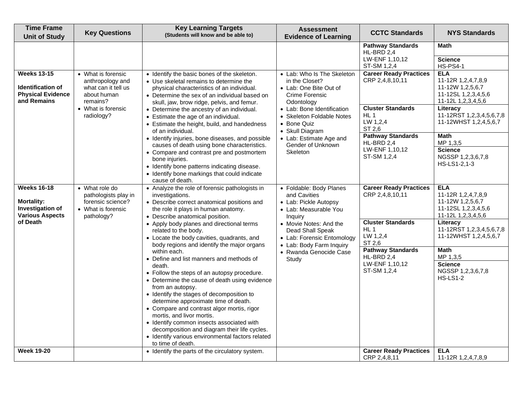| <b>Time Frame</b><br><b>Unit of Study</b>                                                    | <b>Key Questions</b>                                                                                           | <b>Key Learning Targets</b><br>(Students will know and be able to)                                                                                                                                                                                                                                                                                                                                                                                                                                                           | <b>Assessment</b><br><b>Evidence of Learning</b>                                                                                     | <b>CCTC Standards</b>                                                        | <b>NYS Standards</b>                                                                                          |
|----------------------------------------------------------------------------------------------|----------------------------------------------------------------------------------------------------------------|------------------------------------------------------------------------------------------------------------------------------------------------------------------------------------------------------------------------------------------------------------------------------------------------------------------------------------------------------------------------------------------------------------------------------------------------------------------------------------------------------------------------------|--------------------------------------------------------------------------------------------------------------------------------------|------------------------------------------------------------------------------|---------------------------------------------------------------------------------------------------------------|
|                                                                                              |                                                                                                                |                                                                                                                                                                                                                                                                                                                                                                                                                                                                                                                              |                                                                                                                                      | <b>Pathway Standards</b><br>HL-BRD 2.4<br>LW-ENF 1,10,12<br>ST-SM 1,2,4      | <b>Math</b><br><b>Science</b><br><b>HS-PS4-1</b>                                                              |
| <b>Weeks 13-15</b><br>Identification of<br><b>Physical Evidence</b><br>and Remains           | • What is forensic<br>anthropology and<br>what can it tell us<br>about human<br>remains?<br>• What is forensic | • Identify the basic bones of the skeleton.<br>• Use skeletal remains to determine the<br>physical characteristics of an individual.<br>• Determine the sex of an individual based on<br>skull, jaw, brow ridge, pelvis, and femur.<br>• Determine the ancestry of an individual.                                                                                                                                                                                                                                            | • Lab: Who Is The Skeleton<br>in the Closet?<br>• Lab: One Bite Out of<br>Crime Forensic<br>Odontology<br>• Lab: Bone Identification | <b>Career Ready Practices</b><br>CRP 2,4,8,10,11<br><b>Cluster Standards</b> | <b>ELA</b><br>11-12R 1,2,4,7,8,9<br>11-12W 1,2,5,6,7<br>11-12SL 1,2,3,4,5,6<br>11-12L 1,2,3,4,5,6<br>Literacy |
|                                                                                              | radiology?                                                                                                     | • Estimate the age of an individual.<br>• Estimate the height, build, and handedness<br>of an individual.                                                                                                                                                                                                                                                                                                                                                                                                                    | • Skeleton Foldable Notes<br>• Bone Quiz<br>• Skull Diagram                                                                          | HL <sub>1</sub><br>LW 1,2,4<br>ST 2,6                                        | 11-12RST 1,2,3,4,5,6,7,8<br>11-12WHST 1,2,4,5,6,7                                                             |
|                                                                                              | bone injuries.                                                                                                 | • Identify injuries, bone diseases, and possible<br>causes of death using bone characteristics.<br>• Compare and contrast pre and postmortem<br>• Identify bone patterns indicating disease.<br>• Identify bone markings that could indicate<br>cause of death.                                                                                                                                                                                                                                                              | • Lab: Estimate Age and<br>Gender of Unknown<br>Skeleton                                                                             | <b>Pathway Standards</b><br>HL-BRD 2.4<br>LW-ENF 1,10,12<br>ST-SM 1,2,4      | <b>Math</b><br>MP 1,3,5<br><b>Science</b><br>NGSSP 1,2,3,6,7,8<br>HS-LS1-2,1-3                                |
| <b>Weeks 16-18</b><br><b>Mortality:</b><br><b>Investigation of</b><br><b>Various Aspects</b> | • What role do<br>pathologists play in<br>forensic science?<br>• What is forensic<br>pathology?                | • Analyze the role of forensic pathologists in<br>investigations.<br>• Describe correct anatomical positions and<br>the role it plays in human anatomy.<br>• Describe anatomical position.                                                                                                                                                                                                                                                                                                                                   | • Foldable: Body Planes<br>and Cavities<br>• Lab: Pickle Autopsy<br>• Lab: Measurable You<br>Inquiry                                 | <b>Career Ready Practices</b><br>CRP 2,4,8,10,11                             | <b>ELA</b><br>11-12R 1,2,4,7,8,9<br>11-12W 1,2,5,6,7<br>11-12SL 1,2,3,4,5,6<br>11-12L 1, 2, 3, 4, 5, 6        |
| of Death                                                                                     |                                                                                                                | • Apply body planes and directional terms<br>related to the body.<br>• Locate the body cavities, quadrants, and<br>body regions and identify the major organs                                                                                                                                                                                                                                                                                                                                                                | • Movie Notes: And the<br>Dead Shall Speak<br>• Lab: Forensic Entomology<br>• Lab: Body Farm Inquiry                                 | <b>Cluster Standards</b><br>HL <sub>1</sub><br>LW 1,2,4<br>ST 2,6            | Literacy<br>11-12RST 1,2,3,4,5,6,7,8<br>11-12WHST 1,2,4,5,6,7                                                 |
|                                                                                              |                                                                                                                | within each.<br>• Define and list manners and methods of<br>death.<br>• Follow the steps of an autopsy procedure.<br>• Determine the cause of death using evidence<br>from an autopsy.<br>• Identify the stages of decomposition to<br>determine approximate time of death.<br>• Compare and contrast algor mortis, rigor<br>mortis, and livor mortis.<br>• Identify common insects associated with<br>decomposition and diagram their life cycles.<br>• Identify various environmental factors related<br>to time of death. | • Rwanda Genocide Case<br>Study                                                                                                      | <b>Pathway Standards</b><br>HL-BRD 2.4<br>LW-ENF 1,10,12<br>ST-SM 1,2,4      | <b>Math</b><br>MP 1,3,5<br><b>Science</b><br>NGSSP 1,2,3,6,7,8<br><b>HS-LS1-2</b>                             |
| <b>Week 19-20</b>                                                                            |                                                                                                                | • Identify the parts of the circulatory system.                                                                                                                                                                                                                                                                                                                                                                                                                                                                              |                                                                                                                                      | <b>Career Ready Practices</b><br>CRP 2,4,8,11                                | <b>ELA</b><br>11-12R 1,2,4,7,8,9                                                                              |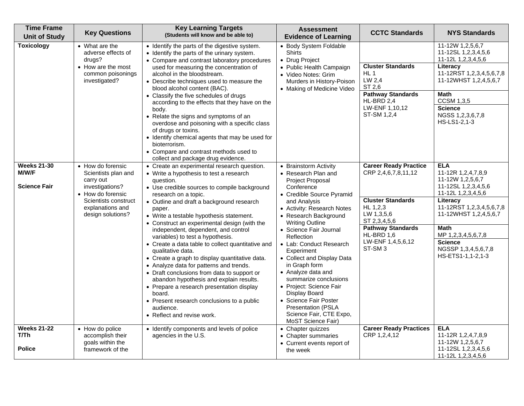| <b>Time Frame</b><br><b>Unit of Study</b>                 | <b>Key Questions</b>                                                                                                                                           | <b>Key Learning Targets</b><br>(Students will know and be able to)                                                                                                                                                                                                                                                                                                                                                                                                                                                                                                                                                                                                                                                                                                                                                         | <b>Assessment</b><br><b>Evidence of Learning</b>                                                                                                                                                                                                                                                                                                                                                                                                                                                                                               | <b>CCTC Standards</b>                                                                                                                                                                                          | <b>NYS Standards</b>                                                                                                                                                                                                                                                  |
|-----------------------------------------------------------|----------------------------------------------------------------------------------------------------------------------------------------------------------------|----------------------------------------------------------------------------------------------------------------------------------------------------------------------------------------------------------------------------------------------------------------------------------------------------------------------------------------------------------------------------------------------------------------------------------------------------------------------------------------------------------------------------------------------------------------------------------------------------------------------------------------------------------------------------------------------------------------------------------------------------------------------------------------------------------------------------|------------------------------------------------------------------------------------------------------------------------------------------------------------------------------------------------------------------------------------------------------------------------------------------------------------------------------------------------------------------------------------------------------------------------------------------------------------------------------------------------------------------------------------------------|----------------------------------------------------------------------------------------------------------------------------------------------------------------------------------------------------------------|-----------------------------------------------------------------------------------------------------------------------------------------------------------------------------------------------------------------------------------------------------------------------|
| Toxicology                                                | • What are the<br>adverse effects of<br>drugs?<br>• How are the most<br>common poisonings<br>investigated?                                                     | • Identify the parts of the digestive system.<br>• Identify the parts of the urinary system.<br>• Compare and contrast laboratory procedures<br>used for measuring the concentration of<br>alcohol in the bloodstream.<br>• Describe techniques used to measure the<br>blood alcohol content (BAC).<br>• Classify the five schedules of drugs<br>according to the effects that they have on the<br>body.<br>• Relate the signs and symptoms of an<br>overdose and poisoning with a specific class<br>of drugs or toxins.<br>• Identify chemical agents that may be used for<br>bioterrorism.<br>• Compare and contrast methods used to<br>collect and package drug evidence.                                                                                                                                               | • Body System Foldable<br><b>Shirts</b><br>• Drug Project<br>• Public Health Campaign<br>· Video Notes: Grim<br>Murders in History-Poison<br>• Making of Medicine Video                                                                                                                                                                                                                                                                                                                                                                        | <b>Cluster Standards</b><br>$HL$ 1<br>LW 2,4<br>ST 2,6<br><b>Pathway Standards</b><br>HL-BRD 2,4<br>LW-ENF 1,10,12<br>ST-SM 1,2,4                                                                              | 11-12W 1,2,5,6,7<br>11-12SL 1,2,3,4,5,6<br>11-12L 1,2,3,4,5,6<br>Literacy<br>11-12RST 1,2,3,4,5,6,7,8<br>11-12WHST 1,2,4,5,6,7<br>Math<br><b>CCSM 1,3,5</b><br><b>Science</b><br>NGSS 1,2,3,6,7,8<br>HS-LS1-2,1-3                                                     |
| <b>Weeks 21-30</b><br><b>M/W/F</b><br><b>Science Fair</b> | • How do forensic<br>Scientists plan and<br>carry out<br>investigations?<br>• How do forensic<br>Scientists construct<br>explanations and<br>design solutions? | • Create an experimental research question.<br>• Write a hypothesis to test a research<br>question.<br>• Use credible sources to compile background<br>research on a topic.<br>• Outline and draft a background research<br>paper.<br>• Write a testable hypothesis statement.<br>• Construct an experimental design (with the<br>independent, dependent, and control<br>variables) to test a hypothesis.<br>• Create a data table to collect quantitative and<br>qualitative data.<br>• Create a graph to display quantitative data.<br>• Analyze data for patterns and trends.<br>• Draft conclusions from data to support or<br>abandon hypothesis and explain results.<br>• Prepare a research presentation display<br>board.<br>• Present research conclusions to a public<br>audience.<br>• Reflect and revise work. | • Brainstorm Activity<br>• Research Plan and<br>Project Proposal<br>Conference<br>• Credible Source Pyramid<br>and Analysis<br>• Activity: Research Notes<br>• Research Background<br><b>Writing Outline</b><br>• Science Fair Journal<br>Reflection<br>• Lab: Conduct Research<br>Experiment<br>• Collect and Display Data<br>in Graph form<br>• Analyze data and<br>summarize conclusions<br>• Project: Science Fair<br>Display Board<br>• Science Fair Poster<br><b>Presentation (PSLA</b><br>Science Fair, CTE Expo,<br>MoST Science Fair) | <b>Career Ready Practice</b><br>CRP 2,4,6,7,8,11,12<br><b>Cluster Standards</b><br>HL 1,2,3<br>LW 1,3,5,6<br>ST 2,3,4,5,6<br><b>Pathway Standards</b><br>HL-BRD 1,6<br>LW-ENF 1,4,5,6,12<br>ST-SM <sub>3</sub> | <b>ELA</b><br>11-12R 1,2,4,7,8,9<br>11-12W 1,2,5,6,7<br>11-12SL 1,2,3,4,5,6<br>11-12L 1,2,3,4,5,6<br>Literacy<br>11-12RST 1,2,3,4,5,6,7,8<br>11-12WHST 1,2,4,5,6,7<br><b>Math</b><br>MP 1,2,3,4,5,6,7,8<br><b>Science</b><br>NGSSP 1,3,4,5,6,7,8<br>HS-ETS1-1,1-2,1-3 |
| <b>Weeks 21-22</b><br>T/Th<br><b>Police</b>               | • How do police<br>accomplish their<br>goals within the<br>framework of the                                                                                    | • Identify components and levels of police<br>agencies in the U.S.                                                                                                                                                                                                                                                                                                                                                                                                                                                                                                                                                                                                                                                                                                                                                         | • Chapter quizzes<br>• Chapter summaries<br>• Current events report of<br>the week                                                                                                                                                                                                                                                                                                                                                                                                                                                             | <b>Career Ready Practices</b><br>CRP 1,2,4,12                                                                                                                                                                  | <b>ELA</b><br>11-12R 1,2,4,7,8,9<br>11-12W 1,2,5,6,7<br>11-12SL 1,2,3,4,5,6<br>11-12L 1,2,3,4,5,6                                                                                                                                                                     |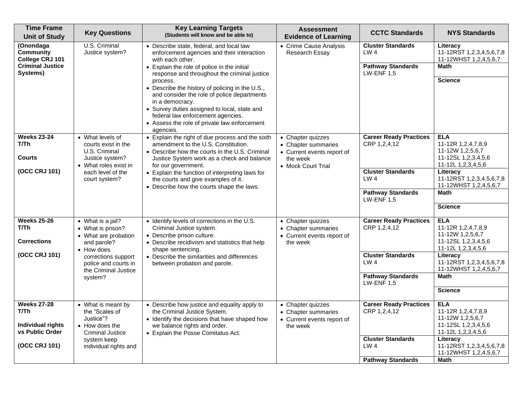| <b>Time Frame</b><br><b>Unit of Study</b>                           | <b>Key Questions</b>                                                                                 | <b>Key Learning Targets</b><br>(Students will know and be able to)                                                                                                                                                                                                              | <b>Assessment</b><br><b>Evidence of Learning</b>                                                         | <b>CCTC Standards</b>                                                   | <b>NYS Standards</b>                                                                              |
|---------------------------------------------------------------------|------------------------------------------------------------------------------------------------------|---------------------------------------------------------------------------------------------------------------------------------------------------------------------------------------------------------------------------------------------------------------------------------|----------------------------------------------------------------------------------------------------------|-------------------------------------------------------------------------|---------------------------------------------------------------------------------------------------|
| (Onondaga<br>Community<br>College CRJ 101                           | U.S. Criminal<br>Justice system?                                                                     | • Describe state, federal, and local law<br>enforcement agencies and their interaction<br>with each other.                                                                                                                                                                      | • Crime Cause Analysis<br>Research Essay                                                                 | <b>Cluster Standards</b><br>LW <sub>4</sub>                             | Literacy<br>11-12RST 1,2,3,4,5,6,7,8<br>11-12WHST 1,2,4,5,6,7                                     |
| <b>Criminal Justice</b><br>Systems)                                 |                                                                                                      | • Explain the role of police in the initial<br>response and throughout the criminal justice                                                                                                                                                                                     |                                                                                                          | <b>Pathway Standards</b><br><b>LW-ENF 1,5</b>                           | <b>Math</b>                                                                                       |
|                                                                     |                                                                                                      | process.<br>• Describe the history of policing in the U.S.,<br>and consider the role of police departments<br>in a democracy.<br>• Survey duties assigned to local, state and<br>federal law enforcement agencies.<br>• Assess the role of private law enforcement<br>agencies. |                                                                                                          |                                                                         | <b>Science</b>                                                                                    |
| <b>Weeks 23-24</b><br>T/Th<br>Courts                                | • What levels of<br>courts exist in the<br>U.S. Criminal<br>Justice system?<br>• What roles exist in | • Explain the right of due process and the sixth<br>amendment to the U.S. Constitution.<br>• Describe how the courts in the U.S. Criminal<br>Justice System work as a check and balance<br>for our government.                                                                  | • Chapter quizzes<br>• Chapter summaries<br>• Current events report of<br>the week<br>• Mock Court Trial | <b>Career Ready Practices</b><br>CRP 1,2,4,12                           | <b>ELA</b><br>11-12R 1,2,4,7,8,9<br>11-12W 1,2,5,6,7<br>11-12SL 1,2,3,4,5,6<br>11-12L 1,2,3,4,5,6 |
| (OCC CRJ 101)                                                       | each level of the<br>court system?                                                                   | • Explain the function of interpreting laws for<br>the courts and give examples of it.<br>• Describe how the courts shape the laws.                                                                                                                                             |                                                                                                          | <b>Cluster Standards</b><br>LW <sub>4</sub>                             | Literacy<br>11-12RST 1,2,3,4,5,6,7,8<br>11-12WHST 1,2,4,5,6,7                                     |
|                                                                     |                                                                                                      |                                                                                                                                                                                                                                                                                 |                                                                                                          | <b>Pathway Standards</b><br>$LW$ -ENF 1,5                               | Math                                                                                              |
|                                                                     |                                                                                                      |                                                                                                                                                                                                                                                                                 |                                                                                                          |                                                                         | <b>Science</b>                                                                                    |
| <b>Weeks 25-26</b><br>T/Th<br><b>Corrections</b>                    | • What is a jail?<br>• What is prison?<br>• What are probation<br>and parole?<br>• How does          | • Identify levels of corrections in the U.S.<br>Criminal Justice system.<br>• Describe prison culture.<br>• Describe recidivism and statistics that help<br>shape sentencing.                                                                                                   | • Chapter quizzes<br>• Chapter summaries<br>• Current events report of<br>the week                       | <b>Career Ready Practices</b><br>CRP 1,2,4,12                           | <b>ELA</b><br>11-12R 1,2,4,7,8,9<br>11-12W 1,2,5,6,7<br>11-12SL 1,2,3,4,5,6<br>11-12L 1,2,3,4,5,6 |
| (OCC CRJ 101)                                                       | corrections support<br>police and courts in<br>the Criminal Justice                                  | • Describe the similarities and differences<br>between probation and parole.                                                                                                                                                                                                    |                                                                                                          | <b>Cluster Standards</b><br>LW <sub>4</sub>                             | Literacy<br>11-12RST 1,2,3,4,5,6,7,8<br>11-12WHST 1,2,4,5,6,7                                     |
|                                                                     | system?                                                                                              |                                                                                                                                                                                                                                                                                 |                                                                                                          | <b>Pathway Standards</b><br><b>LW-ENF 1,5</b>                           | <b>Math</b>                                                                                       |
|                                                                     |                                                                                                      |                                                                                                                                                                                                                                                                                 |                                                                                                          |                                                                         | <b>Science</b>                                                                                    |
| <b>Weeks 27-28</b><br>T/Th.<br>Individual rights<br>vs Public Order | • What is meant by<br>the "Scales of<br>Justice"?<br>• How does the<br><b>Criminal Justice</b>       | • Describe how justice and equality apply to<br>the Criminal Justice System.<br>• Identify the decisions that have shaped how<br>we balance rights and order.<br>• Explain the Posse Comitatus Act.                                                                             | • Chapter quizzes<br>• Chapter summaries<br>• Current events report of<br>the week                       | <b>Career Ready Practices</b><br>CRP 1,2,4,12                           | <b>ELA</b><br>11-12R 1,2,4,7,8,9<br>11-12W 1,2,5,6,7<br>11-12SL 1,2,3,4,5,6<br>11-12L 1,2,3,4,5,6 |
| (OCC CRJ 101)                                                       | system keep<br>individual rights and                                                                 |                                                                                                                                                                                                                                                                                 |                                                                                                          | <b>Cluster Standards</b><br>LW <sub>4</sub><br><b>Pathway Standards</b> | Literacy<br>11-12RST 1,2,3,4,5,6,7,8<br>11-12WHST 1,2,4,5,6,7<br><b>Math</b>                      |
|                                                                     |                                                                                                      |                                                                                                                                                                                                                                                                                 |                                                                                                          |                                                                         |                                                                                                   |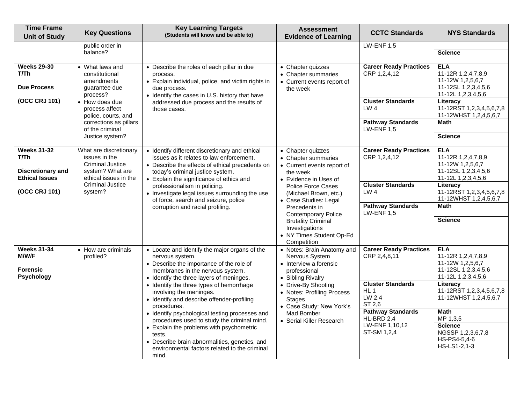| <b>Time Frame</b><br><b>Unit of Study</b>                                                 | <b>Key Questions</b>                                                                                                                                  | <b>Key Learning Targets</b><br>(Students will know and be able to)                                                                                                                                                                                                                                                                                                                                                                                                                                                                                                                                 | <b>Assessment</b><br><b>Evidence of Learning</b>                                                                                                                                                                                                        | <b>CCTC Standards</b>                                                                                                                                                                       | <b>NYS Standards</b>                                                                                                                                                                                                                                                 |
|-------------------------------------------------------------------------------------------|-------------------------------------------------------------------------------------------------------------------------------------------------------|----------------------------------------------------------------------------------------------------------------------------------------------------------------------------------------------------------------------------------------------------------------------------------------------------------------------------------------------------------------------------------------------------------------------------------------------------------------------------------------------------------------------------------------------------------------------------------------------------|---------------------------------------------------------------------------------------------------------------------------------------------------------------------------------------------------------------------------------------------------------|---------------------------------------------------------------------------------------------------------------------------------------------------------------------------------------------|----------------------------------------------------------------------------------------------------------------------------------------------------------------------------------------------------------------------------------------------------------------------|
|                                                                                           | public order in<br>balance?                                                                                                                           |                                                                                                                                                                                                                                                                                                                                                                                                                                                                                                                                                                                                    |                                                                                                                                                                                                                                                         | <b>LW-ENF 1.5</b>                                                                                                                                                                           | <b>Science</b>                                                                                                                                                                                                                                                       |
| <b>Weeks 29-30</b><br>T/Th<br><b>Due Process</b>                                          | • What laws and<br>constitutional<br>amendments<br>quarantee due<br>process?                                                                          | • Describe the roles of each pillar in due<br>process.<br>• Explain individual, police, and victim rights in<br>due process.<br>• Identify the cases in U.S. history that have                                                                                                                                                                                                                                                                                                                                                                                                                     | • Chapter quizzes<br>• Chapter summaries<br>• Current events report of<br>the week                                                                                                                                                                      | <b>Career Ready Practices</b><br>CRP 1,2,4,12                                                                                                                                               | <b>ELA</b><br>11-12R 1,2,4,7,8,9<br>11-12W 1,2,5,6,7<br>11-12SL 1,2,3,4,5,6<br>11-12L 1,2,3,4,5,6                                                                                                                                                                    |
| (OCC CRJ 101)                                                                             | • How does due<br>process affect<br>police, courts, and                                                                                               | addressed due process and the results of<br>those cases.                                                                                                                                                                                                                                                                                                                                                                                                                                                                                                                                           |                                                                                                                                                                                                                                                         | <b>Cluster Standards</b><br>LW <sub>4</sub>                                                                                                                                                 | Literacy<br>11-12RST 1,2,3,4,5,6,7,8<br>11-12WHST 1,2,4,5,6,7                                                                                                                                                                                                        |
|                                                                                           | corrections as pillars<br>of the criminal<br>Justice system?                                                                                          |                                                                                                                                                                                                                                                                                                                                                                                                                                                                                                                                                                                                    |                                                                                                                                                                                                                                                         | <b>Pathway Standards</b><br><b>LW-ENF 1,5</b>                                                                                                                                               | Math<br><b>Science</b>                                                                                                                                                                                                                                               |
| <b>Weeks 31-32</b><br>T/Th<br>Discretionary and<br><b>Ethical Issues</b><br>(OCC CRJ 101) | What are discretionary<br>issues in the<br><b>Criminal Justice</b><br>system? What are<br>ethical issues in the<br><b>Criminal Justice</b><br>system? | • Identify different discretionary and ethical<br>issues as it relates to law enforcement.<br>• Describe the effects of ethical precedents on<br>today's criminal justice system.<br>• Explain the significance of ethics and<br>professionalism in policing.<br>• Investigate legal issues surrounding the use<br>of force, search and seizure, police<br>corruption and racial profiling.                                                                                                                                                                                                        | • Chapter quizzes<br>• Chapter summaries<br>• Current events report of<br>the week<br>• Evidence in Uses of<br><b>Police Force Cases</b><br>(Michael Brown, etc.)<br>• Case Studies: Legal<br>Precedents in<br><b>Contemporary Police</b>               | <b>Career Ready Practices</b><br>CRP 1,2,4,12<br><b>Cluster Standards</b><br>LW <sub>4</sub><br><b>Pathway Standards</b><br><b>LW-ENF 1,5</b>                                               | <b>ELA</b><br>11-12R 1,2,4,7,8,9<br>11-12W 1,2,5,6,7<br>11-12SL 1,2,3,4,5,6<br>11-12L 1,2,3,4,5,6<br>Literacy<br>11-12RST 1,2,3,4,5,6,7,8<br>11-12WHST 1,2,4,5,6,7<br><b>Math</b>                                                                                    |
|                                                                                           |                                                                                                                                                       |                                                                                                                                                                                                                                                                                                                                                                                                                                                                                                                                                                                                    | <b>Brutality Criminal</b><br>Investigations<br>• NY Times Student Op-Ed<br>Competition                                                                                                                                                                  |                                                                                                                                                                                             | <b>Science</b>                                                                                                                                                                                                                                                       |
| <b>Weeks 31-34</b><br><b>M/W/F</b><br><b>Forensic</b><br><b>Psychology</b>                | • How are criminals<br>profiled?                                                                                                                      | • Locate and identify the major organs of the<br>nervous system.<br>• Describe the importance of the role of<br>membranes in the nervous system.<br>• Identify the three layers of meninges.<br>• Identify the three types of hemorrhage<br>involving the meninges.<br>• Identify and describe offender-profiling<br>procedures.<br>• Identify psychological testing processes and<br>procedures used to study the criminal mind.<br>• Explain the problems with psychometric<br>tests.<br>• Describe brain abnormalities, genetics, and<br>environmental factors related to the criminal<br>mind. | • Notes: Brain Anatomy and<br>Nervous System<br>• Interview a forensic<br>professional<br>• Sibling Rivalry<br>• Drive-By Shooting<br>• Notes: Profiling Process<br><b>Stages</b><br>• Case Study: New York's<br>Mad Bomber<br>• Serial Killer Research | <b>Career Ready Practices</b><br>CRP 2,4,8,11<br><b>Cluster Standards</b><br>HL <sub>1</sub><br>LW 2,4<br>ST 2,6<br><b>Pathway Standards</b><br>HL-BRD 2,4<br>LW-ENF 1,10,12<br>ST-SM 1,2,4 | <b>ELA</b><br>11-12R 1,2,4,7,8,9<br>11-12W 1,2,5,6,7<br>11-12SL 1,2,3,4,5,6<br>11-12L 1,2,3,4,5,6<br>Literacy<br>11-12RST 1,2,3,4,5,6,7,8<br>11-12WHST 1,2,4,5,6,7<br><b>Math</b><br>MP 1,3,5<br><b>Science</b><br>NGSSP 1,2,3,6,7,8<br>HS-PS4-5,4-6<br>HS-LS1-2,1-3 |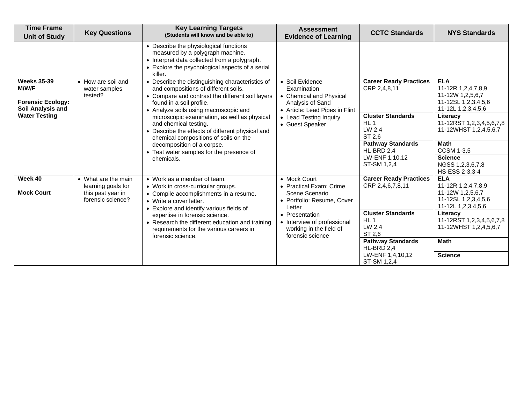| <b>Time Frame</b><br><b>Unit of Study</b>                                           | <b>Key Questions</b>                                                                                                                                               | <b>Key Learning Targets</b><br>(Students will know and be able to)                                                                                                                                                | <b>Assessment</b><br><b>Evidence of Learning</b>                                                                | <b>CCTC Standards</b>                                           | <b>NYS Standards</b>                                                                                   |
|-------------------------------------------------------------------------------------|--------------------------------------------------------------------------------------------------------------------------------------------------------------------|-------------------------------------------------------------------------------------------------------------------------------------------------------------------------------------------------------------------|-----------------------------------------------------------------------------------------------------------------|-----------------------------------------------------------------|--------------------------------------------------------------------------------------------------------|
|                                                                                     |                                                                                                                                                                    | • Describe the physiological functions<br>measured by a polygraph machine.<br>• Interpret data collected from a polygraph.<br>• Explore the psychological aspects of a serial<br>killer.                          |                                                                                                                 |                                                                 |                                                                                                        |
| <b>Weeks 35-39</b><br><b>M/W/F</b><br><b>Forensic Ecology:</b><br>Soil Analysis and | • How are soil and<br>water samples<br>tested?                                                                                                                     | • Describe the distinguishing characteristics of<br>and compositions of different soils.<br>• Compare and contrast the different soil layers<br>found in a soil profile.<br>• Analyze soils using macroscopic and | • Soil Evidence<br>Examination<br>• Chemical and Physical<br>Analysis of Sand<br>• Article: Lead Pipes in Flint | <b>Career Ready Practices</b><br>CRP 2,4,8,11                   | <b>ELA</b><br>11-12R 1,2,4,7,8,9<br>11-12W 1,2,5,6,7<br>11-12SL 1, 2, 3, 4, 5, 6<br>11-12L 1,2,3,4,5,6 |
| <b>Water Testing</b>                                                                | microscopic examination, as well as physical<br>and chemical testing.<br>• Describe the effects of different physical and<br>chemical compositions of soils on the | • Lead Testing Inquiry<br>• Guest Speaker                                                                                                                                                                         | <b>Cluster Standards</b><br>HL <sub>1</sub><br>LW 2,4<br>ST 2.6                                                 | Literacy<br>11-12RST 1,2,3,4,5,6,7,8<br>11-12WHST 1,2,4,5,6,7   |                                                                                                        |
|                                                                                     |                                                                                                                                                                    | decomposition of a corpse.<br>• Test water samples for the presence of                                                                                                                                            |                                                                                                                 | <b>Pathway Standards</b><br>HL-BRD 2.4                          | <b>Math</b><br><b>CCSM 1-3,5</b>                                                                       |
|                                                                                     |                                                                                                                                                                    | chemicals.                                                                                                                                                                                                        |                                                                                                                 | LW-ENF 1,10,12<br>ST-SM 1,2,4                                   | <b>Science</b><br>NGSS 1,2,3,6,7,8<br>HS-ESS 2-3,3-4                                                   |
| Week 40                                                                             | • What are the main<br>learning goals for                                                                                                                          | • Work as a member of team.<br>• Work in cross-curricular groups.                                                                                                                                                 | • Mock Court<br>• Practical Exam: Crime                                                                         | <b>Career Ready Practices</b><br>CRP 2,4,6,7,8,11               | <b>ELA</b><br>11-12R 1,2,4,7,8,9                                                                       |
| <b>Mock Court</b>                                                                   | this past year in<br>forensic science?                                                                                                                             | • Compile accomplishments in a resume.<br>• Write a cover letter.<br>• Explore and identify various fields of                                                                                                     | Scene Scenario<br>• Portfolio: Resume, Cover<br>Letter                                                          |                                                                 | 11-12W 1,2,5,6,7<br>11-12SL 1,2,3,4,5,6<br>11-12L 1,2,3,4,5,6                                          |
|                                                                                     |                                                                                                                                                                    | expertise in forensic science.<br>• Research the different education and training<br>requirements for the various careers in<br>forensic science.                                                                 | • Presentation<br>• Interview of professional<br>working in the field of<br>forensic science                    | <b>Cluster Standards</b><br>HL <sub>1</sub><br>LW 2,4<br>ST 2,6 | Literacy<br>11-12RST 1,2,3,4,5,6,7,8<br>11-12WHST 1,2,4,5,6,7                                          |
|                                                                                     |                                                                                                                                                                    |                                                                                                                                                                                                                   |                                                                                                                 | <b>Pathway Standards</b><br>HL-BRD 2,4                          | <b>Math</b>                                                                                            |
|                                                                                     |                                                                                                                                                                    |                                                                                                                                                                                                                   |                                                                                                                 | LW-ENF 1,4,10,12<br>ST-SM 1,2,4                                 | <b>Science</b>                                                                                         |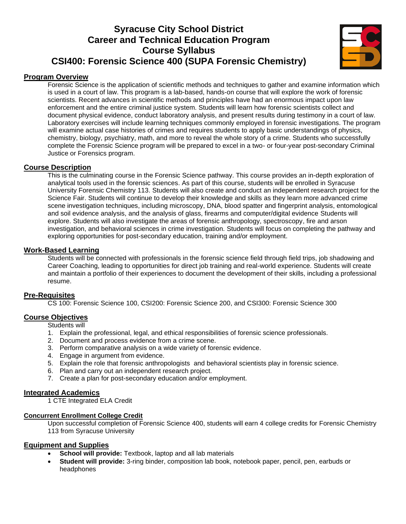# **Syracuse City School District Career and Technical Education Program Course Syllabus CSI400: Forensic Science 400 (SUPA Forensic Chemistry)**



#### **Program Overview**

Forensic Science is the application of scientific methods and techniques to gather and examine information which is used in a court of law. This program is a lab-based, hands-on course that will explore the work of forensic scientists. Recent advances in scientific methods and principles have had an enormous impact upon law enforcement and the entire criminal justice system. Students will learn how forensic scientists collect and document physical evidence, conduct laboratory analysis, and present results during testimony in a court of law. Laboratory exercises will include learning techniques commonly employed in forensic investigations. The program will examine actual case histories of crimes and requires students to apply basic understandings of physics, chemistry, biology, psychiatry, math, and more to reveal the whole story of a crime. Students who successfully complete the Forensic Science program will be prepared to excel in a two- or four-year post-secondary Criminal Justice or Forensics program.

#### **Course Description**

This is the culminating course in the Forensic Science pathway. This course provides an in-depth exploration of analytical tools used in the forensic sciences. As part of this course, students will be enrolled in Syracuse University Forensic Chemistry 113. Students will also create and conduct an independent research project for the Science Fair. Students will continue to develop their knowledge and skills as they learn more advanced crime scene investigation techniques, including microscopy, DNA, blood spatter and fingerprint analysis, entomological and soil evidence analysis, and the analysis of glass, firearms and computer/digital evidence Students will explore. Students will also investigate the areas of forensic anthropology, spectroscopy, fire and arson investigation, and behavioral sciences in crime investigation. Students will focus on completing the pathway and exploring opportunities for post-secondary education, training and/or employment.

#### **Work-Based Learning**

Students will be connected with professionals in the forensic science field through field trips, job shadowing and Career Coaching, leading to opportunities for direct job training and real-world experience. Students will create and maintain a portfolio of their experiences to document the development of their skills, including a professional resume.

#### **Pre-Requisites**

CS 100: Forensic Science 100, CSI200: Forensic Science 200, and CSI300: Forensic Science 300

#### **Course Objectives**

Students will

- 1. Explain the professional, legal, and ethical responsibilities of forensic science professionals.
- 2. Document and process evidence from a crime scene.
- 3. Perform comparative analysis on a wide variety of forensic evidence.
- 4. Engage in argument from evidence.
- 5. Explain the role that forensic anthropologists and behavioral scientists play in forensic science.
- 6. Plan and carry out an independent research project.
- 7. Create a plan for post-secondary education and/or employment.

## **Integrated Academics**

1 CTE Integrated ELA Credit

#### **Concurrent Enrollment College Credit**

Upon successful completion of Forensic Science 400, students will earn 4 college credits for Forensic Chemistry 113 from Syracuse University

#### **Equipment and Supplies**

- **School will provide:** Textbook, laptop and all lab materials
- **Student will provide:** 3-ring binder, composition lab book, notebook paper, pencil, pen, earbuds or headphones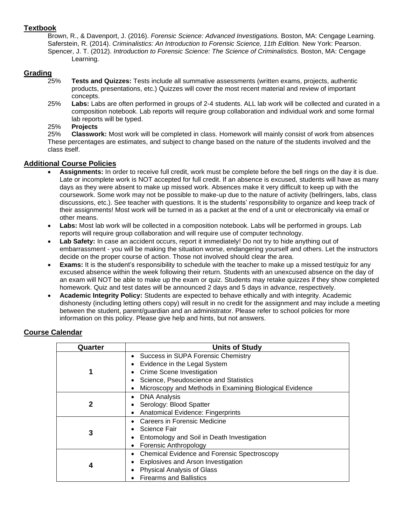## **Textbook**

Brown, R., & Davenport, J. (2016). *Forensic Science: Advanced Investigations.* Boston, MA: Cengage Learning. Saferstein, R. (2014). *Criminalistics: An Introduction to Forensic Science, 11th Edition.* New York: Pearson. Spencer, J. T. (2012). *Introduction to Forensic Science: The Science of Criminalistics.* Boston, MA: Cengage Learning.

## **Grading**

- 25% **Tests and Quizzes:** Tests include all summative assessments (written exams, projects, authentic products, presentations, etc.) Quizzes will cover the most recent material and review of important concepts.
- 25% **Labs:** Labs are often performed in groups of 2-4 students. ALL lab work will be collected and curated in a composition notebook. Lab reports will require group collaboration and individual work and some formal lab reports will be typed.

### 25% **Projects**

25% **Classwork:** Most work will be completed in class. Homework will mainly consist of work from absences These percentages are estimates, and subject to change based on the nature of the students involved and the class itself.

## **Additional Course Policies**

- **Assignments:** In order to receive full credit, work must be complete before the bell rings on the day it is due. Late or incomplete work is NOT accepted for full credit. If an absence is excused, students will have as many days as they were absent to make up missed work. Absences make it very difficult to keep up with the coursework. Some work may not be possible to make-up due to the nature of activity (bellringers, labs, class discussions, etc.). See teacher with questions. It is the students' responsibility to organize and keep track of their assignments! Most work will be turned in as a packet at the end of a unit or electronically via email or other means.
- Labs: Most lab work will be collected in a composition notebook. Labs will be performed in groups. Lab reports will require group collaboration and will require use of computer technology.
- **Lab Safety:** In case an accident occurs, report it immediately! Do not try to hide anything out of embarrassment - you will be making the situation worse, endangering yourself and others. Let the instructors decide on the proper course of action. Those not involved should clear the area.
- **Exams:** It is the student's responsibility to schedule with the teacher to make up a missed test/quiz for any excused absence within the week following their return. Students with an unexcused absence on the day of an exam will NOT be able to make up the exam or quiz. Students may retake quizzes if they show completed homework. Quiz and test dates will be announced 2 days and 5 days in advance, respectively.
- **Academic Integrity Policy:** Students are expected to behave ethically and with integrity. Academic dishonesty (including letting others copy) will result in no credit for the assignment and may include a meeting between the student, parent/guardian and an administrator. Please refer to school policies for more information on this policy. Please give help and hints, but not answers.

## **Course Calendar**

| Quarter | <b>Units of Study</b>                                           |
|---------|-----------------------------------------------------------------|
|         | Success in SUPA Forensic Chemistry<br>$\bullet$                 |
|         | Evidence in the Legal System                                    |
| 1       | Crime Scene Investigation                                       |
|         | Science, Pseudoscience and Statistics                           |
|         | Microscopy and Methods in Examining Biological Evidence<br>٠    |
|         | <b>DNA Analysis</b><br>٠                                        |
| 2       | Serology: Blood Spatter                                         |
|         | Anatomical Evidence: Fingerprints<br>$\bullet$                  |
|         | Careers in Forensic Medicine                                    |
| 3       | Science Fair                                                    |
|         | Entomology and Soil in Death Investigation<br>٠                 |
|         | Forensic Anthropology                                           |
|         | <b>Chemical Evidence and Forensic Spectroscopy</b><br>$\bullet$ |
| 4       | Explosives and Arson Investigation<br>٠                         |
|         | <b>Physical Analysis of Glass</b>                               |
|         | <b>Firearms and Ballistics</b>                                  |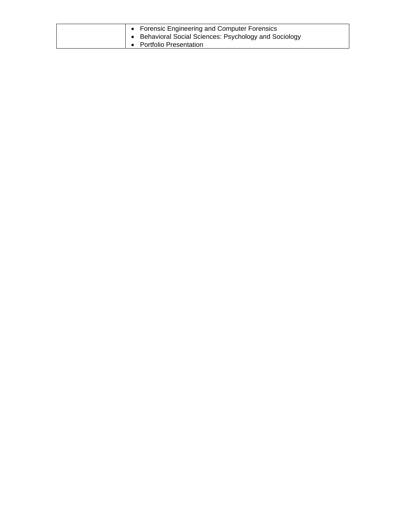|  | • Forensic Engineering and Computer Forensics          |
|--|--------------------------------------------------------|
|  | • Behavioral Social Sciences: Psychology and Sociology |
|  | • Portfolio Presentation                               |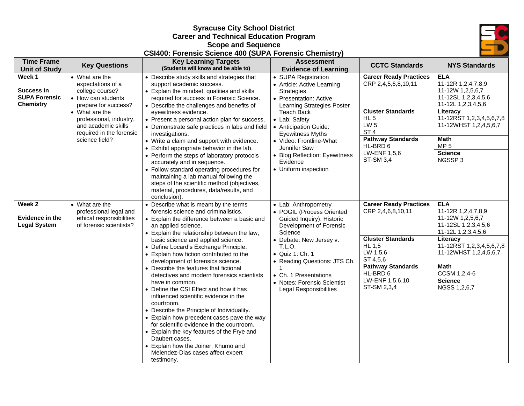

### **Syracuse City School District Career and Technical Education Program Scope and Sequence CSI400: Forensic Science 400 (SUPA Forensic Chemistry)**

| <b>Time Frame</b>                                                | <b>Key Questions</b>                                                                                                                                                                                                   | <b>Key Learning Targets</b>                                                                                                                                                                                                                                                                                                                                                                                                                                                                                                                                                                                                                                                                                                                                                                                                                                                        | <b>Assessment</b>                                                                                                                                                                                                                                                                                                                 | <b>CCTC Standards</b>                                                                                                                                                                                        | <b>NYS Standards</b>                                                                                                                                                                                                                     |
|------------------------------------------------------------------|------------------------------------------------------------------------------------------------------------------------------------------------------------------------------------------------------------------------|------------------------------------------------------------------------------------------------------------------------------------------------------------------------------------------------------------------------------------------------------------------------------------------------------------------------------------------------------------------------------------------------------------------------------------------------------------------------------------------------------------------------------------------------------------------------------------------------------------------------------------------------------------------------------------------------------------------------------------------------------------------------------------------------------------------------------------------------------------------------------------|-----------------------------------------------------------------------------------------------------------------------------------------------------------------------------------------------------------------------------------------------------------------------------------------------------------------------------------|--------------------------------------------------------------------------------------------------------------------------------------------------------------------------------------------------------------|------------------------------------------------------------------------------------------------------------------------------------------------------------------------------------------------------------------------------------------|
| <b>Unit of Study</b>                                             |                                                                                                                                                                                                                        | (Students will know and be able to)                                                                                                                                                                                                                                                                                                                                                                                                                                                                                                                                                                                                                                                                                                                                                                                                                                                | <b>Evidence of Learning</b>                                                                                                                                                                                                                                                                                                       |                                                                                                                                                                                                              |                                                                                                                                                                                                                                          |
| Week 1<br>Success in<br><b>SUPA Forensic</b><br><b>Chemistry</b> | • What are the<br>expectations of a<br>college course?<br>• How can students<br>prepare for success?<br>• What are the<br>professional, industry,<br>and academic skills<br>required in the forensic<br>science field? | • Describe study skills and strategies that<br>support academic success.<br>• Explain the mindset, qualities and skills<br>required for success in Forensic Science.<br>• Describe the challenges and benefits of<br>eyewitness evidence.<br>• Present a personal action plan for success.<br>• Demonstrate safe practices in labs and field<br>investigations.<br>• Write a claim and support with evidence.<br>• Exhibit appropriate behavior in the lab.<br>• Perform the steps of laboratory protocols<br>accurately and in sequence.<br>• Follow standard operating procedures for<br>maintaining a lab manual following the<br>steps of the scientific method (objectives,<br>material, procedures, data/results, and<br>conclusion).                                                                                                                                        | • SUPA Registration<br>• Article: Active Learning<br><b>Strategies</b><br>• Presentation: Active<br>Learning Strategies Poster<br>Teach Back<br>• Lab: Safety<br>• Anticipation Guide:<br><b>Eyewitness Myths</b><br>• Video: Frontline-What<br>Jennifer Saw<br>• Blog Reflection: Eyewitness<br>Evidence<br>• Uniform inspection | <b>Career Ready Practices</b><br>CRP 2,4,5,6,8,10,11<br><b>Cluster Standards</b><br>$HL$ 5<br>LW <sub>5</sub><br>ST <sub>4</sub><br><b>Pathway Standards</b><br>HL-BRD 6<br>LW-ENF 1,5,6<br><b>ST-SM 3,4</b> | <b>ELA</b><br>11-12R 1,2,4,7,8,9<br>11-12W 1,2,5,6,7<br>11-12SL 1,2,3,4,5,6<br>11-12L 1,2,3,4,5,6<br>Literacy<br>11-12RST 1,2,3,4,5,6,7,8<br>11-12WHST 1,2,4,5,6,7<br>Math<br>MP <sub>5</sub><br><b>Science</b><br>NGSSP3                |
| Week 2<br>Evidence in the<br><b>Legal System</b>                 | • What are the<br>professional legal and<br>ethical responsibilities<br>of forensic scientists?                                                                                                                        | • Describe what is meant by the terms<br>forensic science and criminalistics.<br>• Explain the difference between a basic and<br>an applied science.<br>• Explain the relationship between the law,<br>basic science and applied science.<br>• Define Locard's Exchange Principle.<br>• Explain how fiction contributed to the<br>development of forensics science.<br>• Describe the features that fictional<br>detectives and modern forensics scientists<br>have in common.<br>• Define the CSI Effect and how it has<br>influenced scientific evidence in the<br>courtroom.<br>• Describe the Principle of Individuality.<br>• Explain how precedent cases pave the way<br>for scientific evidence in the courtroom.<br>• Explain the key features of the Frye and<br>Daubert cases.<br>• Explain how the Joiner, Khumo and<br>Melendez-Dias cases affect expert<br>testimony. | • Lab: Anthropometry<br>• POGIL (Process Oriented<br>Guided Inquiry): Historic<br>Development of Forensic<br>Science<br>• Debate: New Jersey v.<br>T.L.O.<br>• Quiz 1: Ch. 1<br>• Reading Questions: JTS Ch.<br>• Ch. 1 Presentations<br>• Notes: Forensic Scientist<br><b>Legal Responsibilities</b>                             | <b>Career Ready Practices</b><br>CRP 2,4,6,8,10,11<br><b>Cluster Standards</b><br><b>HL 1,5</b><br>LW 1,5,6<br>ST 4,5,6<br><b>Pathway Standards</b><br>HL-BRD 6<br>LW-ENF 1,5,6,10<br>ST-SM 2,3,4            | <b>ELA</b><br>11-12R 1,2,4,7,8,9<br>11-12W 1,2,5,6,7<br>11-12SL 1,2,3,4,5,6<br>11-12L 1, 2, 3, 4, 5, 6<br>Literacy<br>11-12RST 1,2,3,4,5,6,7,8<br>11-12WHST 1,2,4,5,6,7<br><b>Math</b><br>CCSM 1,2,4-6<br><b>Science</b><br>NGSS 1,2,6,7 |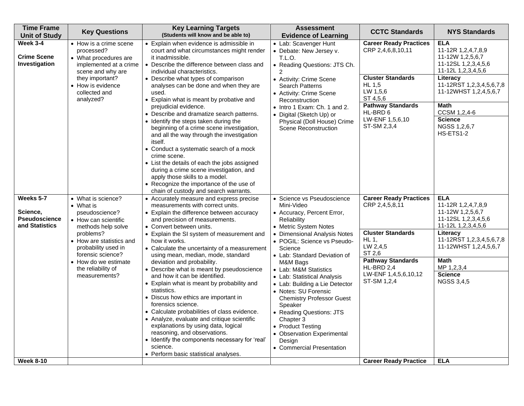| <b>Time Frame</b><br><b>Unit of Study</b>                       | <b>Key Questions</b>                                                                                                                                                    | <b>Key Learning Targets</b><br>(Students will know and be able to)                                                                                                                                                                                                                                                                                                                                                                                                                                                                                     | <b>Assessment</b><br><b>Evidence of Learning</b>                                                                                                                                                                                                                                                                                             | <b>CCTC Standards</b>                                                                            | <b>NYS Standards</b>                                                                                                                                               |
|-----------------------------------------------------------------|-------------------------------------------------------------------------------------------------------------------------------------------------------------------------|--------------------------------------------------------------------------------------------------------------------------------------------------------------------------------------------------------------------------------------------------------------------------------------------------------------------------------------------------------------------------------------------------------------------------------------------------------------------------------------------------------------------------------------------------------|----------------------------------------------------------------------------------------------------------------------------------------------------------------------------------------------------------------------------------------------------------------------------------------------------------------------------------------------|--------------------------------------------------------------------------------------------------|--------------------------------------------------------------------------------------------------------------------------------------------------------------------|
| <b>Week 3-4</b><br><b>Crime Scene</b><br>Investigation          | • How is a crime scene<br>processed?<br>• What procedures are<br>implemented at a crime<br>scene and why are<br>they important?                                         | • Explain when evidence is admissible in<br>court and what circumstances might render<br>it inadmissible.<br>• Describe the difference between class and<br>individual characteristics.<br>• Describe what types of comparison                                                                                                                                                                                                                                                                                                                         | • Lab: Scavenger Hunt<br>• Debate: New Jersey v.<br>T.L.O.<br>• Reading Questions: JTS Ch.<br>• Activity: Crime Scene                                                                                                                                                                                                                        | <b>Career Ready Practices</b><br>CRP 2,4,6,8,10,11<br><b>Cluster Standards</b>                   | <b>ELA</b><br>11-12R 1,2,4,7,8,9<br>11-12W 1,2,5,6,7<br>11-12SL 1,2,3,4,5,6<br>11-12L 1, 2, 3, 4, 5, 6<br>Literacy                                                 |
|                                                                 | • How is evidence<br>collected and<br>analyzed?                                                                                                                         | analyses can be done and when they are<br>used.<br>• Explain what is meant by probative and<br>prejudicial evidence.                                                                                                                                                                                                                                                                                                                                                                                                                                   | <b>Search Patterns</b><br>• Activity: Crime Scene<br>Reconstruction<br>• Intro 1 Exam: Ch. 1 and 2.                                                                                                                                                                                                                                          | HL 1.5<br>LW 1,5,6<br>ST 4,5,6<br><b>Pathway Standards</b>                                       | 11-12RST 1,2,3,4,5,6,7,8<br>11-12WHST 1,2,4,5,6,7<br><b>Math</b>                                                                                                   |
|                                                                 |                                                                                                                                                                         | • Describe and dramatize search patterns.<br>• Identify the steps taken during the<br>beginning of a crime scene investigation,<br>and all the way through the investigation<br>itself.<br>• Conduct a systematic search of a mock<br>crime scene.<br>• List the details of each the jobs assigned<br>during a crime scene investigation, and<br>apply those skills to a model.<br>• Recognize the importance of the use of<br>chain of custody and search warrants.                                                                                   | • Digital (Sketch Up) or<br>Physical (Doll House) Crime<br><b>Scene Reconstruction</b>                                                                                                                                                                                                                                                       | HL-BRD 6<br>LW-ENF 1,5,6,10<br>ST-SM 2,3,4                                                       | CCSM 1,2,4-6<br><b>Science</b><br>NGSS 1,2,6,7<br>HS-ETS1-2                                                                                                        |
| Weeks 5-7<br>Science,<br><b>Pseudoscience</b><br>and Statistics | • What is science?<br>$\bullet$ What is<br>pseudoscience?<br>• How can scientific<br>methods help solve<br>problems?<br>• How are statistics and<br>probability used in | • Accurately measure and express precise<br>measurements with correct units.<br>• Explain the difference between accuracy<br>and precision of measurements.<br>• Convert between units.<br>• Explain the SI system of measurement and<br>how it works.<br>• Calculate the uncertainty of a measurement                                                                                                                                                                                                                                                 | • Science vs Pseudoscience<br>Mini-Video<br>• Accuracy, Percent Error,<br>Reliability<br>• Metric System Notes<br>• Dimensional Analysis Notes<br>• POGIL: Science vs Pseudo-<br>Science                                                                                                                                                     | <b>Career Ready Practices</b><br>CRP 2,4,5,8,11<br><b>Cluster Standards</b><br>HL 1,<br>LW 2,4,5 | <b>ELA</b><br>11-12R 1,2,4,7,8,9<br>11-12W 1,2,5,6,7<br>11-12SL 1,2,3,4,5,6<br>11-12L 1,2,3,4,5,6<br>Literacy<br>11-12RST 1,2,3,4,5,6,7,8<br>11-12WHST 1,2,4,5,6,7 |
|                                                                 | forensic science?<br>• How do we estimate<br>the reliability of<br>measurements?                                                                                        | using mean, median, mode, standard<br>deviation and probability.<br>• Describe what is meant by pseudoscience<br>and how it can be identified.<br>• Explain what is meant by probability and<br>statistics.<br>• Discus how ethics are important in<br>forensics science.<br>• Calculate probabilities of class evidence.<br>• Analyze, evaluate and critique scientific<br>explanations by using data, logical<br>reasoning, and observations.<br>• Identify the components necessary for 'real'<br>science.<br>• Perform basic statistical analyses. | • Lab: Standard Deviation of<br>M&M Bags<br>• Lab: M&M Statistics<br>• Lab: Statistical Analysis<br>• Lab: Building a Lie Detector<br>• Notes: SU Forensic<br><b>Chemistry Professor Guest</b><br>Speaker<br>• Reading Questions: JTS<br>Chapter 3<br>• Product Testing<br>• Observation Experimental<br>Design<br>• Commercial Presentation | ST 2,6<br><b>Pathway Standards</b><br>HL-BRD 2,4<br>LW-ENF 1,4,5,6,10,12<br>ST-SM 1,2,4          | Math<br>MP 1,2,3,4<br><b>Science</b><br><b>NGSS 3,4,5</b>                                                                                                          |
| <b>Week 8-10</b>                                                |                                                                                                                                                                         |                                                                                                                                                                                                                                                                                                                                                                                                                                                                                                                                                        |                                                                                                                                                                                                                                                                                                                                              | <b>Career Ready Practice</b>                                                                     | <b>ELA</b>                                                                                                                                                         |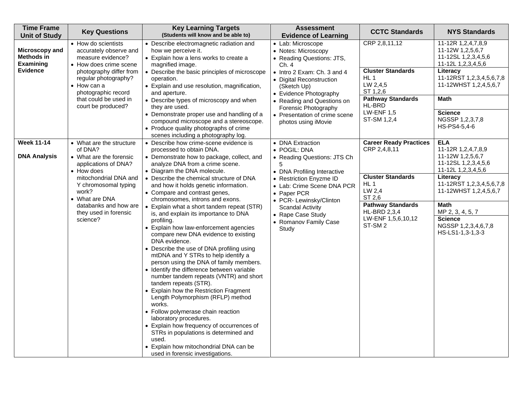| <b>Time Frame</b><br><b>Unit of Study</b>        | <b>Key Questions</b>                                                                          | <b>Key Learning Targets</b><br>(Students will know and be able to)                                                                                                                                                                                                                                                                                                                                                                                                                                                                                                                                                                                                                                                                                                                                                                                     | <b>Assessment</b><br><b>Evidence of Learning</b>                                                                         | <b>CCTC Standards</b>                                                                                 | <b>NYS Standards</b>                                                                         |
|--------------------------------------------------|-----------------------------------------------------------------------------------------------|--------------------------------------------------------------------------------------------------------------------------------------------------------------------------------------------------------------------------------------------------------------------------------------------------------------------------------------------------------------------------------------------------------------------------------------------------------------------------------------------------------------------------------------------------------------------------------------------------------------------------------------------------------------------------------------------------------------------------------------------------------------------------------------------------------------------------------------------------------|--------------------------------------------------------------------------------------------------------------------------|-------------------------------------------------------------------------------------------------------|----------------------------------------------------------------------------------------------|
| Microscopy and<br>Methods in<br><b>Examining</b> | • How do scientists<br>accurately observe and<br>measure evidence?<br>• How does crime scene  | • Describe electromagnetic radiation and<br>how we perceive it.<br>• Explain how a lens works to create a<br>magnified image.                                                                                                                                                                                                                                                                                                                                                                                                                                                                                                                                                                                                                                                                                                                          | • Lab: Microscope<br>• Notes: Microscopy<br>• Reading Questions: JTS,<br>Ch. 4                                           | CRP 2,8,11,12                                                                                         | 11-12R 1,2,4,7,8,9<br>11-12W 1,2,5,6,7<br>11-12SL 1,2,3,4,5,6<br>11-12L 1,2,3,4,5,6          |
| <b>Evidence</b>                                  | photography differ from<br>regular photography?<br>$\bullet$ How can a<br>photographic record | Describe the basic principles of microscope<br>operation.<br>• Explain and use resolution, magnification,<br>and aperture.                                                                                                                                                                                                                                                                                                                                                                                                                                                                                                                                                                                                                                                                                                                             | • Intro 2 Exam: Ch. 3 and 4<br>• Digital Reconstruction<br>(Sketch Up)<br>• Evidence Photography                         | <b>Cluster Standards</b><br>HL <sub>1</sub><br>LW 2,4,5<br>ST 1,2,6                                   | Literacy<br>11-12RST 1,2,3,4,5,6,7,8<br>11-12WHST 1,2,4,5,6,7                                |
|                                                  | that could be used in<br>court be produced?                                                   | • Describe types of microscopy and when<br>they are used.                                                                                                                                                                                                                                                                                                                                                                                                                                                                                                                                                                                                                                                                                                                                                                                              | • Reading and Questions on<br>Forensic Photography                                                                       | <b>Pathway Standards</b><br>HL-BRD<br><b>LW-ENF 1,5</b>                                               | <b>Math</b>                                                                                  |
|                                                  |                                                                                               | • Demonstrate proper use and handling of a<br>compound microscope and a stereoscope.<br>• Produce quality photographs of crime<br>scenes including a photography log.                                                                                                                                                                                                                                                                                                                                                                                                                                                                                                                                                                                                                                                                                  | • Presentation of crime scene<br>photos using iMovie                                                                     | ST-SM 1,2,4                                                                                           | <b>Science</b><br>NGSSP 1,2,3,7,8<br>HS-PS4-5,4-6                                            |
| <b>Week 11-14</b>                                | • What are the structure<br>of DNA?                                                           | • Describe how crime-scene evidence is<br>processed to obtain DNA.                                                                                                                                                                                                                                                                                                                                                                                                                                                                                                                                                                                                                                                                                                                                                                                     | • DNA Extraction<br>• POGIL: DNA                                                                                         | <b>Career Ready Practices</b><br>CRP 2,4,8,11                                                         | <b>ELA</b><br>11-12R 1,2,4,7,8,9                                                             |
| <b>DNA Analysis</b>                              | • What are the forensic<br>applications of DNA?<br>• How does                                 | • Demonstrate how to package, collect, and<br>analyze DNA from a crime scene.<br>• Diagram the DNA molecule.                                                                                                                                                                                                                                                                                                                                                                                                                                                                                                                                                                                                                                                                                                                                           | • Reading Questions: JTS Ch<br>5<br>• DNA Profiling Interactive                                                          |                                                                                                       | 11-12W 1,2,5,6,7<br>11-12SL 1,2,3,4,5,6<br>11-12L 1,2,3,4,5,6                                |
|                                                  | mitochondrial DNA and<br>Y chromosomal typing<br>work?                                        | • Describe the chemical structure of DNA<br>and how it holds genetic information.                                                                                                                                                                                                                                                                                                                                                                                                                                                                                                                                                                                                                                                                                                                                                                      | • Restriction Enyzme ID<br>• Lab: Crime Scene DNA PCR                                                                    | <b>Cluster Standards</b><br>HL <sub>1</sub><br>LW 2,4                                                 | Literacy<br>11-12RST 1,2,3,4,5,6,7,8<br>11-12WHST 1,2,4,5,6,7                                |
|                                                  | • What are DNA<br>databanks and how are<br>they used in forensic<br>science?                  | • Compare and contrast genes,<br>chromosomes, introns and exons.<br>Explain what a short tandem repeat (STR)<br>is, and explain its importance to DNA<br>profiling.<br>• Explain how law-enforcement agencies<br>compare new DNA evidence to existing<br>DNA evidence.<br>• Describe the use of DNA profiling using<br>mtDNA and Y STRs to help identify a<br>person using the DNA of family members.<br>Identify the difference between variable<br>number tandem repeats (VNTR) and short<br>tandem repeats (STR).<br>Explain how the Restriction Fragment<br>Length Polymorphism (RFLP) method<br>works.<br>• Follow polymerase chain reaction<br>laboratory procedures.<br>• Explain how frequency of occurrences of<br>STRs in populations is determined and<br>used.<br>Explain how mitochondrial DNA can be<br>used in forensic investigations. | • Paper PCR<br>• PCR- Lewinsky/Clinton<br><b>Scandal Activity</b><br>• Rape Case Study<br>• Romanov Family Case<br>Study | ST 2,6<br><b>Pathway Standards</b><br><b>HL-BRD 2,3,4</b><br>LW-ENF 1,5,6,10,12<br>ST-SM <sub>2</sub> | <b>Math</b><br>MP 2, 3, 4, 5, 7<br><b>Science</b><br>NGSSP 1,2,3,4,6,7,8<br>HS-LS1-1,3-1,3-3 |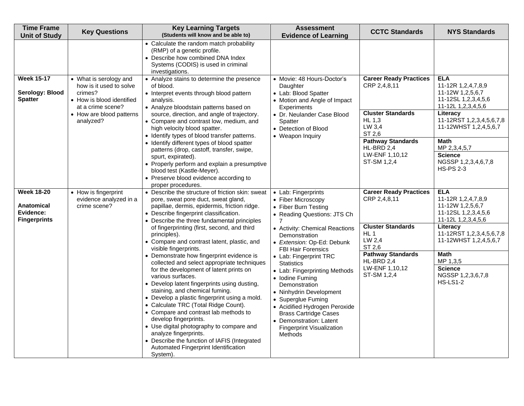| <b>Time Frame</b><br><b>Unit of Study</b>                           | <b>Key Questions</b>                                                                                                                                    | <b>Key Learning Targets</b><br>(Students will know and be able to)                                                                                                                                                                                                                                                                                                                                                                                                                                                                                                                                                                                                                                                                                                                                                                                                                                                                                                          | <b>Assessment</b><br><b>Evidence of Learning</b>                                                                                                                                                                                                                                                                                                                                                                                                                                                                                           | <b>CCTC Standards</b>                                                                                                                                                                       | <b>NYS Standards</b>                                                                                                                                                                                                                                    |
|---------------------------------------------------------------------|---------------------------------------------------------------------------------------------------------------------------------------------------------|-----------------------------------------------------------------------------------------------------------------------------------------------------------------------------------------------------------------------------------------------------------------------------------------------------------------------------------------------------------------------------------------------------------------------------------------------------------------------------------------------------------------------------------------------------------------------------------------------------------------------------------------------------------------------------------------------------------------------------------------------------------------------------------------------------------------------------------------------------------------------------------------------------------------------------------------------------------------------------|--------------------------------------------------------------------------------------------------------------------------------------------------------------------------------------------------------------------------------------------------------------------------------------------------------------------------------------------------------------------------------------------------------------------------------------------------------------------------------------------------------------------------------------------|---------------------------------------------------------------------------------------------------------------------------------------------------------------------------------------------|---------------------------------------------------------------------------------------------------------------------------------------------------------------------------------------------------------------------------------------------------------|
|                                                                     |                                                                                                                                                         | • Calculate the random match probability<br>(RMP) of a genetic profile.<br>• Describe how combined DNA Index<br>Systems (CODIS) is used in criminal<br>investigations.                                                                                                                                                                                                                                                                                                                                                                                                                                                                                                                                                                                                                                                                                                                                                                                                      |                                                                                                                                                                                                                                                                                                                                                                                                                                                                                                                                            |                                                                                                                                                                                             |                                                                                                                                                                                                                                                         |
| <b>Week 15-17</b><br>Serology: Blood<br><b>Spatter</b>              | • What is serology and<br>how is it used to solve<br>crimes?<br>• How is blood identified<br>at a crime scene?<br>• How are blood patterns<br>analyzed? | • Analyze stains to determine the presence<br>of blood.<br>• Interpret events through blood pattern<br>analysis.<br>• Analyze bloodstain patterns based on<br>source, direction, and angle of trajectory.<br>• Compare and contrast low, medium, and<br>high velocity blood spatter.<br>• Identify types of blood transfer patterns.<br>• Identify different types of blood spatter<br>patterns (drop, castoff, transfer, swipe,<br>spurt, expirated).<br>• Properly perform and explain a presumptive<br>blood test (Kastle-Meyer).<br>• Preserve blood evidence according to                                                                                                                                                                                                                                                                                                                                                                                              | • Movie: 48 Hours-Doctor's<br>Daughter<br>• Lab: Blood Spatter<br>• Motion and Angle of Impact<br>Experiments<br>• Dr. Neulander Case Blood<br>Spatter<br>• Detection of Blood<br>• Weapon Inquiry                                                                                                                                                                                                                                                                                                                                         | <b>Career Ready Practices</b><br>CRP 2,4,8,11<br><b>Cluster Standards</b><br><b>HL 1,3</b><br>LW 3,4<br>ST 2,6<br><b>Pathway Standards</b><br>HL-BRD 2,4<br>LW-ENF 1,10,12<br>ST-SM 1,2,4   | <b>ELA</b><br>11-12R 1,2,4,7,8,9<br>11-12W 1,2,5,6,7<br>11-12SL 1,2,3,4,5,6<br>11-12L 1,2,3,4,5,6<br>Literacy<br>11-12RST 1,2,3,4,5,6,7,8<br>11-12WHST 1,2,4,5,6,7<br>Math<br>MP 2,3,4,5,7<br><b>Science</b><br>NGSSP 1,2,3,4,6,7,8<br><b>HS-PS 2-3</b> |
| <b>Week 18-20</b><br>Anatomical<br>Evidence:<br><b>Fingerprints</b> | • How is fingerprint<br>evidence analyzed in a<br>crime scene?                                                                                          | proper procedures.<br>• Describe the structure of friction skin: sweat<br>pore, sweat pore duct, sweat gland,<br>papillae, dermis, epidermis, friction ridge.<br>• Describe fingerprint classification.<br>• Describe the three fundamental principles<br>of fingerprinting (first, second, and third<br>principles).<br>• Compare and contrast latent, plastic, and<br>visible fingerprints.<br>Demonstrate how fingerprint evidence is<br>collected and select appropriate techniques<br>for the development of latent prints on<br>various surfaces.<br>• Develop latent fingerprints using dusting,<br>staining, and chemical fuming.<br>• Develop a plastic fingerprint using a mold.<br>• Calculate TRC (Total Ridge Count).<br>• Compare and contrast lab methods to<br>develop fingerprints.<br>• Use digital photography to compare and<br>analyze fingerprints.<br>Describe the function of IAFIS (Integrated<br>Automated Fingerprint Identification<br>System). | • Lab: Fingerprints<br>• Fiber Microscopy<br>• Fiber Burn Testing<br>• Reading Questions: JTS Ch<br>7<br>• Activity: Chemical Reactions<br>Demonstration<br>· Extension: Op-Ed: Debunk<br><b>FBI Hair Forensics</b><br>• Lab: Fingerprint TRC<br><b>Statistics</b><br>• Lab: Fingerprinting Methods<br>• Iodine Fuming<br>Demonstration<br>• Ninhydrin Development<br>• Superglue Fuming<br>• Acidified Hydrogen Peroxide<br><b>Brass Cartridge Cases</b><br>• Demonstration: Latent<br><b>Fingerprint Visualization</b><br><b>Methods</b> | <b>Career Ready Practices</b><br>CRP 2,4,8,11<br><b>Cluster Standards</b><br>HL <sub>1</sub><br>LW 2,4<br>ST 2,6<br><b>Pathway Standards</b><br>HL-BRD 2,4<br>LW-ENF 1,10,12<br>ST-SM 1,2,4 | <b>ELA</b><br>11-12R 1,2,4,7,8,9<br>11-12W 1,2,5,6,7<br>11-12SL 1,2,3,4,5,6<br>11-12L 1,2,3,4,5,6<br>Literacy<br>11-12RST 1,2,3,4,5,6,7,8<br>11-12WHST 1,2,4,5,6,7<br>Math<br>MP 1,3,5<br><b>Science</b><br>NGSSP 1,2,3,6,7,8<br><b>HS-LS1-2</b>        |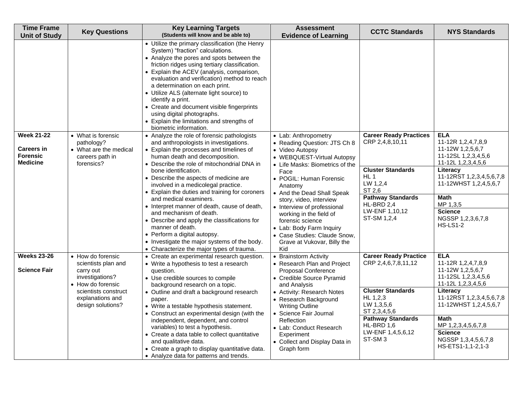| <b>Time Frame</b><br><b>Unit of Study</b>                                    | <b>Key Questions</b>                                                                        | <b>Key Learning Targets</b><br>(Students will know and be able to)                                                                                                                                                                                                                                                                                                                                                                                                                                                                                                                                                                                                                                                                                                                                                                                                                                                                                                                                                                                                            | <b>Assessment</b><br><b>Evidence of Learning</b>                                                                                                                                                                                                                                                                              | <b>CCTC Standards</b>                                                                                                                                                                            | <b>NYS Standards</b>                                                                                                                                                                                                                                    |
|------------------------------------------------------------------------------|---------------------------------------------------------------------------------------------|-------------------------------------------------------------------------------------------------------------------------------------------------------------------------------------------------------------------------------------------------------------------------------------------------------------------------------------------------------------------------------------------------------------------------------------------------------------------------------------------------------------------------------------------------------------------------------------------------------------------------------------------------------------------------------------------------------------------------------------------------------------------------------------------------------------------------------------------------------------------------------------------------------------------------------------------------------------------------------------------------------------------------------------------------------------------------------|-------------------------------------------------------------------------------------------------------------------------------------------------------------------------------------------------------------------------------------------------------------------------------------------------------------------------------|--------------------------------------------------------------------------------------------------------------------------------------------------------------------------------------------------|---------------------------------------------------------------------------------------------------------------------------------------------------------------------------------------------------------------------------------------------------------|
| <b>Week 21-22</b><br><b>Careers in</b><br><b>Forensic</b><br><b>Medicine</b> | • What is forensic<br>pathology?<br>• What are the medical<br>careers path in<br>forensics? | • Utilize the primary classification (the Henry<br>System) "fraction" calculations.<br>• Analyze the pores and spots between the<br>friction ridges using tertiary classification.<br>• Explain the ACEV (analysis, comparison,<br>evaluation and verification) method to reach<br>a determination on each print.<br>• Utilize ALS (alternate light source) to<br>identify a print.<br>• Create and document visible fingerprints<br>using digital photographs.<br>• Explain the limitations and strengths of<br>biometric information.<br>• Analyze the role of forensic pathologists<br>and anthropologists in investigations.<br>• Explain the processes and timelines of<br>human death and decomposition.<br>• Describe the role of mitochondrial DNA in<br>bone identification.<br>• Describe the aspects of medicine are<br>involved in a medicolegal practice.<br>• Explain the duties and training for coroners<br>and medical examiners.<br>• Interpret manner of death, cause of death,<br>and mechanism of death.<br>• Describe and apply the classifications for | • Lab: Anthropometry<br>• Reading Question: JTS Ch 8<br>• Video Autopsy<br>• WEBQUEST-Virtual Autopsy<br>• Life Masks: Biometrics of the<br>Face<br>• POGIL: Human Forensic<br>Anatomy<br>• And the Dead Shall Speak<br>story, video, interview<br>• Interview of professional<br>working in the field of<br>forensic science | <b>Career Ready Practices</b><br>CRP 2,4,8,10,11<br><b>Cluster Standards</b><br>HL <sub>1</sub><br>LW 1,2,4<br>ST 2,6<br><b>Pathway Standards</b><br>HL-BRD 2,4<br>LW-ENF 1,10,12<br>ST-SM 1,2,4 | <b>ELA</b><br>11-12R 1,2,4,7,8,9<br>11-12W 1,2,5,6,7<br>11-12SL 1,2,3,4,5,6<br>11-12L 1,2,3,4,5,6<br>Literacy<br>11-12RST 1,2,3,4,5,6,7,8<br>11-12WHST 1,2,4,5,6,7<br><b>Math</b><br>MP 1,3,5<br><b>Science</b><br>NGSSP 1,2,3,6,7,8<br><b>HS-LS1-2</b> |
|                                                                              |                                                                                             | manner of death.<br>• Perform a digital autopsy.<br>• Investigate the major systems of the body.<br>• Characterize the major types of trauma.                                                                                                                                                                                                                                                                                                                                                                                                                                                                                                                                                                                                                                                                                                                                                                                                                                                                                                                                 | • Lab: Body Farm Inquiry<br>• Case Studies: Claude Snow,<br>Grave at Vukovar, Billy the<br>Kid                                                                                                                                                                                                                                |                                                                                                                                                                                                  |                                                                                                                                                                                                                                                         |
| <b>Weeks 23-26</b>                                                           | • How do forensic                                                                           | • Create an experimental research question.                                                                                                                                                                                                                                                                                                                                                                                                                                                                                                                                                                                                                                                                                                                                                                                                                                                                                                                                                                                                                                   | • Brainstorm Activity                                                                                                                                                                                                                                                                                                         | <b>Career Ready Practice</b><br>CRP 2,4,6,7,8,11,12                                                                                                                                              | <b>ELA</b><br>11-12R 1,2,4,7,8,9                                                                                                                                                                                                                        |
| <b>Science Fair</b>                                                          | scientists plan and<br>carry out<br>investigations?<br>• How do forensic                    | • Write a hypothesis to test a research<br>question.<br>• Use credible sources to compile<br>background research on a topic.                                                                                                                                                                                                                                                                                                                                                                                                                                                                                                                                                                                                                                                                                                                                                                                                                                                                                                                                                  | • Research Plan and Project<br>Proposal Conference<br>• Credible Source Pyramid<br>and Analysis                                                                                                                                                                                                                               |                                                                                                                                                                                                  | 11-12W 1,2,5,6,7<br>11-12SL 1,2,3,4,5,6<br>11-12L 1,2,3,4,5,6                                                                                                                                                                                           |
|                                                                              | scientists construct<br>explanations and<br>design solutions?                               | • Outline and draft a background research<br>paper.<br>• Write a testable hypothesis statement.<br>• Construct an experimental design (with the<br>independent, dependent, and control<br>variables) to test a hypothesis.<br>• Create a data table to collect quantitative<br>and qualitative data.                                                                                                                                                                                                                                                                                                                                                                                                                                                                                                                                                                                                                                                                                                                                                                          | • Activity: Research Notes<br>• Research Background<br><b>Writing Outline</b><br>• Science Fair Journal<br><b>Reflection</b><br>• Lab: Conduct Research<br>Experiment<br>• Collect and Display Data in                                                                                                                        | <b>Cluster Standards</b><br>HL 1,2,3<br>LW 1,3,5,6<br>ST 2,3,4,5,6<br><b>Pathway Standards</b><br>HL-BRD 1,6<br>LW-ENF 1,4,5,6,12<br>ST-SM <sub>3</sub>                                          | Literacy<br>11-12RST 1,2,3,4,5,6,7,8<br>11-12WHST 1,2,4,5,6,7<br><b>Math</b><br>MP 1,2,3,4,5,6,7,8<br><b>Science</b><br>NGSSP 1,3,4,5,6,7,8                                                                                                             |
|                                                                              |                                                                                             | • Create a graph to display quantitative data.<br>• Analyze data for patterns and trends.                                                                                                                                                                                                                                                                                                                                                                                                                                                                                                                                                                                                                                                                                                                                                                                                                                                                                                                                                                                     | Graph form                                                                                                                                                                                                                                                                                                                    |                                                                                                                                                                                                  | HS-ETS1-1,1-2,1-3                                                                                                                                                                                                                                       |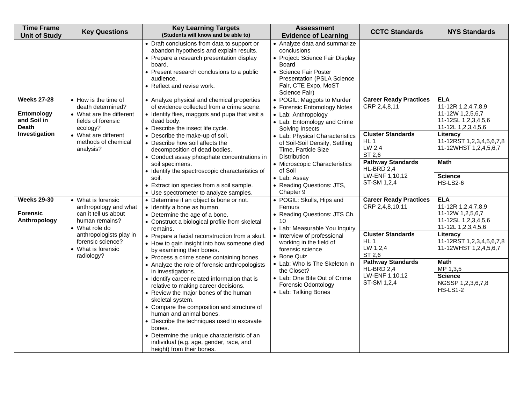| <b>Time Frame</b><br><b>Unit of Study</b>                                        | <b>Key Questions</b>                                                                                                                                                                        | <b>Key Learning Targets</b><br>(Students will know and be able to)                                                                                                                                                                                                                                                                                                                                                                                                                                                                                                                                                                                                                                                                                                                                                                        | <b>Assessment</b><br><b>Evidence of Learning</b>                                                                                                                                                                                                                                                                                                     | <b>CCTC Standards</b>                                                                                                                                                                            | <b>NYS Standards</b>                                                                                                                                                                                                                                    |
|----------------------------------------------------------------------------------|---------------------------------------------------------------------------------------------------------------------------------------------------------------------------------------------|-------------------------------------------------------------------------------------------------------------------------------------------------------------------------------------------------------------------------------------------------------------------------------------------------------------------------------------------------------------------------------------------------------------------------------------------------------------------------------------------------------------------------------------------------------------------------------------------------------------------------------------------------------------------------------------------------------------------------------------------------------------------------------------------------------------------------------------------|------------------------------------------------------------------------------------------------------------------------------------------------------------------------------------------------------------------------------------------------------------------------------------------------------------------------------------------------------|--------------------------------------------------------------------------------------------------------------------------------------------------------------------------------------------------|---------------------------------------------------------------------------------------------------------------------------------------------------------------------------------------------------------------------------------------------------------|
|                                                                                  |                                                                                                                                                                                             | • Draft conclusions from data to support or<br>abandon hypothesis and explain results.<br>• Prepare a research presentation display<br>board.<br>• Present research conclusions to a public<br>audience.<br>• Reflect and revise work.                                                                                                                                                                                                                                                                                                                                                                                                                                                                                                                                                                                                    | • Analyze data and summarize<br>conclusions<br>• Project: Science Fair Display<br>Board<br>• Science Fair Poster<br>Presentation (PSLA Science<br>Fair, CTE Expo, MoST<br>Science Fair)                                                                                                                                                              |                                                                                                                                                                                                  |                                                                                                                                                                                                                                                         |
| <b>Weeks 27-28</b><br>Entomology<br>and Soil in<br><b>Death</b><br>Investigation | • How is the time of<br>death determined?<br>• What are the different<br>fields of forensic<br>ecology?<br>• What are different<br>methods of chemical<br>analysis?                         | • Analyze physical and chemical properties<br>of evidence collected from a crime scene.<br>• Identify flies, maggots and pupa that visit a<br>dead body.<br>• Describe the insect life cycle.<br>• Describe the make-up of soil.<br>• Describe how soil affects the<br>decomposition of dead bodies.<br>• Conduct assay phosphate concentrations in<br>soil specimens.<br>• Identify the spectroscopic characteristics of<br>soil.<br>• Extract ion species from a soil sample.<br>• Use spectrometer to analyze samples.                                                                                                                                                                                                                                                                                                                 | • POGIL: Maggots to Murder<br>• Forensic Entomology Notes<br>• Lab: Anthropology<br>• Lab: Entomology and Crime<br>Solving Insects<br>• Lab: Physical Characteristics<br>of Soil-Soil Density, Settling<br>Time, Particle Size<br>Distribution<br>• Microscopic Characteristics<br>of Soil<br>• Lab: Assay<br>• Reading Questions: JTS,<br>Chapter 9 | <b>Career Ready Practices</b><br>CRP 2,4,8,11<br><b>Cluster Standards</b><br>HL <sub>1</sub><br>LW 2,4<br>ST 2,6<br><b>Pathway Standards</b><br>HL-BRD 2,4<br>LW-ENF 1,10,12<br>ST-SM 1,2,4      | <b>ELA</b><br>11-12R 1,2,4,7,8,9<br>11-12W 1,2,5,6,7<br>11-12SL 1,2,3,4,5,6<br>11-12L 1,2,3,4,5,6<br>Literacy<br>11-12RST 1,2,3,4,5,6,7,8<br>11-12WHST 1,2,4,5,6,7<br><b>Math</b><br><b>Science</b><br><b>HS-LS2-6</b>                                  |
| <b>Weeks 29-30</b><br><b>Forensic</b><br>Anthropology                            | • What is forensic<br>anthropology and what<br>can it tell us about<br>human remains?<br>• What role do<br>anthropologists play in<br>forensic science?<br>• What is forensic<br>radiology? | • Determine if an object is bone or not.<br>• Identify a bone as human.<br>• Determine the age of a bone.<br>• Construct a biological profile from skeletal<br>remains.<br>• Prepare a facial reconstruction from a skull.<br>• How to gain insight into how someone died<br>by examining their bones.<br>• Process a crime scene containing bones.<br>• Analyze the role of forensic anthropologists<br>in investigations.<br>• Identify career-related information that is<br>relative to making career decisions.<br>• Review the major bones of the human<br>skeletal system.<br>• Compare the composition and structure of<br>human and animal bones.<br>• Describe the techniques used to excavate<br>bones.<br>• Determine the unique characteristic of an<br>individual (e.g. age, gender, race, and<br>height) from their bones. | • POGIL: Skulls, Hips and<br>Femurs<br>• Reading Questions: JTS Ch.<br>10<br>• Lab: Measurable You Inquiry<br>• Interview of professional<br>working in the field of<br>forensic science<br>• Bone Quiz<br>• Lab: Who Is The Skeleton in<br>the Closet?<br>• Lab: One Bite Out of Crime<br><b>Forensic Odontology</b><br>• Lab: Talking Bones        | <b>Career Ready Practices</b><br>CRP 2,4,8,10,11<br><b>Cluster Standards</b><br>HL <sub>1</sub><br>LW 1,2,4<br>ST 2,6<br><b>Pathway Standards</b><br>HL-BRD 2,4<br>LW-ENF 1,10,12<br>ST-SM 1,2,4 | <b>ELA</b><br>11-12R 1,2,4,7,8,9<br>11-12W 1,2,5,6,7<br>11-12SL 1,2,3,4,5,6<br>11-12L 1,2,3,4,5,6<br>Literacy<br>11-12RST 1,2,3,4,5,6,7,8<br>11-12WHST 1,2,4,5,6,7<br><b>Math</b><br>MP 1,3,5<br><b>Science</b><br>NGSSP 1,2,3,6,7,8<br><b>HS-LS1-2</b> |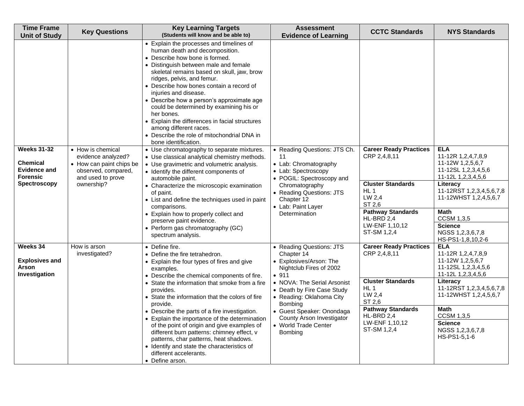| <b>Time Frame</b><br><b>Unit of Study</b>                                                              | <b>Key Questions</b>                                                                                                          | <b>Key Learning Targets</b><br>(Students will know and be able to)                                                                                                                                                                                                                                                                                                                                                                                                                                                                                                                                                          | <b>Assessment</b><br><b>Evidence of Learning</b>                                                                                                                                                                                                                                                       | <b>CCTC Standards</b>                                                                                                                                                                       | <b>NYS Standards</b>                                                                                                                                                                                                                                              |
|--------------------------------------------------------------------------------------------------------|-------------------------------------------------------------------------------------------------------------------------------|-----------------------------------------------------------------------------------------------------------------------------------------------------------------------------------------------------------------------------------------------------------------------------------------------------------------------------------------------------------------------------------------------------------------------------------------------------------------------------------------------------------------------------------------------------------------------------------------------------------------------------|--------------------------------------------------------------------------------------------------------------------------------------------------------------------------------------------------------------------------------------------------------------------------------------------------------|---------------------------------------------------------------------------------------------------------------------------------------------------------------------------------------------|-------------------------------------------------------------------------------------------------------------------------------------------------------------------------------------------------------------------------------------------------------------------|
|                                                                                                        |                                                                                                                               | • Explain the processes and timelines of<br>human death and decomposition.<br>• Describe how bone is formed.<br>• Distinguish between male and female<br>skeletal remains based on skull, jaw, brow<br>ridges, pelvis, and femur.<br>• Describe how bones contain a record of<br>injuries and disease.<br>• Describe how a person's approximate age<br>could be determined by examining his or<br>her bones.<br>• Explain the differences in facial structures<br>among different races.<br>• Describe the role of mitochondrial DNA in<br>bone identification.                                                             |                                                                                                                                                                                                                                                                                                        |                                                                                                                                                                                             |                                                                                                                                                                                                                                                                   |
| <b>Weeks 31-32</b><br><b>Chemical</b><br><b>Evidence and</b><br><b>Forensic</b><br><b>Spectroscopy</b> | • How is chemical<br>evidence analyzed?<br>• How can paint chips be<br>observed, compared,<br>and used to prove<br>ownership? | • Use chromatography to separate mixtures.<br>• Use classical analytical chemistry methods.<br>• Use gravimetric and volumetric analysis.<br>• Identify the different components of<br>automobile paint.<br>• Characterize the microscopic examination<br>of paint.<br>• List and define the techniques used in paint<br>comparisons.<br>• Explain how to properly collect and<br>preserve paint evidence.<br>• Perform gas chromatography (GC)<br>spectrum analysis.                                                                                                                                                       | • Reading Questions: JTS Ch.<br>11<br>• Lab: Chromatography<br>• Lab: Spectroscopy<br>• POGIL: Spectroscopy and<br>Chromatography<br>• Reading Questions: JTS<br>Chapter 12<br>• Lab: Paint Layer<br>Determination                                                                                     | <b>Career Ready Practices</b><br>CRP 2,4,8,11<br><b>Cluster Standards</b><br>HL <sub>1</sub><br>LW 2,4<br>ST 2.6<br><b>Pathway Standards</b><br>HL-BRD 2,4<br>LW-ENF 1,10,12<br>ST-SM 1,2,4 | <b>ELA</b><br>11-12R 1,2,4,7,8,9<br>11-12W 1,2,5,6,7<br>11-12SL 1,2,3,4,5,6<br>11-12L 1,2,3,4,5,6<br>Literacy<br>11-12RST 1,2,3,4,5,6,7,8<br>11-12WHST 1,2,4,5,6,7<br><b>Math</b><br><b>CCSM 1,3,5</b><br><b>Science</b><br>NGSS 1,2,3,6,7,8<br>HS-PS1-1,8,10,2-6 |
| Weeks 34<br><b>Explosives and</b><br><b>Arson</b><br>Investigation                                     | How is arson<br>investigated?                                                                                                 | • Define fire.<br>• Define the fire tetrahedron.<br>• Explain the four types of fires and give<br>examples.<br>• Describe the chemical components of fire.<br>• State the information that smoke from a fire<br>provides.<br>• State the information that the colors of fire<br>provide.<br>• Describe the parts of a fire investigation.<br>• Explain the importance of the determination<br>of the point of origin and give examples of<br>different burn patterns: chimney effect, v<br>patterns, char patterns, heat shadows.<br>Identify and state the characteristics of<br>different accelerants.<br>• Define arson. | • Reading Questions: JTS<br>Chapter 14<br>• Explosives/Arson: The<br>Nightclub Fires of 2002<br>• 911<br>• NOVA: The Serial Arsonist<br>• Death by Fire Case Study<br>• Reading: Oklahoma City<br>Bombing<br>• Guest Speaker: Onondaga<br>County Arson Investigator<br>• World Trade Center<br>Bombing | <b>Career Ready Practices</b><br>CRP 2,4,8,11<br><b>Cluster Standards</b><br>HL <sub>1</sub><br>LW 2,4<br>ST 2,6<br><b>Pathway Standards</b><br>HL-BRD 2,4<br>LW-ENF 1,10,12<br>ST-SM 1,2,4 | <b>ELA</b><br>11-12R 1,2,4,7,8,9<br>11-12W 1,2,5,6,7<br>11-12SL 1,2,3,4,5,6<br>11-12L 1,2,3,4,5,6<br>Literacy<br>11-12RST 1,2,3,4,5,6,7,8<br>11-12WHST 1,2,4,5,6,7<br><b>Math</b><br><b>CCSM 1,3,5</b><br><b>Science</b><br>NGSS 1,2,3,6,7,8<br>HS-PS1-5,1-6      |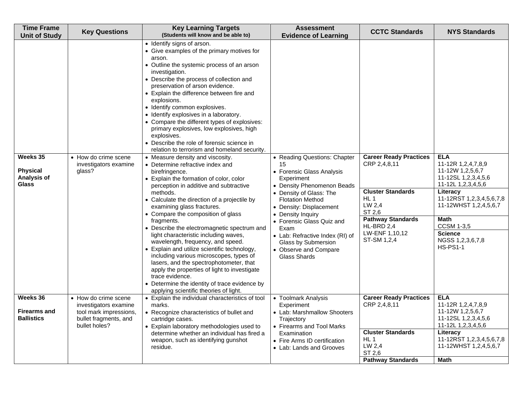| <b>Time Frame</b><br><b>Unit of Study</b>                  | <b>Key Questions</b>                                                                             | <b>Key Learning Targets</b><br>(Students will know and be able to)                                                                                                                                                                                                                                                                                                                                                                                                                                                                                                                                                                                                                                                                                                                                                                                                                                                                                                                                                                                                                                                                                                                                                                                                                                    | <b>Assessment</b><br><b>Evidence of Learning</b>                                                                                                                                                                                                                                                                                                                 | <b>CCTC Standards</b>                                                                                                                                                                       | <b>NYS Standards</b>                                                                                                                                                                                                                                            |
|------------------------------------------------------------|--------------------------------------------------------------------------------------------------|-------------------------------------------------------------------------------------------------------------------------------------------------------------------------------------------------------------------------------------------------------------------------------------------------------------------------------------------------------------------------------------------------------------------------------------------------------------------------------------------------------------------------------------------------------------------------------------------------------------------------------------------------------------------------------------------------------------------------------------------------------------------------------------------------------------------------------------------------------------------------------------------------------------------------------------------------------------------------------------------------------------------------------------------------------------------------------------------------------------------------------------------------------------------------------------------------------------------------------------------------------------------------------------------------------|------------------------------------------------------------------------------------------------------------------------------------------------------------------------------------------------------------------------------------------------------------------------------------------------------------------------------------------------------------------|---------------------------------------------------------------------------------------------------------------------------------------------------------------------------------------------|-----------------------------------------------------------------------------------------------------------------------------------------------------------------------------------------------------------------------------------------------------------------|
| Weeks 35<br><b>Physical</b><br>Analysis of<br><b>Glass</b> | • How do crime scene<br>investigators examine<br>qlass?                                          | • Identify signs of arson.<br>• Give examples of the primary motives for<br>arson.<br>• Outline the systemic process of an arson<br>investigation.<br>• Describe the process of collection and<br>preservation of arson evidence.<br>• Explain the difference between fire and<br>explosions.<br>· Identify common explosives.<br>• Identify explosives in a laboratory.<br>• Compare the different types of explosives:<br>primary explosives, low explosives, high<br>explosives.<br>• Describe the role of forensic science in<br>relation to terrorism and homeland security.<br>• Measure density and viscosity.<br>• Determine refractive index and<br>birefringence.<br>• Explain the formation of color, color<br>perception in additive and subtractive<br>methods.<br>• Calculate the direction of a projectile by<br>examining glass fractures.<br>• Compare the composition of glass<br>fragments.<br>• Describe the electromagnetic spectrum and<br>light characteristic including waves,<br>wavelength, frequency, and speed.<br>• Explain and utilize scientific technology,<br>including various microscopes, types of<br>lasers, and the spectrophotometer, that<br>apply the properties of light to investigate<br>trace evidence.<br>• Determine the identity of trace evidence by | • Reading Questions: Chapter<br>15<br>• Forensic Glass Analysis<br>Experiment<br>• Density Phenomenon Beads<br>• Density of Glass: The<br><b>Flotation Method</b><br>• Density: Displacement<br>• Density Inquiry<br>• Forensic Glass Quiz and<br>Exam<br>• Lab: Refractive Index (RI) of<br>Glass by Submersion<br>• Observe and Compare<br><b>Glass Shards</b> | <b>Career Ready Practices</b><br>CRP 2,4,8,11<br><b>Cluster Standards</b><br>HL <sub>1</sub><br>LW 2,4<br>ST 2,6<br><b>Pathway Standards</b><br>HL-BRD 2,4<br>LW-ENF 1,10,12<br>ST-SM 1,2,4 | <b>ELA</b><br>11-12R 1,2,4,7,8,9<br>11-12W 1,2,5,6,7<br>11-12SL 1,2,3,4,5,6<br>11-12L 1,2,3,4,5,6<br>Literacy<br>11-12RST 1,2,3,4,5,6,7,8<br>11-12WHST 1,2,4,5,6,7<br><b>Math</b><br><b>CCSM 1-3,5</b><br><b>Science</b><br>NGSS 1,2,3,6,7,8<br><b>HS-PS1-1</b> |
| Weeks 36<br><b>Firearms and</b><br><b>Ballistics</b>       | • How do crime scene<br>investigators examine<br>tool mark impressions,<br>bullet fragments, and | applying scientific theories of light.<br>• Explain the individual characteristics of tool<br>marks.<br>• Recognize characteristics of bullet and<br>cartridge cases.                                                                                                                                                                                                                                                                                                                                                                                                                                                                                                                                                                                                                                                                                                                                                                                                                                                                                                                                                                                                                                                                                                                                 | • Toolmark Analysis<br>Experiment<br>• Lab: Marshmallow Shooters<br>Trajectory                                                                                                                                                                                                                                                                                   | <b>Career Ready Practices</b><br>CRP 2,4,8,11                                                                                                                                               | <b>ELA</b><br>11-12R 1,2,4,7,8,9<br>11-12W 1,2,5,6,7<br>11-12SL 1,2,3,4,5,6                                                                                                                                                                                     |
|                                                            | bullet holes?                                                                                    | • Explain laboratory methodologies used to<br>determine whether an individual has fired a<br>weapon, such as identifying gunshot<br>residue.                                                                                                                                                                                                                                                                                                                                                                                                                                                                                                                                                                                                                                                                                                                                                                                                                                                                                                                                                                                                                                                                                                                                                          | • Firearms and Tool Marks<br>Examination<br>• Fire Arms ID certification<br>• Lab: Lands and Grooves                                                                                                                                                                                                                                                             | <b>Cluster Standards</b><br>HL <sub>1</sub><br>LW 2,4<br>ST 2,6                                                                                                                             | 11-12L 1,2,3,4,5,6<br>Literacy<br>11-12RST 1,2,3,4,5,6,7,8<br>11-12WHST 1,2,4,5,6,7                                                                                                                                                                             |
|                                                            |                                                                                                  |                                                                                                                                                                                                                                                                                                                                                                                                                                                                                                                                                                                                                                                                                                                                                                                                                                                                                                                                                                                                                                                                                                                                                                                                                                                                                                       |                                                                                                                                                                                                                                                                                                                                                                  | <b>Pathway Standards</b>                                                                                                                                                                    | <b>Math</b>                                                                                                                                                                                                                                                     |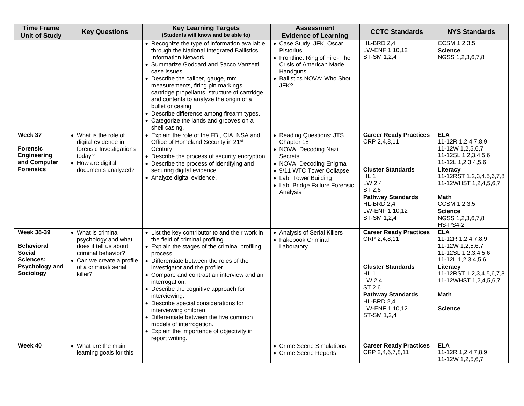| <b>Time Frame</b><br><b>Unit of Study</b>                                                                  | <b>Key Questions</b>                                                                                                                                      | <b>Key Learning Targets</b><br>(Students will know and be able to)                                                                                                                                                                                                                                                                                                                                                                                                                                                                                                   | <b>Assessment</b><br><b>Evidence of Learning</b>                                                                                                                                                          | <b>CCTC Standards</b>                                                                                                                                                                       | <b>NYS Standards</b>                                                                                                                                                                                                                                       |
|------------------------------------------------------------------------------------------------------------|-----------------------------------------------------------------------------------------------------------------------------------------------------------|----------------------------------------------------------------------------------------------------------------------------------------------------------------------------------------------------------------------------------------------------------------------------------------------------------------------------------------------------------------------------------------------------------------------------------------------------------------------------------------------------------------------------------------------------------------------|-----------------------------------------------------------------------------------------------------------------------------------------------------------------------------------------------------------|---------------------------------------------------------------------------------------------------------------------------------------------------------------------------------------------|------------------------------------------------------------------------------------------------------------------------------------------------------------------------------------------------------------------------------------------------------------|
|                                                                                                            |                                                                                                                                                           | • Recognize the type of information available<br>through the National Integrated Ballistics<br>Information Network.<br>• Summarize Goddard and Sacco Vanzetti<br>case issues.<br>• Describe the caliber, gauge, mm<br>measurements, firing pin markings,<br>cartridge propellants, structure of cartridge<br>and contents to analyze the origin of a<br>bullet or casing.<br>Describe difference among firearm types.<br>• Categorize the lands and grooves on a<br>shell casing.                                                                                    | • Case Study: JFK, Oscar<br><b>Pistorius</b><br>• Frontline: Ring of Fire- The<br>Crisis of American Made<br>Handguns<br>• Ballistics NOVA: Who Shot<br>JFK?                                              | HL-BRD 2,4<br>LW-ENF 1,10,12<br>ST-SM 1,2,4                                                                                                                                                 | CCSM 1,2,3,5<br><b>Science</b><br>NGSS 1,2,3,6,7,8                                                                                                                                                                                                         |
| Week 37<br><b>Forensic</b><br>Engineering<br>and Computer<br><b>Forensics</b>                              | • What is the role of<br>digital evidence in<br>forensic Investigations<br>today?<br>• How are digital<br>documents analyzed?                             | • Explain the role of the FBI, CIA, NSA and<br>Office of Homeland Security in 21 <sup>st</sup><br>Century.<br>• Describe the process of security encryption.<br>• Describe the process of identifying and<br>securing digital evidence.<br>• Analyze digital evidence.                                                                                                                                                                                                                                                                                               | • Reading Questions: JTS<br>Chapter 18<br>• NOVA: Decoding Nazi<br>Secrets<br>• NOVA: Decoding Enigma<br>• 9/11 WTC Tower Collapse<br>• Lab: Tower Building<br>• Lab: Bridge Failure Forensic<br>Analysis | <b>Career Ready Practices</b><br>CRP 2,4,8,11<br><b>Cluster Standards</b><br>HL <sub>1</sub><br>LW 2.4<br>ST 2,6<br><b>Pathway Standards</b><br>HL-BRD 2,4<br>LW-ENF 1,10,12<br>ST-SM 1,2,4 | <b>ELA</b><br>11-12R 1,2,4,7,8,9<br>11-12W 1,2,5,6,7<br>11-12SL 1,2,3,4,5,6<br>11-12L 1,2,3,4,5,6<br>Literacy<br>11-12RST 1,2,3,4,5,6,7,8<br>11-12WHST 1,2,4,5,6,7<br><b>Math</b><br>CCSM 1,2,3,5<br><b>Science</b><br>NGSS 1,2,3,6,7,8<br><b>HS-PS4-2</b> |
| <b>Week 38-39</b><br><b>Behavioral</b><br>Social<br><b>Sciences:</b><br>Psychology and<br><b>Sociology</b> | • What is criminal<br>psychology and what<br>does it tell us about<br>criminal behavior?<br>• Can we create a profile<br>of a criminal/ serial<br>killer? | • List the key contributor to and their work in<br>the field of criminal profiling.<br>• Explain the stages of the criminal profiling<br>process.<br>• Differentiate between the roles of the<br>investigator and the profiler.<br>• Compare and contrast an interview and an<br>interrogation.<br>• Describe the cognitive approach for<br>interviewing.<br>• Describe special considerations for<br>interviewing children.<br>• Differentiate between the five common<br>models of interrogation.<br>• Explain the importance of objectivity in<br>report writing. | • Analysis of Serial Killers<br>• Fakebook Criminal<br>Laboratory                                                                                                                                         | <b>Career Ready Practices</b><br>CRP 2,4,8,11<br><b>Cluster Standards</b><br>HL 1<br>LW 2,4<br>ST 2.6<br><b>Pathway Standards</b><br>HL-BRD 2,4<br>LW-ENF 1,10,12<br>ST-SM 1,2,4            | <b>ELA</b><br>11-12R 1,2,4,7,8,9<br>11-12W 1,2,5,6,7<br>11-12SL 1,2,3,4,5,6<br>11-12L 1,2,3,4,5,6<br>Literacy<br>11-12RST 1,2,3,4,5,6,7,8<br>11-12WHST 1,2,4,5,6,7<br><b>Math</b><br><b>Science</b>                                                        |
| Week 40                                                                                                    | • What are the main<br>learning goals for this                                                                                                            |                                                                                                                                                                                                                                                                                                                                                                                                                                                                                                                                                                      | • Crime Scene Simulations<br>• Crime Scene Reports                                                                                                                                                        | <b>Career Ready Practices</b><br>CRP 2,4,6,7,8,11                                                                                                                                           | <b>ELA</b><br>11-12R 1,2,4,7,8,9<br>11-12W 1,2,5,6,7                                                                                                                                                                                                       |